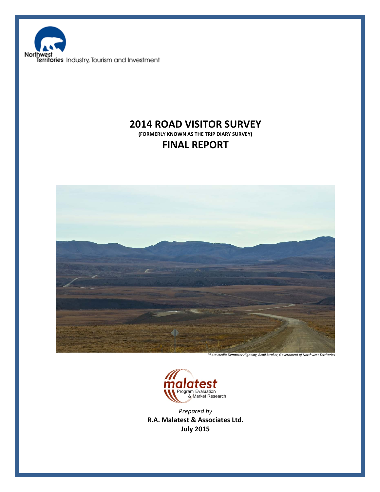

# **2014 ROAD VISITOR SURVEY**

**(FORMERLY KNOWN AS THE TRIP DIARY SURVEY)**

# **FINAL REPORT**



*Photo credit: Dempster Highway, Benji Straker, Government of Northwest Territories*



*Prepared by* **R.A. Malatest & Associates Ltd. July 2015**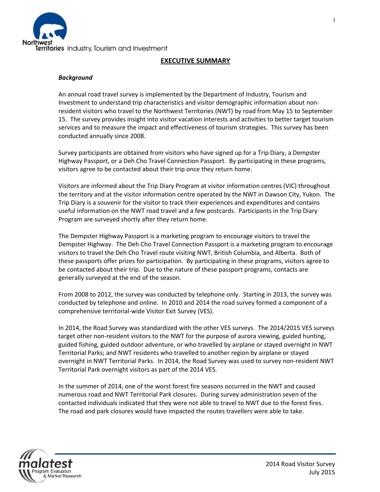

# **EXECUTIVE SUMMARY**

#### <span id="page-1-0"></span>*Background*

An annual road travel survey is implemented by the Department of Industry, Tourism and Investment to understand trip characteristics and visitor demographic information about nonresident visitors who travel to the Northwest Territories (NWT) by road from May 15 to September 15. The survey provides insight into visitor vacation interests and activities to better target tourism services and to measure the impact and effectiveness of tourism strategies. This survey has been conducted annually since 2008.

Survey participants are obtained from visitors who have signed up for a Trip Diary, a Dempster Highway Passport, or a Deh [Cho Travel Connection Passport.](http://dehchotravel.ca/contest/how.php) By participating in these programs, visitors agree to be contacted about their trip once they return home.

Visitors are informed about the Trip Diary Program at visitor information centres (VIC) throughout the territory and at the visitor information centre operated by the NWT in Dawson City, Yukon. The Trip Diary is a souvenir for the visitor to track their experiences and expenditures and contains useful information on the NWT road travel and a few postcards. Participants in the Trip Diary Program are surveyed shortly after they return home.

The Dempster Highway Passport is a marketing program to encourage visitors to travel the Dempster Highway. The Deh Cho Travel Connection Passport is a marketing program to encourage visitors to travel the Deh Cho Travel route visiting NWT, British Columbia, and Alberta. Both of these passports offer prizes for participation. By participating in these programs, visitors agree to be contacted about their trip. Due to the nature of these passport programs, contacts are generally surveyed at the end of the season.

From 2008 to 2012, the survey was conducted by telephone only. Starting in 2013, the survey was conducted by telephone and online. In 2010 and 2014 the road survey formed a component of a comprehensive territorial-wide Visitor Exit Survey (VES).

In 2014, the Road Survey was standardized with the other VES surveys. The 2014/2015 VES surveys target other non-resident visitors to the NWT for the purpose of aurora viewing, guided hunting, guided fishing, guided outdoor adventure, or who travelled by airplane or stayed overnight in NWT Territorial Parks; and NWT residents who travelled to another region by airplane or stayed overnight in NWT Territorial Parks. In 2014, the Road Survey was used to survey non-resident NWT Territorial Park overnight visitors as part of the 2014 VES.

In the summer of 2014, one of the worst forest fire seasons occurred in the NWT and caused numerous road and NWT Territorial Park closures. During survey administration seven of the contacted individuals indicated that they were not able to travel to NWT due to the forest fires. The road and park closures would have impacted the routes travellers were able to take.

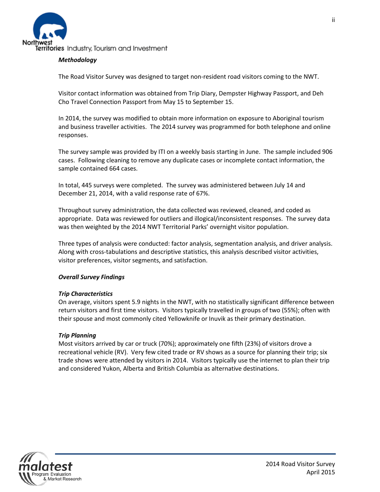

### *Methodology*

The Road Visitor Survey was designed to target non-resident road visitors coming to the NWT.

Visitor contact information was obtained from Trip Diary, Dempster Highway Passport, and Deh Cho Travel Connection Passport from May 15 to September 15.

In 2014, the survey was modified to obtain more information on exposure to Aboriginal tourism and business traveller activities. The 2014 survey was programmed for both telephone and online responses.

The survey sample was provided by ITI on a weekly basis starting in June. The sample included 906 cases. Following cleaning to remove any duplicate cases or incomplete contact information, the sample contained 664 cases.

In total, 445 surveys were completed. The survey was administered between July 14 and December 21, 2014, with a valid response rate of 67%.

Throughout survey administration, the data collected was reviewed, cleaned, and coded as appropriate. Data was reviewed for outliers and illogical/inconsistent responses. The survey data was then weighted by the 2014 NWT Territorial Parks' overnight visitor population.

Three types of analysis were conducted: factor analysis, segmentation analysis, and driver analysis. Along with cross-tabulations and descriptive statistics, this analysis described visitor activities, visitor preferences, visitor segments, and satisfaction.

#### *Overall Survey Findings*

## *Trip Characteristics*

On average, visitors spent 5.9 nights in the NWT, with no statistically significant difference between return visitors and first time visitors. Visitors typically travelled in groups of two (55%); often with their spouse and most commonly cited Yellowknife or Inuvik as their primary destination.

#### *Trip Planning*

Most visitors arrived by car or truck (70%); approximately one fifth (23%) of visitors drove a recreational vehicle (RV). Very few cited trade or RV shows as a source for planning their trip; six trade shows were attended by visitors in 2014. Visitors typically use the internet to plan their trip and considered Yukon, Alberta and British Columbia as alternative destinations.

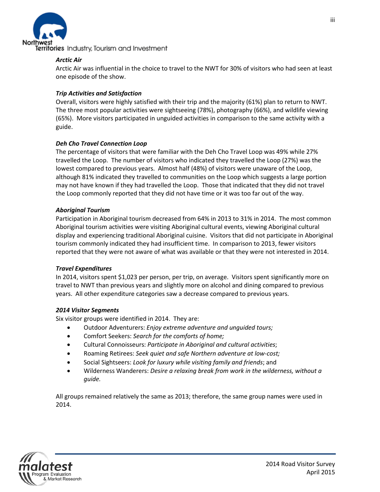

# *Arctic Air*

Arctic Air was influential in the choice to travel to the NWT for 30% of visitors who had seen at least one episode of the show.

# *Trip Activities and Satisfaction*

Overall, visitors were highly satisfied with their trip and the majority (61%) plan to return to NWT. The three most popular activities were sightseeing (78%), photography (66%), and wildlife viewing (65%). More visitors participated in unguided activities in comparison to the same activity with a guide.

## *Deh Cho Travel Connection Loop*

The percentage of visitors that were familiar with the Deh Cho Travel Loop was 49% while 27% travelled the Loop. The number of visitors who indicated they travelled the Loop (27%) was the lowest compared to previous years. Almost half (48%) of visitors were unaware of the Loop, although 81% indicated they travelled to communities on the Loop which suggests a large portion may not have known if they had travelled the Loop. Those that indicated that they did not travel the Loop commonly reported that they did not have time or it was too far out of the way.

## *Aboriginal Tourism*

Participation in Aboriginal tourism decreased from 64% in 2013 to 31% in 2014. The most common Aboriginal tourism activities were visiting Aboriginal cultural events, viewing Aboriginal cultural display and experiencing traditional Aboriginal cuisine. Visitors that did not participate in Aboriginal tourism commonly indicated they had insufficient time. In comparison to 2013, fewer visitors reported that they were not aware of what was available or that they were not interested in 2014.

#### *Travel Expenditures*

In 2014, visitors spent \$1,023 per person, per trip, on average. Visitors spent significantly more on travel to NWT than previous years and slightly more on alcohol and dining compared to previous years. All other expenditure categories saw a decrease compared to previous years.

## *2014 Visitor Segments*

Six visitor groups were identified in 2014. They are:

- Outdoor Adventurers: *Enjoy extreme adventure and unguided tours;*
- Comfort Seekers: *Search for the comforts of home;*
- Cultural Connoisseurs: *Participate in Aboriginal and cultural activities*;
- Roaming Retirees: *Seek quiet and safe Northern adventure at low-cost;*
- Social Sightseers: *Look for luxury while visiting family and friends*; and
- Wilderness Wanderers: *Desire a relaxing break from work in the wilderness, without a guide.*

All groups remained relatively the same as 2013; therefore, the same group names were used in 2014.



iii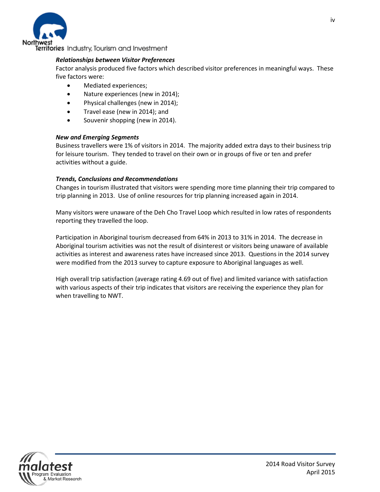

#### *Relationships between Visitor Preferences*

Factor analysis produced five factors which described visitor preferences in meaningful ways. These five factors were:

- Mediated experiences;
- Nature experiences (new in 2014);
- Physical challenges (new in 2014);
- Travel ease (new in 2014); and
- Souvenir shopping (new in 2014).

#### *New and Emerging Segments*

Business travellers were 1% of visitors in 2014. The majority added extra days to their business trip for leisure tourism. They tended to travel on their own or in groups of five or ten and prefer activities without a guide.

#### *Trends, Conclusions and Recommendations*

Changes in tourism illustrated that visitors were spending more time planning their trip compared to trip planning in 2013. Use of online resources for trip planning increased again in 2014.

Many visitors were unaware of the Deh Cho Travel Loop which resulted in low rates of respondents reporting they travelled the loop.

Participation in Aboriginal tourism decreased from 64% in 2013 to 31% in 2014. The decrease in Aboriginal tourism activities was not the result of disinterest or visitors being unaware of available activities as interest and awareness rates have increased since 2013. Questions in the 2014 survey were modified from the 2013 survey to capture exposure to Aboriginal languages as well.

High overall trip satisfaction (average rating 4.69 out of five) and limited variance with satisfaction with various aspects of their trip indicates that visitors are receiving the experience they plan for when travelling to NWT.

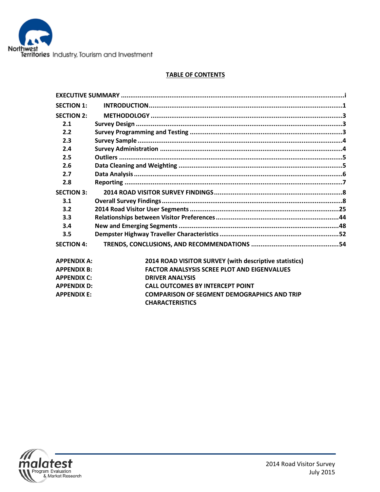

## **TABLE OF CONTENTS**

| <b>SECTION 1:</b>  |                                                        |  |
|--------------------|--------------------------------------------------------|--|
| <b>SECTION 2:</b>  |                                                        |  |
| 2.1                | Survey Design.                                         |  |
| 2.2                |                                                        |  |
| 2.3                |                                                        |  |
| 2.4                |                                                        |  |
| 2.5                |                                                        |  |
| 2.6                |                                                        |  |
| 2.7                |                                                        |  |
| 2.8                |                                                        |  |
| <b>SECTION 3:</b>  |                                                        |  |
| 3.1                |                                                        |  |
| 3.2                |                                                        |  |
| 3.3                |                                                        |  |
| 3.4                |                                                        |  |
| 3.5                |                                                        |  |
| <b>SECTION 4:</b>  |                                                        |  |
| <b>APPENDIX A:</b> | 2014 ROAD VISITOR SURVEY (with descriptive statistics) |  |
| <b>APPENDIX B:</b> | <b>FACTOR ANALSYSIS SCREE PLOT AND EIGENVALUES</b>     |  |
| <b>APPENDIX C:</b> | <b>DRIVER ANALYSIS</b>                                 |  |
| <b>APPENDIX D:</b> | <b>CALL OUTCOMES BY INTERCEPT POINT</b>                |  |
| <b>APPENDIX E:</b> | <b>COMPARISON OF SEGMENT DEMOGRAPHICS AND TRIP</b>     |  |
|                    | <b>CHARACTERISTICS</b>                                 |  |

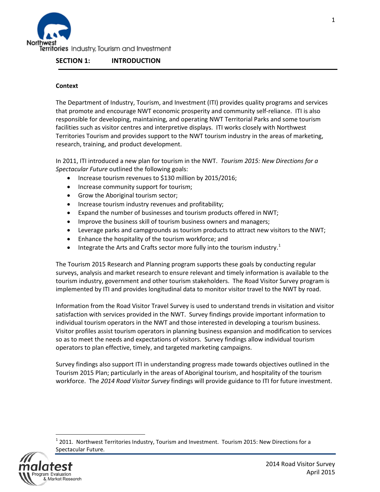

# <span id="page-6-0"></span>**SECTION 1: INTRODUCTION**

#### **Context**

The Department of Industry, Tourism, and Investment (ITI) provides quality programs and services that promote and encourage NWT economic prosperity and community self-reliance. ITI is also responsible for developing, maintaining, and operating NWT Territorial Parks and some tourism facilities such as visitor centres and interpretive displays. ITI works closely with Northwest Territories Tourism and provides support to the NWT tourism industry in the areas of marketing, research, training, and product development.

In 2011, ITI introduced a new plan for tourism in the NWT. *Tourism 2015: New Directions for a Spectacular Future* outlined the following goals:

- Increase tourism revenues to \$130 million by 2015/2016;
- Increase community support for tourism;
- Grow the Aboriginal tourism sector;
- Increase tourism industry revenues and profitability;
- Expand the number of businesses and tourism products offered in NWT;
- Improve the business skill of tourism business owners and managers;
- Leverage parks and campgrounds as tourism products to attract new visitors to the NWT;
- Enhance the hospitality of the tourism workforce; and
- $\bullet$  Integrate the Arts and Crafts sector more fully into the tourism industry.<sup>[1](#page-6-1)</sup>

The Tourism 2015 Research and Planning program supports these goals by conducting regular surveys, analysis and market research to ensure relevant and timely information is available to the tourism industry, government and other tourism stakeholders. The Road Visitor Survey program is implemented by ITI and provides longitudinal data to monitor visitor travel to the NWT by road.

Information from the Road Visitor Travel Survey is used to understand trends in visitation and visitor satisfaction with services provided in the NWT. Survey findings provide important information to individual tourism operators in the NWT and those interested in developing a tourism business. Visitor profiles assist tourism operators in planning business expansion and modification to services so as to meet the needs and expectations of visitors. Survey findings allow individual tourism operators to plan effective, timely, and targeted marketing campaigns.

Survey findings also support ITI in understanding progress made towards objectives outlined in the Tourism 2015 Plan; particularly in the areas of Aboriginal tourism, and hospitality of the tourism workforce. The *2014 Road Visitor Survey* findings will provide guidance to ITI for future investment.

<span id="page-6-1"></span> $1$  2011. Northwest Territories Industry, Tourism and Investment. Tourism 2015: New Directions for a Spectacular Future.

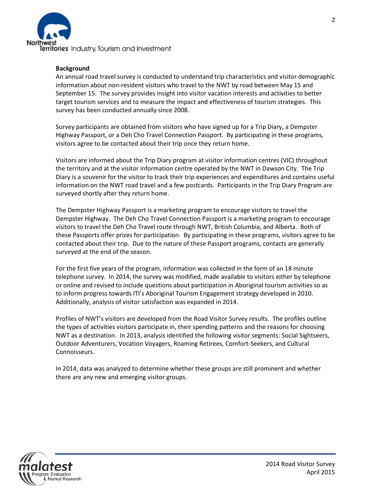

#### **Background**

An annual road travel survey is conducted to understand trip characteristics and visitor demographic information about non-resident visitors who travel to the NWT by road between May 15 and September 15. The survey provides insight into visitor vacation interests and activities to better target tourism services and to measure the impact and effectiveness of tourism strategies. This survey has been conducted annually since 2008.

Survey participants are obtained from visitors who have signed up for a Trip Diary, a Dempster Highway Passport, or a Deh [Cho Travel Connection Passport.](http://dehchotravel.ca/contest/how.php) By participating in these programs, visitors agree to be contacted about their trip once they return home.

Visitors are informed about the Trip Diary program at visitor information centres (VIC) throughout the territory and at the visitor information centre operated by the NWT in Dawson City. The Trip Diary is a souvenir for the visitor to track their trip experiences and expenditures and contains useful information on the NWT road travel and a few postcards. Participants in the Trip Diary Program are surveyed shortly after they return home.

The Dempster Highway Passport is a marketing program to encourage visitors to travel the Dempster Highway. The Deh Cho Travel Connection Passport is a marketing program to encourage visitors to travel the Deh Cho Travel route through NWT, British Columbia, and Alberta. Both of these Passports offer prizes for participation. By participating in these programs, visitors agree to be contacted about their trip. Due to the nature of these Passport programs, contacts are generally surveyed at the end of the season.

For the first five years of the program, information was collected in the form of an 18 minute telephone survey. In 2014, the survey was modified, made available to visitors either by telephone or online and revised to include questions about participation in Aboriginal tourism activities so as to inform progress towards ITI's Aboriginal Tourism Engagement strategy developed in 2010. Additionally, analysis of visitor satisfaction was expanded in 2014.

Profiles of NWT's visitors are developed from the Road Visitor Survey results. The profiles outline the types of activities visitors participate in, their spending patterns and the reasons for choosing NWT as a destination. In 2013, analysis identified the following visitor segments: Social Sightseers, Outdoor Adventurers, Vocation Voyagers, Roaming Retirees, Comfort-Seekers, and Cultural Connoisseurs.

In 2014, data was analyzed to determine whether these groups are still prominent and whether there are any new and emerging visitor groups.

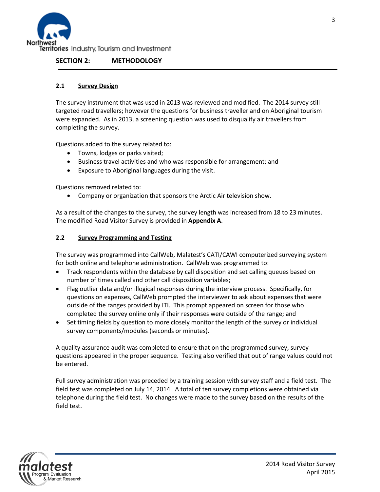

# <span id="page-8-0"></span>**SECTION 2: METHODOLOGY**

# <span id="page-8-1"></span>**2.1 Survey Design**

The survey instrument that was used in 2013 was reviewed and modified. The 2014 survey still targeted road travellers; however the questions for business traveller and on Aboriginal tourism were expanded. As in 2013, a screening question was used to disqualify air travellers from completing the survey.

Questions added to the survey related to:

- Towns, lodges or parks visited;
- Business travel activities and who was responsible for arrangement; and
- Exposure to Aboriginal languages during the visit.

Questions removed related to:

• Company or organization that sponsors the Arctic Air television show.

As a result of the changes to the survey, the survey length was increased from 18 to 23 minutes. The modified Road Visitor Survey is provided in **Appendix A**.

#### <span id="page-8-2"></span>**2.2 Survey Programming and Testing**

The survey was programmed into CallWeb, Malatest's CATI/CAWI computerized surveying system for both online and telephone administration. CallWeb was programmed to:

- Track respondents within the database by call disposition and set calling queues based on number of times called and other call disposition variables;
- Flag outlier data and/or illogical responses during the interview process. Specifically, for questions on expenses, CallWeb prompted the interviewer to ask about expenses that were outside of the ranges provided by ITI. This prompt appeared on screen for those who completed the survey online only if their responses were outside of the range; and
- Set timing fields by question to more closely monitor the length of the survey or individual survey components/modules (seconds or minutes).

A quality assurance audit was completed to ensure that on the programmed survey, survey questions appeared in the proper sequence. Testing also verified that out of range values could not be entered.

Full survey administration was preceded by a training session with survey staff and a field test. The field test was completed on July 14, 2014. A total of ten survey completions were obtained via telephone during the field test. No changes were made to the survey based on the results of the field test.

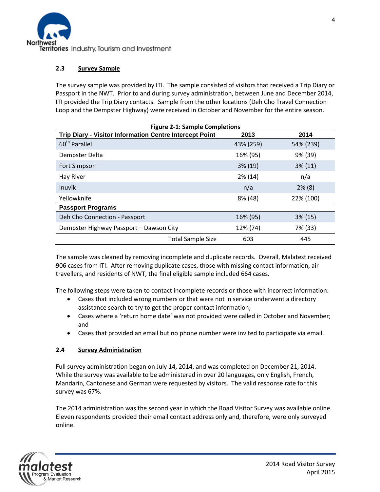# <span id="page-9-0"></span>**2.3 Survey Sample**

The survey sample was provided by ITI. The sample consisted of visitors that received a Trip Diary or Passport in the NWT. Prior to and during survey administration, between June and December 2014, ITI provided the Trip Diary contacts. Sample from the other locations (Deh Cho Travel Connection Loop and the Dempster Highway) were received in October and November for the entire season.

| <b>Figure 2-1: Sample Completions</b>                   |            |            |  |  |  |
|---------------------------------------------------------|------------|------------|--|--|--|
| Trip Diary - Visitor Information Centre Intercept Point | 2013       | 2014       |  |  |  |
| 60 <sup>th</sup> Parallel                               | 43% (259)  | 54% (239)  |  |  |  |
| Dempster Delta                                          | 16% (95)   | 9% (39)    |  |  |  |
| Fort Simpson                                            | 3% (19)    | $3\% (11)$ |  |  |  |
| Hay River                                               | $2\%$ (14) | n/a        |  |  |  |
| Inuvik                                                  | n/a        | $2\%$ (8)  |  |  |  |
| Yellowknife                                             | 8% (48)    | 22% (100)  |  |  |  |
| <b>Passport Programs</b>                                |            |            |  |  |  |
| Deh Cho Connection - Passport                           | 16% (95)   | $3\%$ (15) |  |  |  |
| Dempster Highway Passport - Dawson City                 | 12% (74)   | 7% (33)    |  |  |  |
| <b>Total Sample Size</b>                                | 603        | 445        |  |  |  |

The sample was cleaned by removing incomplete and duplicate records. Overall, Malatest received 906 cases from ITI. After removing duplicate cases, those with missing contact information, air travellers, and residents of NWT, the final eligible sample included 664 cases.

The following steps were taken to contact incomplete records or those with incorrect information:

- Cases that included wrong numbers or that were not in service underwent a directory assistance search to try to get the proper contact information;
- Cases where a 'return home date' was not provided were called in October and November; and
- Cases that provided an email but no phone number were invited to participate via email.

## <span id="page-9-1"></span>**2.4 Survey Administration**

Full survey administration began on July 14, 2014, and was completed on December 21, 2014. While the survey was available to be administered in over 20 languages, only English, French, Mandarin, Cantonese and German were requested by visitors. The valid response rate for this survey was 67%.

The 2014 administration was the second year in which the Road Visitor Survey was available online. Eleven respondents provided their email contact address only and, therefore, were only surveyed online.



4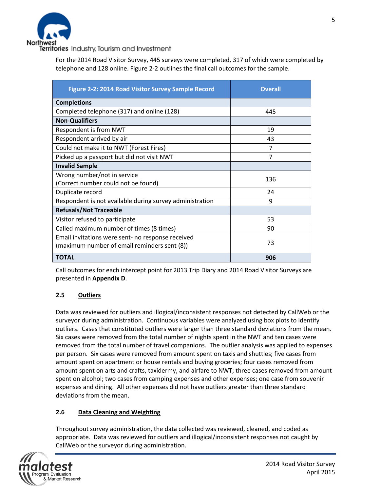

For the 2014 Road Visitor Survey, 445 surveys were completed, 317 of which were completed by telephone and 128 online. Figure 2-2 outlines the final call outcomes for the sample.

| Figure 2-2: 2014 Road Visitor Survey Sample Record       | <b>Overall</b> |
|----------------------------------------------------------|----------------|
| <b>Completions</b>                                       |                |
| Completed telephone (317) and online (128)               | 445            |
| <b>Non-Qualifiers</b>                                    |                |
| Respondent is from NWT                                   | 19             |
| Respondent arrived by air                                | 43             |
| Could not make it to NWT (Forest Fires)                  | 7              |
| Picked up a passport but did not visit NWT               | 7              |
| <b>Invalid Sample</b>                                    |                |
| Wrong number/not in service                              | 136            |
| (Correct number could not be found)                      |                |
| Duplicate record                                         | 24             |
| Respondent is not available during survey administration | 9              |
| <b>Refusals/Not Traceable</b>                            |                |
| Visitor refused to participate                           | 53             |
| Called maximum number of times (8 times)                 | 90             |
| Email invitations were sent- no response received        |                |
| (maximum number of email reminders sent (8))             | 73             |
| <b>TOTAL</b>                                             | 906            |

Call outcomes for each intercept point for 2013 Trip Diary and 2014 Road Visitor Surveys are presented in **Appendix D**.

## <span id="page-10-0"></span>**2.5 Outliers**

Data was reviewed for outliers and illogical/inconsistent responses not detected by CallWeb or the surveyor during administration. Continuous variables were analyzed using box plots to identify outliers. Cases that constituted outliers were larger than three standard deviations from the mean. Six cases were removed from the total number of nights spent in the NWT and ten cases were removed from the total number of travel companions. The outlier analysis was applied to expenses per person. Six cases were removed from amount spent on taxis and shuttles; five cases from amount spent on apartment or house rentals and buying groceries; four cases removed from amount spent on arts and crafts, taxidermy, and airfare to NWT; three cases removed from amount spent on alcohol; two cases from camping expenses and other expenses; one case from souvenir expenses and dining. All other expenses did not have outliers greater than three standard deviations from the mean.

## <span id="page-10-1"></span>**2.6 Data Cleaning and Weighting**

Throughout survey administration, the data collected was reviewed, cleaned, and coded as appropriate. Data was reviewed for outliers and illogical/inconsistent responses not caught by CallWeb or the surveyor during administration.

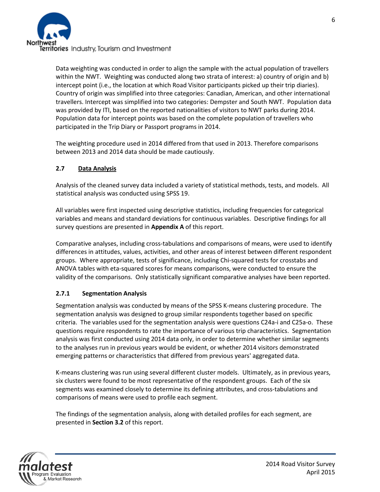Data weighting was conducted in order to align the sample with the actual population of travellers within the NWT. Weighting was conducted along two strata of interest: a) country of origin and b) intercept point (i.e., the location at which Road Visitor participants picked up their trip diaries). Country of origin was simplified into three categories: Canadian, American, and other international travellers. Intercept was simplified into two categories: Dempster and South NWT. Population data was provided by ITI, based on the reported nationalities of visitors to NWT parks during 2014. Population data for intercept points was based on the complete population of travellers who participated in the Trip Diary or Passport programs in 2014.

The weighting procedure used in 2014 differed from that used in 2013. Therefore comparisons between 2013 and 2014 data should be made cautiously.

# <span id="page-11-0"></span>**2.7 Data Analysis**

Analysis of the cleaned survey data included a variety of statistical methods, tests, and models. All statistical analysis was conducted using SPSS 19.

All variables were first inspected using descriptive statistics, including frequencies for categorical variables and means and standard deviations for continuous variables. Descriptive findings for all survey questions are presented in **Appendix A** of this report.

Comparative analyses, including cross-tabulations and comparisons of means, were used to identify differences in attitudes, values, activities, and other areas of interest between different respondent groups. Where appropriate, tests of significance, including Chi-squared tests for crosstabs and ANOVA tables with eta-squared scores for means comparisons, were conducted to ensure the validity of the comparisons. Only statistically significant comparative analyses have been reported.

# <span id="page-11-1"></span>**2.7.1 Segmentation Analysis**

Segmentation analysis was conducted by means of the SPSS K-means clustering procedure. The segmentation analysis was designed to group similar respondents together based on specific criteria. The variables used for the segmentation analysis were questions C24a-i and C25a-o. These questions require respondents to rate the importance of various trip characteristics. Segmentation analysis was first conducted using 2014 data only, in order to determine whether similar segments to the analyses run in previous years would be evident, or whether 2014 visitors demonstrated emerging patterns or characteristics that differed from previous years' aggregated data.

K-means clustering was run using several different cluster models. Ultimately, as in previous years, six clusters were found to be most representative of the respondent groups. Each of the six segments was examined closely to determine its defining attributes, and cross-tabulations and comparisons of means were used to profile each segment.

The findings of the segmentation analysis, along with detailed profiles for each segment, are presented in **Section 3.2** of this report.

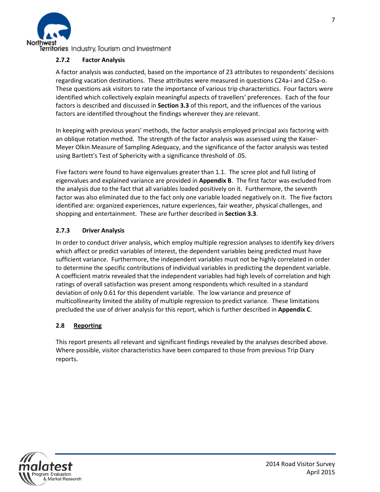

# **2.7.2 Factor Analysis**

A factor analysis was conducted, based on the importance of 23 attributes to respondents' decisions regarding vacation destinations. These attributes were measured in questions C24a-i and C25a-o. These questions ask visitors to rate the importance of various trip characteristics. Four factors were identified which collectively explain meaningful aspects of travellers' preferences. Each of the four factors is described and discussed in **Section 3.3** of this report, and the influences of the various factors are identified throughout the findings wherever they are relevant.

In keeping with previous years' methods, the factor analysis employed principal axis factoring with an oblique rotation method. The strength of the factor analysis was assessed using the Kaiser-Meyer Olkin Measure of Sampling Adequacy, and the significance of the factor analysis was tested using Bartlett's Test of Sphericity with a significance threshold of .05.

Five factors were found to have eigenvalues greater than 1.1. The scree plot and full listing of eigenvalues and explained variance are provided in **Appendix B**. The first factor was excluded from the analysis due to the fact that all variables loaded positively on it. Furthermore, the seventh factor was also eliminated due to the fact only one variable loaded negatively on it. The five factors identified are: organized experiences, nature experiences, fair weather, physical challenges, and shopping and entertainment. These are further described in **Section 3.3**.

# **2.7.3 Driver Analysis**

In order to conduct driver analysis, which employ multiple regression analyses to identify key drivers which affect or predict variables of interest, the dependent variables being predicted must have sufficient variance. Furthermore, the independent variables must not be highly correlated in order to determine the specific contributions of individual variables in predicting the dependent variable. A coefficient matrix revealed that the independent variables had high levels of correlation and high ratings of overall satisfaction was present among respondents which resulted in a standard deviation of only 0.61 for this dependent variable. The low variance and presence of multicollinearity limited the ability of multiple regression to predict variance. These limitations precluded the use of driver analysis for this report, which is further described in **Appendix C**.

## <span id="page-12-0"></span>**2.8 Reporting**

This report presents all relevant and significant findings revealed by the analyses described above. Where possible, visitor characteristics have been compared to those from previous Trip Diary reports.

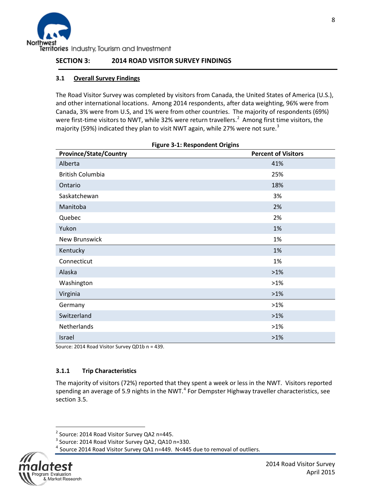

# <span id="page-13-0"></span>**SECTION 3: 2014 ROAD VISITOR SURVEY FINDINGS**

# <span id="page-13-1"></span>**3.1 Overall Survey Findings**

The Road Visitor Survey was completed by visitors from Canada, the United States of America (U.S.), and other international locations. Among 2014 respondents, after data weighting, 96% were from Canada, 3% were from U.S, and 1% were from other countries. The majority of respondents (69%) were first-time visitors to NWT, while 3[2](#page-13-2)% were return travellers.<sup>2</sup> Among first time visitors, the majority (59%) indicated they plan to visit NWT again, while 27% were not sure.<sup>[3](#page-13-3)</sup>

| <b>Province/State/Country</b> | <b>Percent of Visitors</b> |
|-------------------------------|----------------------------|
| Alberta                       | 41%                        |
| <b>British Columbia</b>       | 25%                        |
| Ontario                       | 18%                        |
| Saskatchewan                  | 3%                         |
| Manitoba                      | 2%                         |
| Quebec                        | 2%                         |
| Yukon                         | 1%                         |
| <b>New Brunswick</b>          | 1%                         |
| Kentucky                      | 1%                         |
| Connecticut                   | 1%                         |
| Alaska                        | $>1\%$                     |
| Washington                    | $>1\%$                     |
| Virginia                      | $>1\%$                     |
| Germany                       | $>1\%$                     |
| Switzerland                   | $>1\%$                     |
| Netherlands                   | $>1\%$                     |
| Israel                        | $>1\%$                     |

**Figure 3-1: Respondent Origins**

Source: 2014 Road Visitor Survey QD1b n = 439.

## **3.1.1 Trip Characteristics**

The majority of visitors (72%) reported that they spent a week or less in the NWT. Visitors reported spending an average of 5.9 nights in the NWT. $<sup>4</sup>$  $<sup>4</sup>$  $<sup>4</sup>$  For Dempster Highway traveller characteristics, see</sup> sectio[n 3.5.](#page-57-0)

<span id="page-13-4"></span><span id="page-13-3"></span><span id="page-13-2"></span><sup>4</sup> Source 2014 Road Visitor Survey QA1 n=449. N<445 due to removal of outliers.



<sup>&</sup>lt;sup>2</sup> Source: 2014 Road Visitor Survey QA2 n=445.<br><sup>3</sup> Source: 2014 Road Visitor Survey QA2, QA10 n=330.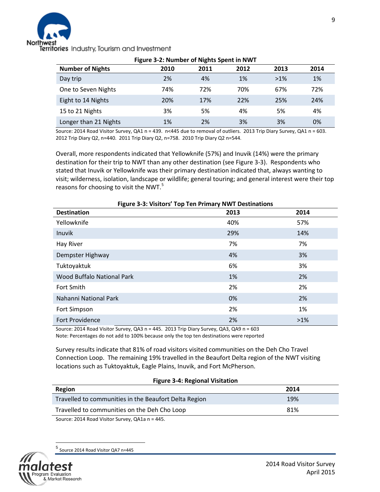

| Figure 3-2: Number of Nights Spent in NWT |      |      |      |        |      |  |
|-------------------------------------------|------|------|------|--------|------|--|
| <b>Number of Nights</b>                   | 2010 | 2011 | 2012 | 2013   | 2014 |  |
| Day trip                                  | 2%   | 4%   | 1%   | $>1\%$ | 1%   |  |
| One to Seven Nights                       | 74%  | 72%  | 70%  | 67%    | 72%  |  |
| Eight to 14 Nights                        | 20%  | 17%  | 22%  | 25%    | 24%  |  |
| 15 to 21 Nights                           | 3%   | 5%   | 4%   | 5%     | 4%   |  |
| Longer than 21 Nights                     | 1%   | 2%   | 3%   | 3%     | 0%   |  |

Source: 2014 Road Visitor Survey, QA1 n = 439. n<445 due to removal of outliers. 2013 Trip Diary Survey, QA1 n = 603. 2012 Trip Diary Q2, n=440. 2011 Trip Diary Q2, n=758. 2010 Trip Diary Q2 n=544.

Overall, more respondents indicated that Yellowknife (57%) and Inuvik (14%) were the primary destination for their trip to NWT than any other destination (see Figure 3-3). Respondents who stated that Inuvik or Yellowknife was their primary destination indicated that, always wanting to visit; wilderness, isolation, landscape or wildlife; general touring; and general interest were their top reasons for choosing to visit the NWT. $5$ 

| Figure 3-3: Visitors' Top Ten Primary NWT Destinations |      |        |  |  |
|--------------------------------------------------------|------|--------|--|--|
| <b>Destination</b>                                     | 2013 | 2014   |  |  |
| Yellowknife                                            | 40%  | 57%    |  |  |
| Inuvik                                                 | 29%  | 14%    |  |  |
| Hay River                                              | 7%   | 7%     |  |  |
| Dempster Highway                                       | 4%   | 3%     |  |  |
| Tuktoyaktuk                                            | 6%   | 3%     |  |  |
| <b>Wood Buffalo National Park</b>                      | 1%   | 2%     |  |  |
| <b>Fort Smith</b>                                      | 2%   | 2%     |  |  |
| Nahanni National Park                                  | 0%   | 2%     |  |  |
| Fort Simpson                                           | 2%   | 1%     |  |  |
| <b>Fort Providence</b>                                 | 2%   | $>1\%$ |  |  |

Source: 2014 Road Visitor Survey, QA3 n = 445. 2013 Trip Diary Survey, QA3, QA9 n = 603 Note: Percentages do not add to 100% because only the top ten destinations were reported

Survey results indicate that 81% of road visitors visited communities on the Deh Cho Travel Connection Loop. The remaining 19% travelled in the Beaufort Delta region of the NWT visiting locations such as Tuktoyaktuk, Eagle Plains, Inuvik, and Fort McPherson.

#### **Figure 3-4: Regional Visitation**

| Region                                                | 2014 |
|-------------------------------------------------------|------|
| Travelled to communities in the Beaufort Delta Region | 19%  |
| Travelled to communities on the Deh Cho Loop          | 81%  |
| $S_0$ urso: 2014 Boad Visitor Survoy $0.112R - 115$   |      |

Source: 2014 Road Visitor Survey, QA1a n = 445.

<sup>5</sup> Source 2014 Road Visitor QA7 n=445

<span id="page-14-0"></span>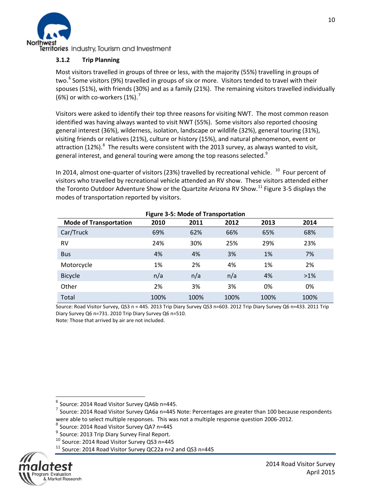

#### **3.1.2 Trip Planning**

Most visitors travelled in groups of three or less, with the majority (55%) travelling in groups of two.<sup>[6](#page-15-0)</sup> Some visitors (9%) travelled in groups of six or more. Visitors tended to travel with their spouses (51%), with friends (30%) and as a family (21%). The remaining visitors travelled individually (6%) or with co-workers  $(1\%)$ .<sup>[7](#page-15-1)</sup>

Visitors were asked to identify their top three reasons for visiting NWT. The most common reason identified was having always wanted to visit NWT (55%). Some visitors also reported choosing general interest (36%), wilderness, isolation, landscape or wildlife (32%), general touring (31%), visiting friends or relatives (21%), culture or history (15%), and natural phenomenon, event or attraction (12%).<sup>[8](#page-15-2)</sup> The results were consistent with the 2013 survey, as always wanted to visit, general interest, and general touring were among the top reasons selected.<sup>[9](#page-15-3)</sup>

In 2014, almost one-quarter of visitors (23%) travelled by recreational vehicle.  $10$  Four percent of visitors who travelled by recreational vehicle attended an RV show. These visitors attended either the Toronto Outdoor Adventure Show or the Quartzite Arizona RV Show.<sup>[11](#page-15-5)</sup> Figure 3-5 displays the modes of transportation reported by visitors.

| <b>Figure 3-5: Mode of Transportation</b> |      |      |      |      |        |  |  |
|-------------------------------------------|------|------|------|------|--------|--|--|
| <b>Mode of Transportation</b>             | 2010 | 2011 | 2012 | 2013 | 2014   |  |  |
| Car/Truck                                 | 69%  | 62%  | 66%  | 65%  | 68%    |  |  |
| RV                                        | 24%  | 30%  | 25%  | 29%  | 23%    |  |  |
| <b>Bus</b>                                | 4%   | 4%   | 3%   | 1%   | 7%     |  |  |
| Motorcycle                                | 1%   | 2%   | 4%   | 1%   | 2%     |  |  |
| <b>Bicycle</b>                            | n/a  | n/a  | n/a  | 4%   | $>1\%$ |  |  |
| Other                                     | 2%   | 3%   | 3%   | 0%   | 0%     |  |  |
| Total                                     | 100% | 100% | 100% | 100% | 100%   |  |  |

Source: Road Visitor Survey, QS3 n = 445. 2013 Trip Diary Survey QS3 n=603. 2012 Trip Diary Survey Q6 n=433. 2011 Trip Diary Survey Q6 n=731. 2010 Trip Diary Survey Q6 n=510.

Note: Those that arrived by air are not included.

<span id="page-15-5"></span><span id="page-15-4"></span><span id="page-15-3"></span><span id="page-15-2"></span><span id="page-15-1"></span><span id="page-15-0"></span><sup>11</sup> Source: 2014 Road Visitor Survey QC22a n=2 and QS3 n=445



<sup>6</sup> Source: 2014 Road Visitor Survey QA6b n=445.

 $7$  Source: 2014 Road Visitor Survey QA6a n=445 Note: Percentages are greater than 100 because respondents were able to select multiple responses. This was not a multiple response question 2006-2012.

<sup>8</sup> Source: 2014 Road Visitor Survey QA7 n=445

<sup>&</sup>lt;sup>9</sup> Source: 2013 Trip Diary Survey Final Report.

<sup>&</sup>lt;sup>10</sup> Source: 2014 Road Visitor Survey QS3 n=445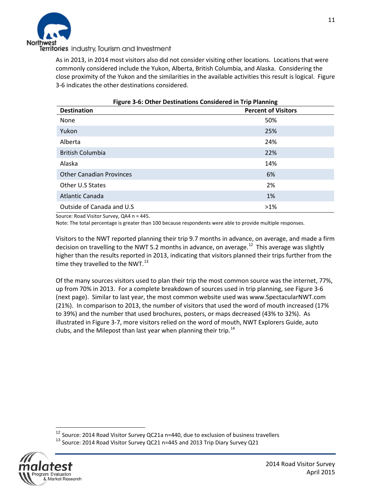

As in 2013, in 2014 most visitors also did not consider visiting other locations. Locations that were commonly considered include the Yukon, Alberta, British Columbia, and Alaska. Considering the close proximity of the Yukon and the similarities in the available activities this result is logical. Figure 3-6 indicates the other destinations considered.

| Figure 3-6: Other Destinations Considered in Trip Planning |                            |  |  |  |
|------------------------------------------------------------|----------------------------|--|--|--|
| <b>Destination</b>                                         | <b>Percent of Visitors</b> |  |  |  |
| None                                                       | 50%                        |  |  |  |
| Yukon                                                      | 25%                        |  |  |  |
| Alberta                                                    | 24%                        |  |  |  |
| <b>British Columbia</b>                                    | 22%                        |  |  |  |
| Alaska                                                     | 14%                        |  |  |  |
| <b>Other Canadian Provinces</b>                            | 6%                         |  |  |  |
| Other U.S States                                           | 2%                         |  |  |  |
| Atlantic Canada                                            | 1%                         |  |  |  |
| Outside of Canada and U.S.                                 | $>1\%$                     |  |  |  |

Source: Road Visitor Survey, QA4 n = 445.

Note: The total percentage is greater than 100 because respondents were able to provide multiple responses.

Visitors to the NWT reported planning their trip 9.7 months in advance, on average, and made a firm decision on travelling to the NWT 5.2 months in advance, on average.<sup>[12](#page-16-0)</sup> This average was slightly higher than the results reported in 2013, indicating that visitors planned their trips further from the time they travelled to the NWT.<sup>[13](#page-16-1)</sup>

Of the many sources visitors used to plan their trip the most common source was the internet, 77%, up from 70% in 2013. For a complete breakdown of sources used in trip planning, see Figure 3-6 (next page). Similar to last year, the most common website used was [www.SpectacularNWT.com](http://www.spectacularnwt.com/) (21%). In comparison to 2013, the number of visitors that used the word of mouth increased (17% to 39%) and the number that used brochures, posters, or maps decreased (43% to 32%). As illustrated in Figure 3-7, more visitors relied on the word of mouth, NWT Explorers Guide, auto clubs, and the Milepost than last year when planning their trip.<sup>[14](#page-16-2)</sup>

<span id="page-16-2"></span><span id="page-16-1"></span><span id="page-16-0"></span><sup>&</sup>lt;sup>13</sup> Source: 2014 Road Visitor Survey QC21 n=445 and 2013 Trip Diary Survey Q21



 $12$  Source: 2014 Road Visitor Survey QC21a n=440, due to exclusion of business travellers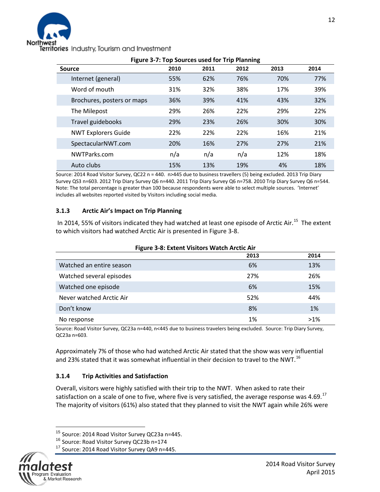

| Figure 3-7: Top Sources used for Trip Planning |                                      |     |     |     |     |  |
|------------------------------------------------|--------------------------------------|-----|-----|-----|-----|--|
| Source                                         | 2014<br>2011<br>2012<br>2013<br>2010 |     |     |     |     |  |
| Internet (general)                             | 55%                                  | 62% | 76% | 70% | 77% |  |
| Word of mouth                                  | 31%                                  | 32% | 38% | 17% | 39% |  |
| Brochures, posters or maps                     | 36%                                  | 39% | 41% | 43% | 32% |  |
| The Milepost                                   | 29%                                  | 26% | 22% | 29% | 22% |  |
| Travel guidebooks                              | 29%                                  | 23% | 26% | 30% | 30% |  |
| <b>NWT Explorers Guide</b>                     | 22%                                  | 22% | 22% | 16% | 21% |  |
| SpectacularNWT.com                             | 20%                                  | 16% | 27% | 27% | 21% |  |
| NWTParks.com                                   | n/a                                  | n/a | n/a | 12% | 18% |  |
| Auto clubs                                     | 15%                                  | 13% | 19% | 4%  | 18% |  |

Source: 2014 Road Visitor Survey, QC22 n = 440. n>445 due to business travellers (5) being excluded. 2013 Trip Diary Survey QS3 n=603. 2012 Trip Diary Survey Q6 n=440. 2011 Trip Diary Survey Q6 n=758. 2010 Trip Diary Survey Q6 n=544. Note: The total percentage is greater than 100 because respondents were able to select multiple sources. 'Internet' includes all websites reported visited by Visitors including social media.

# **3.1.3 Arctic Air's Impact on Trip Planning**

In 2014, 55% of visitors indicated they had watched at least one episode of Arctic Air.<sup>[15](#page-17-0)</sup> The extent to which visitors had watched Arctic Air is presented in Figure 3-8.

| Figure 3-8: Extent Visitors Watch Arctic Air |      |        |  |  |
|----------------------------------------------|------|--------|--|--|
|                                              | 2013 | 2014   |  |  |
| Watched an entire season                     | 6%   | 13%    |  |  |
| Watched several episodes                     | 27%  | 26%    |  |  |
| Watched one episode                          | 6%   | 15%    |  |  |
| Never watched Arctic Air                     | 52%  | 44%    |  |  |
| Don't know                                   | 8%   | 1%     |  |  |
| No response                                  | 1%   | $>1\%$ |  |  |

Source: Road Visitor Survey, QC23a n=440, n<445 due to business travelers being excluded. Source: Trip Diary Survey, QC23a n=603.

Approximately 7% of those who had watched Arctic Air stated that the show was very influential and 23% stated that it was somewhat influential in their decision to travel to the NWT.<sup>[16](#page-17-1)</sup>

## **3.1.4 Trip Activities and Satisfaction**

Overall, visitors were highly satisfied with their trip to the NWT. When asked to rate their satisfaction on a scale of one to five, where five is very satisfied, the average response was 4.69. $^{17}$  $^{17}$  $^{17}$ The majority of visitors (61%) also stated that they planned to visit the NWT again while 26% were

<span id="page-17-2"></span><span id="page-17-1"></span><span id="page-17-0"></span><sup>17</sup> Source: 2014 Road Visitor Survey QA9 n=445.



<sup>15</sup> Source: 2014 Road Visitor Survey QC23a n=445.

<sup>16</sup> Source: Road Visitor Survey QC23b n=174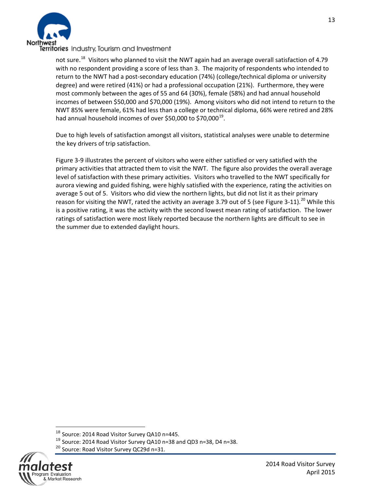

not sure.<sup>[18](#page-18-0)</sup> Visitors who planned to visit the NWT again had an average overall satisfaction of 4.79 with no respondent providing a score of less than 3. The majority of respondents who intended to return to the NWT had a post-secondary education (74%) (college/technical diploma or university degree) and were retired (41%) or had a professional occupation (21%). Furthermore, they were most commonly between the ages of 55 and 64 (30%), female (58%) and had annual household incomes of between \$50,000 and \$70,000 (19%). Among visitors who did not intend to return to the NWT 85% were female, 61% had less than a college or technical diploma, 66% were retired and 28% had annual household incomes of over \$50,000 to \$70,000<sup>[19](#page-18-1)</sup>.

Due to high levels of satisfaction amongst all visitors, statistical analyses were unable to determine the key drivers of trip satisfaction.

Figure 3-9 illustrates the percent of visitors who were either satisfied or very satisfied with the primary activities that attracted them to visit the NWT. The figure also provides the overall average level of satisfaction with these primary activities. Visitors who travelled to the NWT specifically for aurora viewing and guided fishing, were highly satisfied with the experience, rating the activities on average 5 out of 5. Visitors who did view the northern lights, but did not list it as their primary reason for visiting the NWT, rated the activity an average 3.79 out of 5 (see Figure 3-11).<sup>[20](#page-18-2)</sup> While this is a positive rating, it was the activity with the second lowest mean rating of satisfaction. The lower ratings of satisfaction were most likely reported because the northern lights are difficult to see in the summer due to extended daylight hours.

<span id="page-18-2"></span><span id="page-18-1"></span><span id="page-18-0"></span><sup>&</sup>lt;sup>20</sup> Source: Road Visitor Survey QC29d n=31.



<sup>18</sup> Source: 2014 Road Visitor Survey QA10 n=445.

<sup>19</sup> Source: 2014 Road Visitor Survey QA10 n=38 and QD3 n=38, D4 n=38.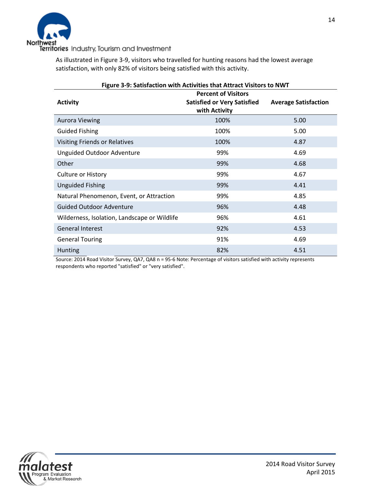

As illustrated in Figure 3-9, visitors who travelled for hunting reasons had the lowest average satisfaction, with only 82% of visitors being satisfied with this activity.

| Figure 3-9: Satisfaction with Activities that Attract Visitors to NWT |                                    |                             |  |  |  |  |
|-----------------------------------------------------------------------|------------------------------------|-----------------------------|--|--|--|--|
| <b>Percent of Visitors</b>                                            |                                    |                             |  |  |  |  |
| <b>Activity</b>                                                       | <b>Satisfied or Very Satisfied</b> | <b>Average Satisfaction</b> |  |  |  |  |
|                                                                       | with Activity                      |                             |  |  |  |  |
| <b>Aurora Viewing</b>                                                 | 100%                               | 5.00                        |  |  |  |  |
| <b>Guided Fishing</b>                                                 | 100%                               | 5.00                        |  |  |  |  |
| Visiting Friends or Relatives                                         | 100%                               | 4.87                        |  |  |  |  |
| Unguided Outdoor Adventure                                            | 99%                                | 4.69                        |  |  |  |  |
| Other                                                                 | 99%                                | 4.68                        |  |  |  |  |
| Culture or History                                                    | 99%                                | 4.67                        |  |  |  |  |
| <b>Unguided Fishing</b>                                               | 99%                                | 4.41                        |  |  |  |  |
| Natural Phenomenon, Event, or Attraction                              | 99%                                | 4.85                        |  |  |  |  |
| <b>Guided Outdoor Adventure</b>                                       | 96%                                | 4.48                        |  |  |  |  |
| Wilderness, Isolation, Landscape or Wildlife                          | 96%                                | 4.61                        |  |  |  |  |
| <b>General Interest</b>                                               | 92%                                | 4.53                        |  |  |  |  |
| <b>General Touring</b>                                                | 91%                                | 4.69                        |  |  |  |  |
| <b>Hunting</b>                                                        | 82%                                | 4.51                        |  |  |  |  |

Source: 2014 Road Visitor Survey, QA7, QA8 n = 95-6 Note: Percentage of visitors satisfied with activity represents respondents who reported "satisfied" or "very satisfied".

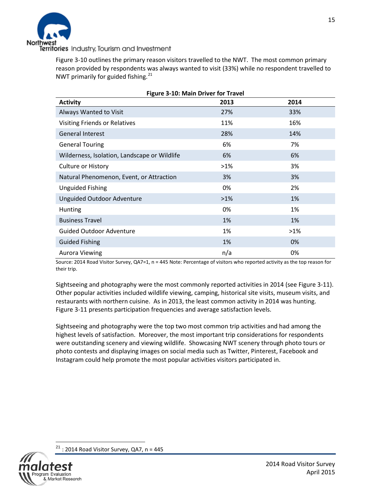

Figure 3-10 outlines the primary reason visitors travelled to the NWT. The most common primary reason provided by respondents was always wanted to visit (33%) while no respondent travelled to NWT primarily for guided fishing.<sup>[21](#page-20-0)</sup>

| Figure 3-10: Main Driver for Travel          |        |        |  |  |
|----------------------------------------------|--------|--------|--|--|
| <b>Activity</b>                              | 2013   | 2014   |  |  |
| Always Wanted to Visit                       | 27%    | 33%    |  |  |
| <b>Visiting Friends or Relatives</b>         | 11%    | 16%    |  |  |
| <b>General Interest</b>                      | 28%    | 14%    |  |  |
| <b>General Touring</b>                       | 6%     | 7%     |  |  |
| Wilderness, Isolation, Landscape or Wildlife | 6%     | 6%     |  |  |
| Culture or History                           | $>1\%$ | 3%     |  |  |
| Natural Phenomenon, Event, or Attraction     | 3%     | 3%     |  |  |
| <b>Unguided Fishing</b>                      | 0%     | 2%     |  |  |
| Unguided Outdoor Adventure                   | $>1\%$ | 1%     |  |  |
| <b>Hunting</b>                               | 0%     | 1%     |  |  |
| <b>Business Travel</b>                       | 1%     | 1%     |  |  |
| <b>Guided Outdoor Adventure</b>              | 1%     | $>1\%$ |  |  |
| <b>Guided Fishing</b>                        | 1%     | 0%     |  |  |
| <b>Aurora Viewing</b>                        | n/a    | 0%     |  |  |

Source: 2014 Road Visitor Survey, QA7=1, n = 445 Note: Percentage of visitors who reported activity as the top reason for their trip.

Sightseeing and photography were the most commonly reported activities in 2014 (see Figure 3-11). Other popular activities included wildlife viewing, camping, historical site visits, museum visits, and restaurants with northern cuisine. As in 2013, the least common activity in 2014 was hunting. Figure 3-11 presents participation frequencies and average satisfaction levels.

Sightseeing and photography were the top two most common trip activities and had among the highest levels of satisfaction. Moreover, the most important trip considerations for respondents were outstanding scenery and viewing wildlife. Showcasing NWT scenery through photo tours or photo contests and displaying images on social media such as Twitter, Pinterest, Facebook and Instagram could help promote the most popular activities visitors participated in.



<span id="page-20-0"></span>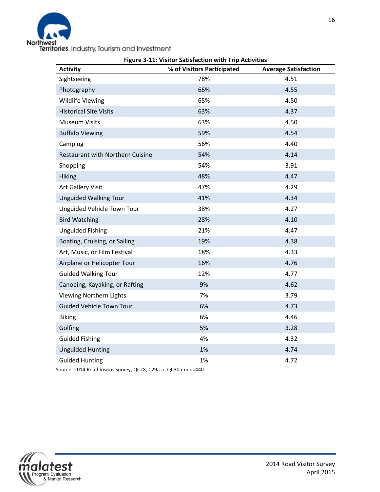

| Figure 3-11: Visitor Satisfaction with Trip Activities |                            |                             |  |  |
|--------------------------------------------------------|----------------------------|-----------------------------|--|--|
| <b>Activity</b>                                        | % of Visitors Participated | <b>Average Satisfaction</b> |  |  |
| Sightseeing                                            | 78%                        | 4.51                        |  |  |
| Photography                                            | 66%                        | 4.55                        |  |  |
| <b>Wildlife Viewing</b>                                | 65%                        | 4.50                        |  |  |
| <b>Historical Site Visits</b>                          | 63%                        | 4.37                        |  |  |
| <b>Museum Visits</b>                                   | 63%                        | 4.50                        |  |  |
| <b>Buffalo Viewing</b>                                 | 59%                        | 4.54                        |  |  |
| Camping                                                | 56%                        | 4.40                        |  |  |
| <b>Restaurant with Northern Cuisine</b>                | 54%                        | 4.14                        |  |  |
| Shopping                                               | 54%                        | 3.91                        |  |  |
| <b>Hiking</b>                                          | 48%                        | 4.47                        |  |  |
| Art Gallery Visit                                      | 47%                        | 4.29                        |  |  |
| <b>Unguided Walking Tour</b>                           | 41%                        | 4.34                        |  |  |
| <b>Unguided Vehicle Town Tour</b>                      | 38%                        | 4.27                        |  |  |
| <b>Bird Watching</b>                                   | 28%                        | 4.10                        |  |  |
| <b>Unguided Fishing</b>                                | 21%                        | 4.47                        |  |  |
| Boating, Cruising, or Sailing                          | 19%                        | 4.38                        |  |  |
| Art, Music, or Film Festival                           | 18%                        | 4.33                        |  |  |
| Airplane or Helicopter Tour                            | 16%                        | 4.76                        |  |  |
| <b>Guided Walking Tour</b>                             | 12%                        | 4.77                        |  |  |
| Canoeing, Kayaking, or Rafting                         | 9%                         | 4.62                        |  |  |
| <b>Viewing Northern Lights</b>                         | 7%                         | 3.79                        |  |  |
| <b>Guided Vehicle Town Tour</b>                        | 6%                         | 4.73                        |  |  |
| <b>Biking</b>                                          | 6%                         | 4.46                        |  |  |
| Golfing                                                | 5%                         | 3.28                        |  |  |
| <b>Guided Fishing</b>                                  | 4%                         | 4.32                        |  |  |
| <b>Unguided Hunting</b>                                | 1%                         | 4.74                        |  |  |
| <b>Guided Hunting</b>                                  | 1%                         | 4.72                        |  |  |

Source: 2014 Road Visitor Survey, QC28, C29a-o, QC30a-m n=440.

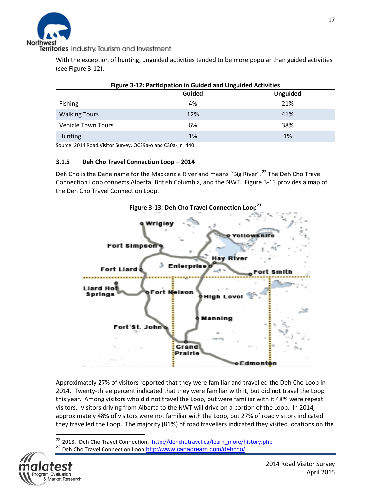

With the exception of hunting, unguided activities tended to be more popular than guided activities (see Figure 3-12).

| <b>Figure 3-12: Participation in Guided and Unguided Activities</b> |     |     |  |  |
|---------------------------------------------------------------------|-----|-----|--|--|
| Guided<br><b>Unguided</b>                                           |     |     |  |  |
| <b>Fishing</b>                                                      | 4%  | 21% |  |  |
| <b>Walking Tours</b>                                                | 12% | 41% |  |  |
| <b>Vehicle Town Tours</b>                                           | 6%  | 38% |  |  |
| <b>Hunting</b>                                                      | 1%  | 1%  |  |  |

Source: 2014 Road Visitor Survey, QC29a-o and C30a-; n=440

## **3.1.5 Deh Cho Travel Connection Loop – 2014**

Deh Cho is the Dene name for the Mackenzie River and means "Big River".<sup>[22](#page-22-0)</sup> The Deh Cho Travel Connection Loop connects Alberta, British Columbia, and the NWT. Figure 3-13 provides a map of the Deh Cho Travel Connection Loop.



Approximately 27% of visitors reported that they were familiar and travelled the Deh Cho Loop in 2014. Twenty-three percent indicated that they were familiar with it, but did not travel the Loop this year. Among visitors who did not travel the Loop, but were familiar with it 48% were repeat visitors. Visitors driving from Alberta to the NWT will drive on a portion of the Loop. In 2014, approximately 48% of visitors were not familiar with the Loop, but 27% of road visitors indicated they travelled the Loop. The majority (81%) of road travellers indicated they visited locations on the

<span id="page-22-1"></span><span id="page-22-0"></span><sup>&</sup>lt;sup>23</sup> Deh Cho Travel Connection Loop <http://www.canadream.com/dehcho/>



<sup>&</sup>lt;sup>22</sup> 2013. Deh Cho Travel Connection. [http://dehchotravel.ca/learn\\_more/history.php](http://dehchotravel.ca/learn_more/history.php)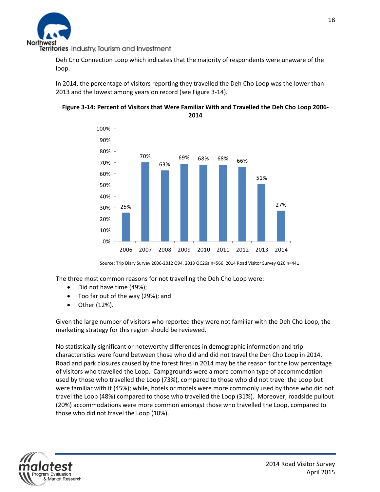

Deh Cho Connection Loop which indicates that the majority of respondents were unaware of the loop.

In 2014, the percentage of visitors reporting they travelled the Deh Cho Loop was the lower than 2013 and the lowest among years on record (see Figure 3-14).





Source: Trip Diary Survey 2006-2012 Q94, 2013 QC26a n=566, 2014 Road Visitor Survey Q26 n=441

The three most common reasons for not travelling the Deh Cho Loop were:

- Did not have time (49%);
- Too far out of the way (29%); and
- Other (12%).

Given the large number of visitors who reported they were not familiar with the Deh Cho Loop, the marketing strategy for this region should be reviewed.

No statistically significant or noteworthy differences in demographic information and trip characteristics were found between those who did and did not travel the Deh Cho Loop in 2014. Road and park closures caused by the forest fires in 2014 may be the reason for the low percentage of visitors who travelled the Loop. Campgrounds were a more common type of accommodation used by those who travelled the Loop (73%), compared to those who did not travel the Loop but were familiar with it (45%); while, hotels or motels were more commonly used by those who did not travel the Loop (48%) compared to those who travelled the Loop (31%). Moreover, roadside pullout (20%) accommodations were more common amongst those who travelled the Loop, compared to those who did not travel the Loop (10%).

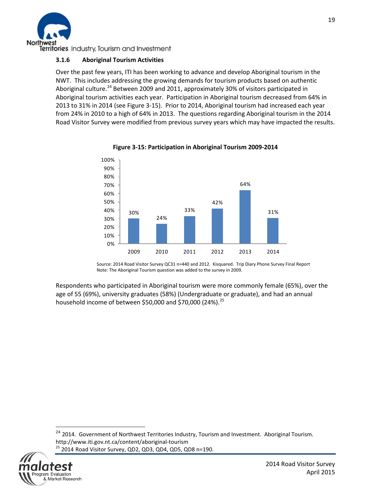

# **3.1.6 Aboriginal Tourism Activities**

Over the past few years, ITI has been working to advance and develop Aboriginal tourism in the NWT. This includes addressing the growing demands for tourism products based on authentic Aboriginal culture.<sup>[24](#page-24-0)</sup> Between 2009 and 2011, approximately 30% of visitors participated in Aboriginal tourism activities each year. Participation in Aboriginal tourism decreased from 64% in 2013 to 31% in 2014 (see Figure 3-15). Prior to 2014, Aboriginal tourism had increased each year from 24% in 2010 to a high of 64% in 2013. The questions regarding Aboriginal tourism in the 2014 Road Visitor Survey were modified from previous survey years which may have impacted the results.



**Figure 3-15: Participation in Aboriginal Tourism 2009-2014**

Source: 2014 Road Visitor Survey QC31 n=440 and 2012. Kisquared. Trip Diary Phone Survey Final Report Note: The Aboriginal Tourism question was added to the survey in 2009.

Respondents who participated in Aboriginal tourism were more commonly female (65%), over the age of 55 (69%), university graduates (58%) (Undergraduate or graduate), and had an annual household income of between \$50,000 and \$70,000 (24%).<sup>[25](#page-24-1)</sup>

<sup>24</sup> 2014. Government of Northwest Territories Industry, Tourism and Investment. Aboriginal Tourism.<br>http://www.iti.gov.nt.ca/content/aboriginal-tourism  $n^{25}$  2014 Road Visitor Survey, QD2, QD3, QD4, QD5, QD8 n=190.

<span id="page-24-1"></span><span id="page-24-0"></span>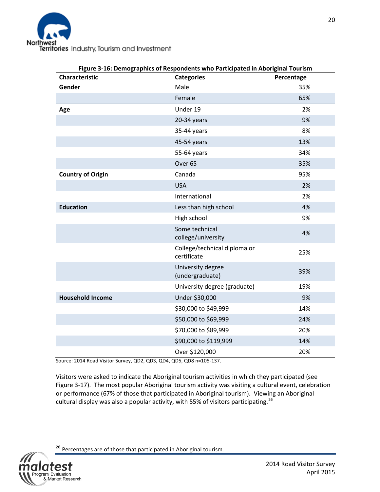| Characteristic           | <b>Categories</b>                           | Percentage |
|--------------------------|---------------------------------------------|------------|
| Gender                   | Male                                        | 35%        |
|                          | Female                                      | 65%        |
| Age                      | Under 19                                    | 2%         |
|                          | $20-34$ years                               | 9%         |
|                          | 35-44 years                                 | 8%         |
|                          | 45-54 years                                 | 13%        |
|                          | 55-64 years                                 | 34%        |
|                          | Over <sub>65</sub>                          | 35%        |
| <b>Country of Origin</b> | Canada                                      | 95%        |
|                          | <b>USA</b>                                  | 2%         |
|                          | International                               | 2%         |
| <b>Education</b>         | Less than high school                       | 4%         |
|                          | High school                                 | 9%         |
|                          | Some technical<br>college/university        | 4%         |
|                          | College/technical diploma or<br>certificate | 25%        |
|                          | University degree<br>(undergraduate)        | 39%        |
|                          | University degree (graduate)                | 19%        |
| <b>Household Income</b>  | Under \$30,000                              | 9%         |
|                          | \$30,000 to \$49,999                        | 14%        |
|                          | \$50,000 to \$69,999                        | 24%        |
|                          | \$70,000 to \$89,999                        | 20%        |
|                          | \$90,000 to \$119,999                       | 14%        |
|                          | Over \$120,000                              | 20%        |

| Figure 3-16: Demographics of Respondents who Participated in Aboriginal Tourism |  |  |
|---------------------------------------------------------------------------------|--|--|
|                                                                                 |  |  |

Source: 2014 Road Visitor Survey, QD2, QD3, QD4, QD5, QD8 n=105-137.

Visitors were asked to indicate the Aboriginal tourism activities in which they participated (see Figure 3-17). The most popular Aboriginal tourism activity was visiting a cultural event, celebration or performance (67% of those that participated in Aboriginal tourism). Viewing an Aboriginal cultural display was also a popular activity, with 55% of visitors participating.<sup>[26](#page-25-0)</sup>

 $26$  Percentages are of those that participated in Aboriginal tourism.

<span id="page-25-0"></span>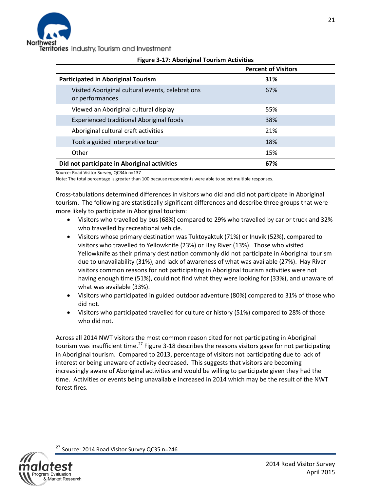

| $1.891C3 1.7370180180101 10001300 110000000$                        |                            |  |  |
|---------------------------------------------------------------------|----------------------------|--|--|
|                                                                     | <b>Percent of Visitors</b> |  |  |
| <b>Participated in Aboriginal Tourism</b>                           | 31%                        |  |  |
| Visited Aboriginal cultural events, celebrations<br>or performances | 67%                        |  |  |
| Viewed an Aboriginal cultural display                               | 55%                        |  |  |
| Experienced traditional Aboriginal foods                            | 38%                        |  |  |
| Aboriginal cultural craft activities                                | 21%                        |  |  |
| Took a guided interpretive tour                                     | 18%                        |  |  |
| Other                                                               | 15%                        |  |  |
| Did not participate in Aboriginal activities                        | 67%                        |  |  |

**Figure 3-17: Aboriginal Tourism Activities**

Source: Road Visitor Survey, QC34b n=137

Note: The total percentage is greater than 100 because respondents were able to select multiple responses.

Cross-tabulations determined differences in visitors who did and did not participate in Aboriginal tourism. The following are statistically significant differences and describe three groups that were more likely to participate in Aboriginal tourism:

- Visitors who travelled by bus (68%) compared to 29% who travelled by car or truck and 32% who travelled by recreational vehicle.
- Visitors whose primary destination was Tuktoyaktuk (71%) or Inuvik (52%), compared to visitors who travelled to Yellowknife (23%) or Hay River (13%). Those who visited Yellowknife as their primary destination commonly did not participate in Aboriginal tourism due to unavailability (31%), and lack of awareness of what was available (27%). Hay River visitors common reasons for not participating in Aboriginal tourism activities were not having enough time (51%), could not find what they were looking for (33%), and unaware of what was available (33%).
- Visitors who participated in guided outdoor adventure (80%) compared to 31% of those who did not.
- Visitors who participated travelled for culture or history (51%) compared to 28% of those who did not.

Across all 2014 NWT visitors the most common reason cited for not participating in Aboriginal tourism was insufficient time.<sup>[27](#page-26-0)</sup> Figure 3-18 describes the reasons visitors gave for not participating in Aboriginal tourism. Compared to 2013, percentage of visitors not participating due to lack of interest or being unaware of activity decreased. This suggests that visitors are becoming increasingly aware of Aboriginal activities and would be willing to participate given they had the time. Activities or events being unavailable increased in 2014 which may be the result of the NWT forest fires.

<sup>27</sup> Source: 2014 Road Visitor Survey QC35 n=246

<span id="page-26-0"></span>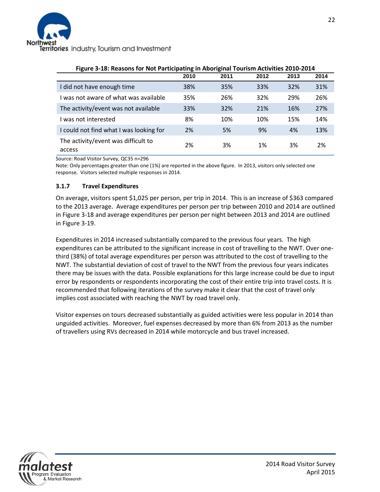

|                                               | -    | -    |      |      |      |
|-----------------------------------------------|------|------|------|------|------|
|                                               | 2010 | 2011 | 2012 | 2013 | 2014 |
| I did not have enough time                    | 38%  | 35%  | 33%  | 32%  | 31%  |
| was not aware of what was available           | 35%  | 26%  | 32%  | 29%  | 26%  |
| The activity/event was not available          | 33%  | 32%  | 21%  | 16%  | 27%  |
| was not interested                            | 8%   | 10%  | 10%  | 15%  | 14%  |
| I could not find what I was looking for       | 2%   | 5%   | 9%   | 4%   | 13%  |
| The activity/event was difficult to<br>access | 2%   | 3%   | 1%   | 3%   | 2%   |

#### **Figure 3-18: Reasons for Not Participating in Aboriginal Tourism Activities 2010-2014**

Source: Road Visitor Survey, QC35 n=296

Note: Only percentages greater than one (1%) are reported in the above figure. In 2013, visitors only selected one response. Visitors selected multiple responses in 2014.

#### **3.1.7 Travel Expenditures**

On average, visitors spent \$1,025 per person, per trip in 2014. This is an increase of \$363 compared to the 2013 average. Average expenditures per person per trip between 2010 and 2014 are outlined in Figure 3-18 and average expenditures per person per night between 2013 and 2014 are outlined in Figure 3-19.

Expenditures in 2014 increased substantially compared to the previous four years. The high expenditures can be attributed to the significant increase in cost of travelling to the NWT. Over onethird (38%) of total average expenditures per person was attributed to the cost of travelling to the NWT. The substantial deviation of cost of travel to the NWT from the previous four years indicates there may be issues with the data. Possible explanations for this large increase could be due to input error by respondents or respondents incorporating the cost of their entire trip into travel costs. It is recommended that following iterations of the survey make it clear that the cost of travel only implies cost associated with reaching the NWT by road travel only.

Visitor expenses on tours decreased substantially as guided activities were less popular in 2014 than unguided activities. Moreover, fuel expenses decreased by more than 6% from 2013 as the number of travellers using RVs decreased in 2014 while motorcycle and bus travel increased.

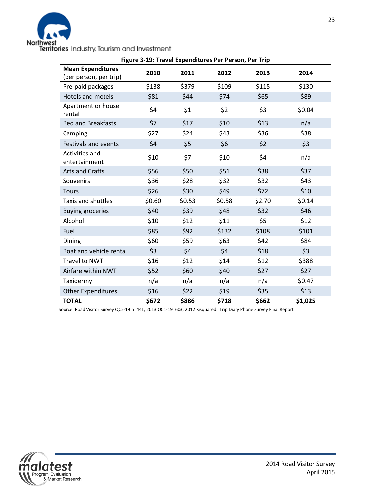

**Figure 3-19: Travel Expenditures Per Person, Per Trip**

| <b>Mean Expenditures</b><br>(per person, per trip) | 2010   | 2011   | 2012   | 2013   | 2014    |
|----------------------------------------------------|--------|--------|--------|--------|---------|
| Pre-paid packages                                  | \$138  | \$379  | \$109  | \$115  | \$130   |
| Hotels and motels                                  | \$81   | \$44   | \$74   | \$65   | \$89    |
| Apartment or house<br>rental                       | \$4    | \$1    | \$2    | \$3    | \$0.04  |
| <b>Bed and Breakfasts</b>                          | \$7    | \$17   | \$10   | \$13   | n/a     |
| Camping                                            | \$27   | \$24   | \$43   | \$36   | \$38    |
| <b>Festivals and events</b>                        | \$4    | \$5    | \$6    | \$2    | \$3     |
| Activities and<br>entertainment                    | \$10   | \$7    | \$10   | \$4    | n/a     |
| Arts and Crafts                                    | \$56   | \$50   | \$51   | \$38   | \$37    |
| Souvenirs                                          | \$36   | \$28   | \$32   | \$32   | \$43    |
| <b>Tours</b>                                       | \$26   | \$30   | \$49   | \$72   | \$10    |
| Taxis and shuttles                                 | \$0.60 | \$0.53 | \$0.58 | \$2.70 | \$0.14  |
| <b>Buying groceries</b>                            | \$40   | \$39   | \$48   | \$32   | \$46    |
| Alcohol                                            | \$10   | \$12   | \$11   | \$5    | \$12    |
| Fuel                                               | \$85   | \$92   | \$132  | \$108  | \$101   |
| <b>Dining</b>                                      | \$60   | \$59   | \$63   | \$42   | \$84    |
| Boat and vehicle rental                            | \$3    | \$4    | \$4    | \$18   | \$3     |
| Travel to NWT                                      | \$16   | \$12   | \$14   | \$12   | \$388   |
| Airfare within NWT                                 | \$52   | \$60   | \$40   | \$27   | \$27    |
| Taxidermy                                          | n/a    | n/a    | n/a    | n/a    | \$0.47  |
| <b>Other Expenditures</b>                          | \$16   | \$22   | \$19   | \$35   | \$13    |
| <b>TOTAL</b>                                       | \$672  | \$886  | \$718  | \$662  | \$1,025 |

Source: Road Visitor Survey QC2-19 n=441, 2013 QC1-19=603, 2012 Kisquared. Trip Diary Phone Survey Final Report

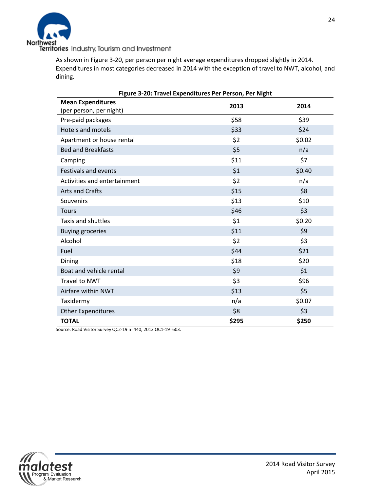

Northwest<br>Territories Industry, Tourism and Investment

As shown in Figure 3-20, per person per night average expenditures dropped slightly in 2014. Expenditures in most categories decreased in 2014 with the exception of travel to NWT, alcohol, and dining.

| Figure 3-20: Travel Expenditures Per Person, Per Night |       |        |  |
|--------------------------------------------------------|-------|--------|--|
| <b>Mean Expenditures</b>                               | 2013  | 2014   |  |
| (per person, per night)                                |       |        |  |
| Pre-paid packages                                      | \$58  | \$39   |  |
| Hotels and motels                                      | \$33  | \$24   |  |
| Apartment or house rental                              | \$2   | \$0.02 |  |
| <b>Bed and Breakfasts</b>                              | \$5   | n/a    |  |
| Camping                                                | \$11  | \$7    |  |
| <b>Festivals and events</b>                            | \$1   | \$0.40 |  |
| Activities and entertainment                           | \$2   | n/a    |  |
| <b>Arts and Crafts</b>                                 | \$15  | \$8    |  |
| Souvenirs                                              | \$13  | \$10   |  |
| <b>Tours</b>                                           | \$46  | \$3    |  |
| Taxis and shuttles                                     | \$1   | \$0.20 |  |
| <b>Buying groceries</b>                                | \$11  | \$9    |  |
| Alcohol                                                | \$2   | \$3    |  |
| Fuel                                                   | \$44  | \$21   |  |
| Dining                                                 | \$18  | \$20   |  |
| Boat and vehicle rental                                | \$9   | \$1    |  |
| Travel to NWT                                          | \$3   | \$96   |  |
| Airfare within NWT                                     | \$13  | \$5    |  |
| Taxidermy                                              | n/a   | \$0.07 |  |
| <b>Other Expenditures</b>                              | \$8   | \$3    |  |
| <b>TOTAL</b>                                           | \$295 | \$250  |  |

<span id="page-29-0"></span>Source: Road Visitor Survey QC2-19 n=440, 2013 QC1-19=603.

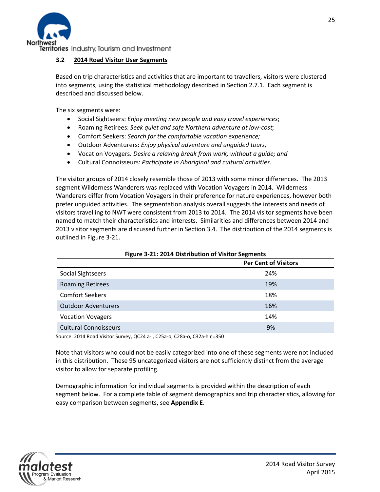

# **3.2 2014 Road Visitor User Segments**

Based on trip characteristics and activities that are important to travellers, visitors were clustered into segments, using the statistical methodology described in Section [2.7.1.](#page-11-1) Each segment is described and discussed below.

The six segments were:

- Social Sightseers: *Enjoy meeting new people and easy travel experiences*;
- Roaming Retirees: *Seek quiet and safe Northern adventure at low-cost;*
- Comfort Seekers: *Search for the comfortable vacation experience;*
- Outdoor Adventurers: *Enjoy physical adventure and unguided tours;*
- Vocation Voyagers*: Desire a relaxing break from work, without a guide; and*
- Cultural Connoisseurs: *Participate in Aboriginal and cultural activities.*

The visitor groups of 2014 closely resemble those of 2013 with some minor differences. The 2013 segment Wilderness Wanderers was replaced with Vocation Voyagers in 2014. Wilderness Wanderers differ from Vocation Voyagers in their preference for nature experiences, however both prefer unguided activities. The segmentation analysis overall suggests the interests and needs of visitors travelling to NWT were consistent from 2013 to 2014. The 2014 visitor segments have been named to match their characteristics and interests. Similarities and differences between 2014 and 2013 visitor segments are discussed further in Section 3.4. The distribution of the 2014 segments is outlined in Figure 3-21.

| <b>I IGUIT 2014 DISTINGULUI UI VISITUI JEGINEITS</b> |                             |  |
|------------------------------------------------------|-----------------------------|--|
|                                                      | <b>Per Cent of Visitors</b> |  |
| Social Sightseers                                    | 24%                         |  |
| <b>Roaming Retirees</b>                              | 19%                         |  |
| <b>Comfort Seekers</b>                               | 18%                         |  |
| <b>Outdoor Adventurers</b>                           | 16%                         |  |
| <b>Vocation Voyagers</b>                             | 14%                         |  |
| <b>Cultural Connoisseurs</b>                         | 9%                          |  |

| Figure 3-21: 2014 Distribution of Visitor Segments |
|----------------------------------------------------|
|----------------------------------------------------|

Source: 2014 Road Visitor Survey, QC24 a-i, C25a-o, C28a-o, C32a-h n=350

Note that visitors who could not be easily categorized into one of these segments were not included in this distribution. These 95 uncategorized visitors are not sufficiently distinct from the average visitor to allow for separate profiling.

Demographic information for individual segments is provided within the description of each segment below. For a complete table of segment demographics and trip characteristics, allowing for easy comparison between segments, see **Appendix E**.

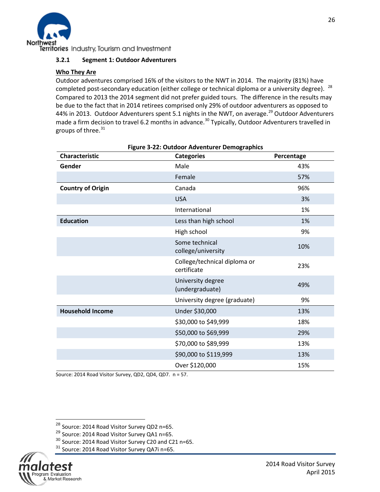

# **3.2.1 Segment 1: Outdoor Adventurers**

# **Who They Are**

Outdoor adventures comprised 16% of the visitors to the NWT in 2014. The majority (81%) have completed post-secondary education (either college or technical diploma or a university degree). <sup>[28](#page-31-0)</sup> Compared to 2013 the 2014 segment did not prefer guided tours. The difference in the results may be due to the fact that in 2014 retirees comprised only 29% of outdoor adventurers as opposed to 44% in 2013. Outdoor Adventurers spent 5.1 nights in the NWT, on average.<sup>[29](#page-31-1)</sup> Outdoor Adventurers made a firm decision to travel 6.2 months in advance.<sup>[30](#page-31-2)</sup> Typically, Outdoor Adventurers travelled in groups of three. [31](#page-31-3)

| <b>Characteristic</b>    | rigule 3-22. Outdoor Auventurer Demographics<br><b>Categories</b> | Percentage |
|--------------------------|-------------------------------------------------------------------|------------|
| Gender                   | Male                                                              | 43%        |
|                          | Female                                                            | 57%        |
| <b>Country of Origin</b> | Canada                                                            | 96%        |
|                          | <b>USA</b>                                                        | 3%         |
|                          | International                                                     | 1%         |
| <b>Education</b>         | Less than high school                                             | 1%         |
|                          | High school                                                       | 9%         |
|                          | Some technical<br>college/university                              | 10%        |
|                          | College/technical diploma or<br>certificate                       | 23%        |
|                          | University degree<br>(undergraduate)                              | 49%        |
|                          | University degree (graduate)                                      | 9%         |
| <b>Household Income</b>  | Under \$30,000                                                    | 13%        |
|                          | \$30,000 to \$49,999                                              | 18%        |
|                          | \$50,000 to \$69,999                                              | 29%        |
|                          | \$70,000 to \$89,999                                              | 13%        |
|                          | \$90,000 to \$119,999                                             | 13%        |
|                          | Over \$120,000                                                    | 15%        |

**Figure 3-22: Outdoor Adventurer Demographics**

Source: 2014 Road Visitor Survey, QD2, QD4, QD7. n = 57.

<sup>31</sup> Source: 2014 Road Visitor Survey QA7i n=65.

<span id="page-31-3"></span><span id="page-31-2"></span><span id="page-31-1"></span><span id="page-31-0"></span>

<sup>&</sup>lt;sup>28</sup> Source: 2014 Road Visitor Survey QD2 n=65.

<sup>29</sup> Source: 2014 Road Visitor Survey QA1 n=65.

<sup>30</sup> Source: 2014 Road Visitor Survey C20 and C21 n=65.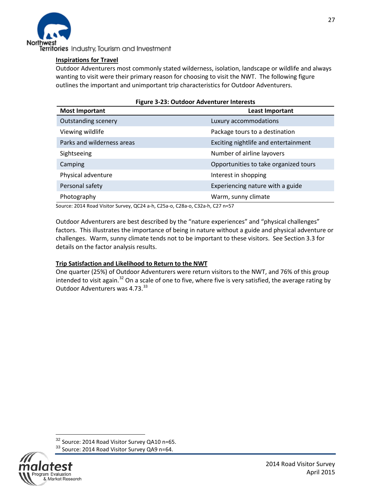

# **Inspirations for Travel**

Outdoor Adventurers most commonly stated wilderness, isolation, landscape or wildlife and always wanting to visit were their primary reason for choosing to visit the NWT. The following figure outlines the important and unimportant trip characteristics for Outdoor Adventurers.

| Figure 3-23: Outdoor Adventurer Interests                                    |                                       |  |
|------------------------------------------------------------------------------|---------------------------------------|--|
| <b>Most Important</b>                                                        | Least Important                       |  |
| <b>Outstanding scenery</b>                                                   | Luxury accommodations                 |  |
| Viewing wildlife                                                             | Package tours to a destination        |  |
| Parks and wilderness areas                                                   | Exciting nightlife and entertainment  |  |
| Sightseeing                                                                  | Number of airline layovers            |  |
| Camping                                                                      | Opportunities to take organized tours |  |
| Physical adventure                                                           | Interest in shopping                  |  |
| Personal safety                                                              | Experiencing nature with a guide      |  |
| Photography                                                                  | Warm, sunny climate                   |  |
| iource: 2014 Road Visitor Survey, OC24 a-h. C25a-o. C28a-o. C32a-h. C27 n=57 |                                       |  |

C24 a-h, C25a-o, C28a-o, C32a-h, C27 n=57

Outdoor Adventurers are best described by the "nature experiences" and "physical challenges" factors. This illustrates the importance of being in nature without a guide and physical adventure or challenges. Warm, sunny climate tends not to be important to these visitors. See Section 3.3 for details on the factor analysis results.

## **Trip Satisfaction and Likelihood to Return to the NWT**

One quarter (25%) of Outdoor Adventurers were return visitors to the NWT, and 76% of this group intended to visit again.<sup>[32](#page-32-0)</sup> On a scale of one to five, where five is very satisfied, the average rating by Outdoor Adventurers was 4.73.<sup>[33](#page-32-1)</sup>

<span id="page-32-1"></span><span id="page-32-0"></span><sup>33</sup> Source: 2014 Road Visitor Survey QA9 n=64.



<sup>32</sup> Source: 2014 Road Visitor Survey QA10 n=65.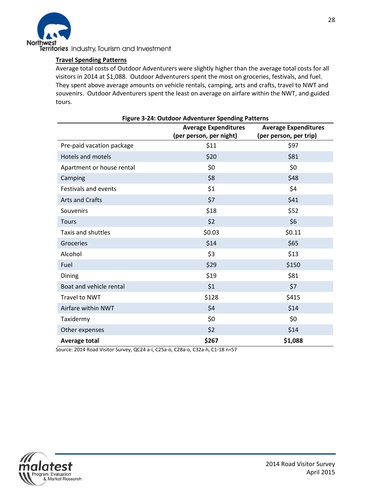

# **Travel Spending Patterns**

Average total costs of Outdoor Adventurers were slightly higher than the average total costs for all visitors in 2014 at \$1,088. Outdoor Adventurers spent the most on groceries, festivals, and fuel. They spent above average amounts on vehicle rentals, camping, arts and crafts, travel to NWT and souvenirs. Outdoor Adventurers spent the least on average on airfare within the NWT, and guided tours.

| Figure 3-24: Outdoor Adventurer Spending Patterns |                             |                             |  |  |
|---------------------------------------------------|-----------------------------|-----------------------------|--|--|
|                                                   | <b>Average Expenditures</b> | <b>Average Expenditures</b> |  |  |
|                                                   | (per person, per night)     | (per person, per trip)      |  |  |
| Pre-paid vacation package                         | \$11                        | \$97                        |  |  |
| <b>Hotels and motels</b>                          | \$20                        | \$81                        |  |  |
| Apartment or house rental                         | \$0                         | \$0                         |  |  |
| Camping                                           | \$8                         | \$48                        |  |  |
| <b>Festivals and events</b>                       | \$1                         | \$4                         |  |  |
| <b>Arts and Crafts</b>                            | \$7                         | \$41                        |  |  |
| Souvenirs                                         | \$18                        | \$52                        |  |  |
| <b>Tours</b>                                      | \$2                         | \$6                         |  |  |
| Taxis and shuttles                                | \$0.03                      | \$0.11                      |  |  |
| Groceries                                         | \$14                        | \$65                        |  |  |
| Alcohol                                           | \$3                         | \$13                        |  |  |
| Fuel                                              | \$29                        | \$150                       |  |  |
| Dining                                            | \$19                        | \$81                        |  |  |
| Boat and vehicle rental                           | \$1                         | \$7                         |  |  |
| Travel to NWT                                     | \$128                       | \$415                       |  |  |
| Airfare within NWT                                | \$4                         | \$14                        |  |  |
| Taxidermy                                         | \$0                         | \$0                         |  |  |
| Other expenses                                    | \$2                         | \$14                        |  |  |
| <b>Average total</b>                              | \$267                       | \$1,088                     |  |  |

Source: 2014 Road Visitor Survey, QC24 a-i, C25a-o, C28a-o, C32a-h, C1-18 n=57

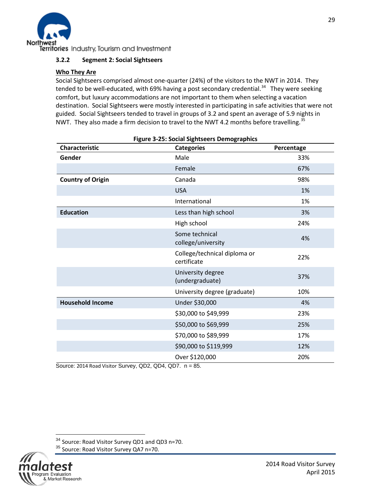

# **3.2.2 Segment 2: Social Sightseers**

# **Who They Are**

Social Sightseers comprised almost one-quarter (24%) of the visitors to the NWT in 2014. They tended to be well-educated, with 69% having a post secondary credential.<sup>[34](#page-34-0)</sup> They were seeking comfort, but luxury accommodations are not important to them when selecting a vacation destination. Social Sightseers were mostly interested in participating in safe activities that were not guided. Social Sightseers tended to travel in groups of 3.2 and spent an average of 5.9 nights in NWT. They also made a firm decision to travel to the NWT 4.2 months before travelling.<sup>[35](#page-34-1)</sup>

| <b>Figure 3-25: Social Sightseers Demographics</b> |                                             |            |  |
|----------------------------------------------------|---------------------------------------------|------------|--|
| Characteristic                                     | <b>Categories</b>                           | Percentage |  |
| Gender                                             | Male                                        | 33%        |  |
|                                                    | Female                                      | 67%        |  |
| <b>Country of Origin</b>                           | Canada                                      | 98%        |  |
|                                                    | <b>USA</b>                                  | 1%         |  |
|                                                    | International                               | 1%         |  |
| <b>Education</b>                                   | Less than high school                       | 3%         |  |
|                                                    | High school                                 | 24%        |  |
|                                                    | Some technical<br>college/university        | 4%         |  |
|                                                    | College/technical diploma or<br>certificate | 22%        |  |
|                                                    | University degree<br>(undergraduate)        | 37%        |  |
|                                                    | University degree (graduate)                | 10%        |  |
| <b>Household Income</b>                            | Under \$30,000                              | 4%         |  |
|                                                    | \$30,000 to \$49,999                        | 23%        |  |
|                                                    | \$50,000 to \$69,999                        | 25%        |  |
|                                                    | \$70,000 to \$89,999                        | 17%        |  |
|                                                    | \$90,000 to \$119,999                       | 12%        |  |
|                                                    | Over \$120,000                              | 20%        |  |

Source: 2014 Road Visitor Survey, QD2, QD4, QD7. n = 85.

<sup>35</sup> Source: Road Visitor Survey QA7 n=70.

<span id="page-34-1"></span><span id="page-34-0"></span>

<sup>&</sup>lt;sup>34</sup> Source: Road Visitor Survey QD1 and QD3 n=70.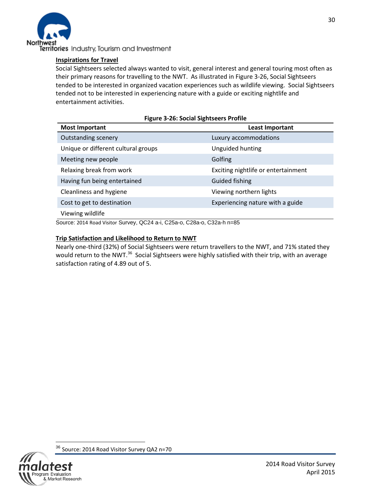

# **Inspirations for Travel**

Social Sightseers selected always wanted to visit, general interest and general touring most often as their primary reasons for travelling to the NWT. As illustrated in Figure 3-26, Social Sightseers tended to be interested in organized vacation experiences such as wildlife viewing. Social Sightseers tended not to be interested in experiencing nature with a guide or exciting nightlife and entertainment activities.

| <b>Figure 3-26: Social Sightseers Profile</b> |                                     |  |  |
|-----------------------------------------------|-------------------------------------|--|--|
| <b>Most Important</b>                         | Least Important                     |  |  |
| <b>Outstanding scenery</b>                    | Luxury accommodations               |  |  |
| Unique or different cultural groups           | Unguided hunting                    |  |  |
| Meeting new people                            | Golfing                             |  |  |
| Relaxing break from work                      | Exciting nightlife or entertainment |  |  |
| Having fun being entertained                  | <b>Guided fishing</b>               |  |  |
| Cleanliness and hygiene                       | Viewing northern lights             |  |  |
| Cost to get to destination                    | Experiencing nature with a guide    |  |  |
| Viewing wildlife                              |                                     |  |  |

Source: 2014 Road Visitor Survey, QC24 a-i, C25a-o, C28a-o, C32a-h n=85

#### **Trip Satisfaction and Likelihood to Return to NWT**

Nearly one-third (32%) of Social Sightseers were return travellers to the NWT, and 71% stated they would return to the NWT.<sup>[36](#page-35-0)</sup> Social Sightseers were highly satisfied with their trip, with an average satisfaction rating of 4.89 out of 5.

<span id="page-35-0"></span>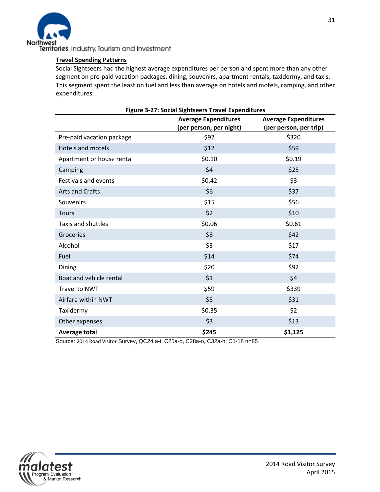

# **Travel Spending Patterns**

Social Sightseers had the highest average expenditures per person and spent more than any other segment on pre-paid vacation packages, dining, souvenirs, apartment rentals, taxidermy, and taxis. This segment spent the least on fuel and less than average on hotels and motels, camping, and other expenditures.

| <b>Figure 3-27: Social Sightseers Travel Expenditures</b> |                             |                             |
|-----------------------------------------------------------|-----------------------------|-----------------------------|
|                                                           | <b>Average Expenditures</b> | <b>Average Expenditures</b> |
|                                                           | (per person, per night)     | (per person, per trip)      |
| Pre-paid vacation package                                 | \$92                        | \$320                       |
| Hotels and motels                                         | \$12                        | \$59                        |
| Apartment or house rental                                 | \$0.10                      | \$0.19                      |
| Camping                                                   | \$4                         | \$25                        |
| <b>Festivals and events</b>                               | \$0.42                      | \$3                         |
| <b>Arts and Crafts</b>                                    | \$6                         | \$37                        |
| Souvenirs                                                 | \$15                        | \$56                        |
| <b>Tours</b>                                              | \$2                         | \$10                        |
| Taxis and shuttles                                        | \$0.06                      | \$0.61                      |
| Groceries                                                 | \$8                         | \$42                        |
| Alcohol                                                   | \$3                         | \$17                        |
| Fuel                                                      | \$14                        | \$74                        |
| Dining                                                    | \$20                        | \$92                        |
| Boat and vehicle rental                                   | \$1                         | \$4                         |
| Travel to NWT                                             | \$59                        | \$339                       |
| Airfare within NWT                                        | \$5                         | \$31                        |
| Taxidermy                                                 | \$0.35                      | \$2                         |
| Other expenses                                            | \$3                         | \$13                        |
| <b>Average total</b>                                      | \$245                       | \$1,125                     |

Source: 2014 Road Visitor Survey, QC24 a-i, C25a-o, C28a-o, C32a-h, C1-18 n=85

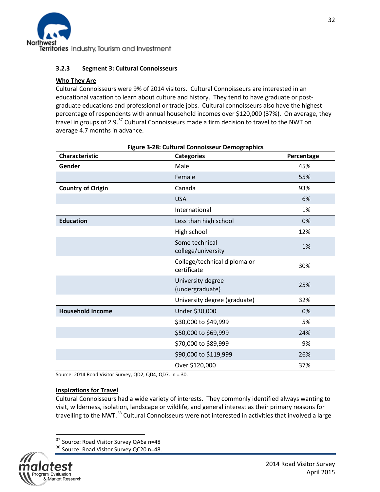

## **3.2.3 Segment 3: Cultural Connoisseurs**

### **Who They Are**

Cultural Connoisseurs were 9% of 2014 visitors. Cultural Connoisseurs are interested in an educational vacation to learn about culture and history. They tend to have graduate or postgraduate educations and professional or trade jobs. Cultural connoisseurs also have the highest percentage of respondents with annual household incomes over \$120,000 (37%). On average, they travel in groups of 2.9.<sup>[37](#page-37-0)</sup> Cultural Connoisseurs made a firm decision to travel to the NWT on average 4.7 months in advance.

| Figure 3-28: Cultural Connoisseur Demographics |                                             |            |
|------------------------------------------------|---------------------------------------------|------------|
| Characteristic                                 | <b>Categories</b>                           | Percentage |
| Gender                                         | Male                                        | 45%        |
|                                                | Female                                      | 55%        |
| <b>Country of Origin</b>                       | Canada                                      | 93%        |
|                                                | <b>USA</b>                                  | 6%         |
|                                                | International                               | 1%         |
| <b>Education</b>                               | Less than high school                       | 0%         |
|                                                | High school                                 | 12%        |
|                                                | Some technical<br>college/university        | 1%         |
|                                                | College/technical diploma or<br>certificate | 30%        |
|                                                | University degree<br>(undergraduate)        | 25%        |
|                                                | University degree (graduate)                | 32%        |
| <b>Household Income</b>                        | Under \$30,000                              | 0%         |
|                                                | \$30,000 to \$49,999                        | 5%         |
|                                                | \$50,000 to \$69,999                        | 24%        |
|                                                | \$70,000 to \$89,999                        | 9%         |
|                                                | \$90,000 to \$119,999                       | 26%        |
|                                                | Over \$120,000                              | 37%        |

**Figure 3-28: Cultural Connoisseur Demographics**

Source: 2014 Road Visitor Survey, QD2, QD4, QD7. n = 30.

### **Inspirations for Travel**

Cultural Connoisseurs had a wide variety of interests. They commonly identified always wanting to visit, wilderness, isolation, landscape or wildlife, and general interest as their primary reasons for travelling to the NWT.<sup>[38](#page-37-1)</sup> Cultural Connoisseurs were not interested in activities that involved a large

<span id="page-37-1"></span><span id="page-37-0"></span><sup>38</sup> Source: Road Visitor Survey QC20 n=48.



<sup>37</sup> Source: Road Visitor Survey QA6a n=48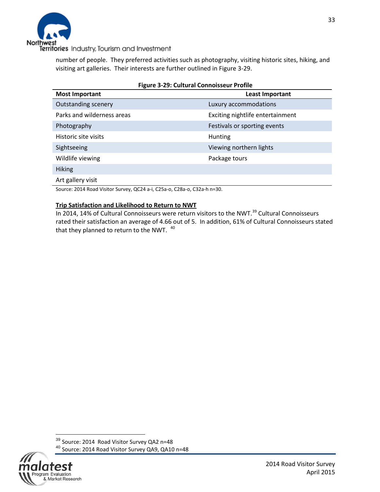

number of people. They preferred activities such as photography, visiting historic sites, hiking, and visiting art galleries. Their interests are further outlined in Figure 3-29.

| <b>Figure 3-29: Cultural Connoisseur Profile</b> |                                  |  |
|--------------------------------------------------|----------------------------------|--|
| <b>Most Important</b>                            | <b>Least Important</b>           |  |
| <b>Outstanding scenery</b>                       | Luxury accommodations            |  |
| Parks and wilderness areas                       | Exciting nightlife entertainment |  |
| Photography                                      | Festivals or sporting events     |  |
| Historic site visits                             | <b>Hunting</b>                   |  |
| Sightseeing                                      | Viewing northern lights          |  |
| Wildlife viewing                                 | Package tours                    |  |
| <b>Hiking</b>                                    |                                  |  |
| Art gallery visit                                |                                  |  |

Source: 2014 Road Visitor Survey, QC24 a-i, C25a-o, C28a-o, C32a-h n=30.

## **Trip Satisfaction and Likelihood to Return to NWT**

In 2014, 14% of Cultural Connoisseurs were return visitors to the NWT.<sup>[39](#page-38-0)</sup> Cultural Connoisseurs rated their satisfaction an average of 4.66 out of 5. In addition, 61% of Cultural Connoisseurs stated that they planned to return to the NWT.<sup>[40](#page-38-1)</sup>

<sup>39</sup> Source: 2014 Road Visitor Survey QA2 n=48

<span id="page-38-1"></span><span id="page-38-0"></span><sup>40</sup> Source: 2014 Road Visitor Survey QA9, QA10 n=48

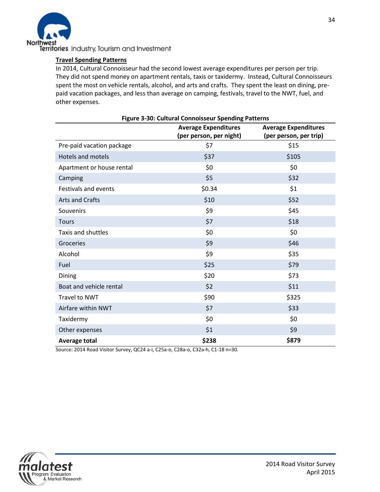

# **Travel Spending Patterns**

In 2014, Cultural Connoisseur had the second lowest average expenditures per person per trip. They did not spend money on apartment rentals, taxis or taxidermy. Instead, Cultural Connoisseurs spent the most on vehicle rentals, alcohol, and arts and crafts. They spent the least on dining, prepaid vacation packages, and less than average on camping, festivals, travel to the NWT, fuel, and other expenses.

| Figure 3-30: Cultural Connoisseur Spending Patterns |                             |                             |
|-----------------------------------------------------|-----------------------------|-----------------------------|
|                                                     | <b>Average Expenditures</b> | <b>Average Expenditures</b> |
|                                                     | (per person, per night)     | (per person, per trip)      |
| Pre-paid vacation package                           | \$7                         | \$15                        |
| <b>Hotels and motels</b>                            | \$37                        | \$105                       |
| Apartment or house rental                           | \$0                         | \$0                         |
| Camping                                             | \$5                         | \$32                        |
| <b>Festivals and events</b>                         | \$0.34                      | \$1                         |
| <b>Arts and Crafts</b>                              | \$10                        | \$52                        |
| Souvenirs                                           | \$9                         | \$45                        |
| <b>Tours</b>                                        | \$7                         | \$18                        |
| <b>Taxis and shuttles</b>                           | \$0                         | \$0                         |
| Groceries                                           | \$9                         | \$46                        |
| Alcohol                                             | \$9                         | \$35                        |
| Fuel                                                | \$25                        | \$79                        |
| <b>Dining</b>                                       | \$20                        | \$73                        |
| Boat and vehicle rental                             | \$2                         | \$11                        |
| Travel to NWT                                       | \$90                        | \$325                       |
| Airfare within NWT                                  | \$7                         | \$33                        |
| Taxidermy                                           | \$0                         | \$0                         |
| Other expenses                                      | \$1                         | \$9                         |
| <b>Average total</b>                                | \$238                       | \$879                       |

Source: 2014 Road Visitor Survey, QC24 a-i, C25a-o, C28a-o, C32a-h, C1-18 n=30.

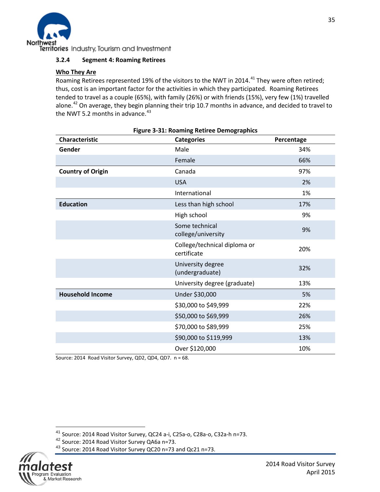

# **3.2.4 Segment 4: Roaming Retirees**

## **Who They Are**

Roaming Retirees represented 19% of the visitors to the NWT in 2014.<sup>[41](#page-40-0)</sup> They were often retired; thus, cost is an important factor for the activities in which they participated. Roaming Retirees tended to travel as a couple (65%), with family (26%) or with friends (15%), very few (1%) travelled alone.<sup>[42](#page-40-1)</sup> On average, they begin planning their trip 10.7 months in advance, and decided to travel to the NWT 5.2 months in advance. $43$ 

| Figure 3-31: Roaming Retiree Demographics |                                             |            |
|-------------------------------------------|---------------------------------------------|------------|
| <b>Characteristic</b>                     | <b>Categories</b>                           | Percentage |
| Gender                                    | Male                                        | 34%        |
|                                           | Female                                      | 66%        |
| <b>Country of Origin</b>                  | Canada                                      | 97%        |
|                                           | <b>USA</b>                                  | 2%         |
|                                           | International                               | 1%         |
| <b>Education</b>                          | Less than high school                       | 17%        |
|                                           | High school                                 | 9%         |
|                                           | Some technical<br>college/university        | 9%         |
|                                           | College/technical diploma or<br>certificate | 20%        |
|                                           | University degree<br>(undergraduate)        | 32%        |
|                                           | University degree (graduate)                | 13%        |
| <b>Household Income</b>                   | Under \$30,000                              | 5%         |
|                                           | \$30,000 to \$49,999                        | 22%        |
|                                           | \$50,000 to \$69,999                        | 26%        |
|                                           | \$70,000 to \$89,999                        | 25%        |
|                                           | \$90,000 to \$119,999                       | 13%        |
|                                           | Over \$120,000                              | 10%        |

Source: 2014 Road Visitor Survey, QD2, QD4, QD7. n = 68.

<span id="page-40-2"></span><span id="page-40-1"></span><span id="page-40-0"></span><sup>43</sup> Source: 2014 Road Visitor Survey QC20 n=73 and Qc21 n=73.



<sup>41</sup> Source: 2014 Road Visitor Survey, QC24 a-i, C25a-o, C28a-o, C32a-h n=73.

<sup>&</sup>lt;sup>42</sup> Source: 2014 Road Visitor Survey QA6a n=73.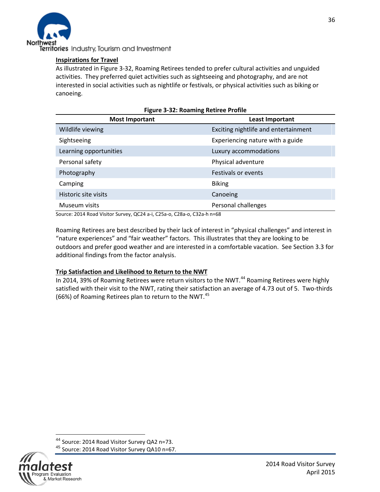

# **Inspirations for Travel**

As illustrated in Figure 3-32, Roaming Retirees tended to prefer cultural activities and unguided activities. They preferred quiet activities such as sightseeing and photography, and are not interested in social activities such as nightlife or festivals, or physical activities such as biking or canoeing.

| <b>Figure 3-32: Roaming Retiree Profile</b>                                                                                                                                                                                                                                                   |                                      |  |
|-----------------------------------------------------------------------------------------------------------------------------------------------------------------------------------------------------------------------------------------------------------------------------------------------|--------------------------------------|--|
| <b>Most Important</b>                                                                                                                                                                                                                                                                         | <b>Least Important</b>               |  |
| Wildlife viewing                                                                                                                                                                                                                                                                              | Exciting nightlife and entertainment |  |
| Sightseeing                                                                                                                                                                                                                                                                                   | Experiencing nature with a guide     |  |
| Learning opportunities                                                                                                                                                                                                                                                                        | Luxury accommodations                |  |
| Personal safety                                                                                                                                                                                                                                                                               | Physical adventure                   |  |
| Photography                                                                                                                                                                                                                                                                                   | <b>Festivals or events</b>           |  |
| Camping                                                                                                                                                                                                                                                                                       | <b>Biking</b>                        |  |
| Historic site visits                                                                                                                                                                                                                                                                          | Canoeing                             |  |
| Museum visits                                                                                                                                                                                                                                                                                 | Personal challenges                  |  |
| $\zeta_{01}$ $\zeta_{01}$ $\zeta_{10}$ $\zeta_{10}$ $\zeta_{11}$ $\zeta_{11}$ $\zeta_{10}$ $\zeta_{11}$ $\zeta_{10}$ $\zeta_{11}$ $\zeta_{10}$ $\zeta_{11}$ $\zeta_{10}$ $\zeta_{11}$ $\zeta_{10}$ $\zeta_{11}$ $\zeta_{10}$ $\zeta_{11}$ $\zeta_{10}$ $\zeta_{11}$ $\zeta_{10}$ $\zeta_{11}$ |                                      |  |

Source: 2014 Road Visitor Survey, QC24 a-i, C25a-o, C28a-o, C32a-h n=68

Roaming Retirees are best described by their lack of interest in "physical challenges" and interest in "nature experiences" and "fair weather" factors. This illustrates that they are looking to be outdoors and prefer good weather and are interested in a comfortable vacation. See Section 3.3 for additional findings from the factor analysis.

# **Trip Satisfaction and Likelihood to Return to the NWT**

In 2014, 39% of Roaming Retirees were return visitors to the NWT.<sup>[44](#page-41-0)</sup> Roaming Retirees were highly satisfied with their visit to the NWT, rating their satisfaction an average of 4.73 out of 5. Two-thirds (66%) of Roaming Retirees plan to return to the NWT.<sup>[45](#page-41-1)</sup>

<span id="page-41-1"></span><span id="page-41-0"></span><sup>45</sup> Source: 2014 Road Visitor Survey QA10 n=67.



<sup>44</sup> Source: 2014 Road Visitor Survey QA2 n=73.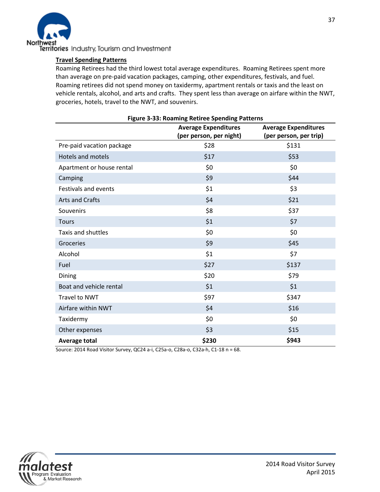

## **Travel Spending Patterns**

Roaming Retirees had the third lowest total average expenditures. Roaming Retirees spent more than average on pre-paid vacation packages, camping, other expenditures, festivals, and fuel. Roaming retirees did not spend money on taxidermy, apartment rentals or taxis and the least on vehicle rentals, alcohol, and arts and crafts. They spent less than average on airfare within the NWT, groceries, hotels, travel to the NWT, and souvenirs.

| <b>Figure 3-33: Roaming Retiree Spending Patterns</b> |                                                        |                                                       |
|-------------------------------------------------------|--------------------------------------------------------|-------------------------------------------------------|
|                                                       | <b>Average Expenditures</b><br>(per person, per night) | <b>Average Expenditures</b><br>(per person, per trip) |
| Pre-paid vacation package                             | \$28                                                   | \$131                                                 |
| Hotels and motels                                     | \$17                                                   | \$53                                                  |
| Apartment or house rental                             | \$0                                                    | \$0\$                                                 |
| Camping                                               | \$9                                                    | \$44                                                  |
| <b>Festivals and events</b>                           | \$1                                                    | \$3                                                   |
| <b>Arts and Crafts</b>                                | \$4                                                    | \$21                                                  |
| Souvenirs                                             | \$8                                                    | \$37                                                  |
| <b>Tours</b>                                          | \$1                                                    | \$7                                                   |
| Taxis and shuttles                                    | \$0                                                    | \$0                                                   |
| Groceries                                             | \$9                                                    | \$45                                                  |
| Alcohol                                               | \$1                                                    | \$7                                                   |
| Fuel                                                  | \$27                                                   | \$137                                                 |
| <b>Dining</b>                                         | \$20                                                   | \$79                                                  |
| Boat and vehicle rental                               | \$1                                                    | \$1                                                   |
| Travel to NWT                                         | \$97                                                   | \$347                                                 |
| Airfare within NWT                                    | \$4                                                    | \$16                                                  |
| Taxidermy                                             | \$0                                                    | \$0                                                   |
| Other expenses                                        | \$3                                                    | \$15                                                  |
| Average total                                         | \$230                                                  | \$943                                                 |

Source: 2014 Road Visitor Survey, QC24 a-i, C25a-o, C28a-o, C32a-h, C1-18 n = 68.

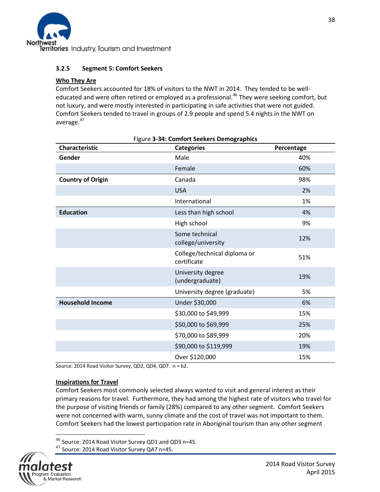

## **3.2.5 Segment 5: Comfort Seekers**

### **Who They Are**

Comfort Seekers accounted for 18% of visitors to the NWT in 2014. They tended to be well-educated and were often retired or employed as a professional.<sup>[46](#page-43-0)</sup> They were seeking comfort, but not luxury, and were mostly interested in participating in safe activities that were not guided. Comfort Seekers tended to travel in groups of 2.9 people and spend 5.4 nights in the NWT on average. [47](#page-43-1)

| Figure 3-34: Comfort Seekers Demographics |                                             |            |
|-------------------------------------------|---------------------------------------------|------------|
| <b>Characteristic</b>                     | <b>Categories</b>                           | Percentage |
| Gender                                    | Male                                        | 40%        |
|                                           | Female                                      | 60%        |
| <b>Country of Origin</b>                  | Canada                                      | 98%        |
|                                           | <b>USA</b>                                  | 2%         |
|                                           | International                               | 1%         |
| <b>Education</b>                          | Less than high school                       | 4%         |
|                                           | High school                                 | 9%         |
|                                           | Some technical<br>college/university        | 12%        |
|                                           | College/technical diploma or<br>certificate | 51%        |
|                                           | University degree<br>(undergraduate)        | 19%        |
|                                           | University degree (graduate)                | 5%         |
| <b>Household Income</b>                   | Under \$30,000                              | 6%         |
|                                           | \$30,000 to \$49,999                        | 15%        |
|                                           | \$50,000 to \$69,999                        | 25%        |
|                                           | \$70,000 to \$89,999                        | 20%        |
|                                           | \$90,000 to \$119,999                       | 19%        |
|                                           | Over \$120,000                              | 15%        |

Source: 2014 Road Visitor Survey, QD2, QD4, QD7. n = 62.

### **Inspirations for Travel**

Comfort Seekers most commonly selected always wanted to visit and general interest as their primary reasons for travel. Furthermore, they had among the highest rate of visitors who travel for the purpose of visiting friends or family (28%) compared to any other segment. Comfort Seekers were not concerned with warm, sunny climate and the cost of travel was not important to them. Comfort Seekers had the lowest participation rate in Aboriginal tourism than any other segment

<span id="page-43-1"></span><span id="page-43-0"></span><sup>&</sup>lt;sup>47</sup> Source: 2014 Road Visitor Survey OA7 n=45.



<sup>46</sup> Source: 2014 Road Visitor Survey QD1 and QD3 n=45.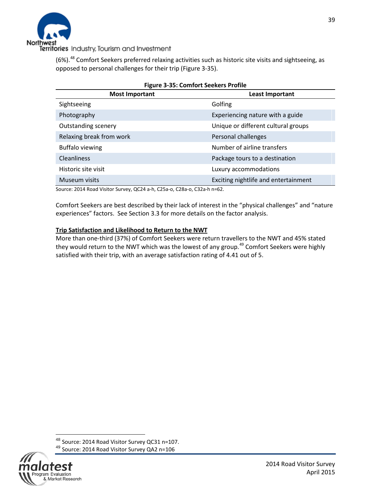

(6%).<sup>[48](#page-44-0)</sup> Comfort Seekers preferred relaxing activities such as historic site visits and sightseeing, as opposed to personal challenges for their trip (Figure 3-35).

| <b>Figure 3-35: Comfort Seekers Profile</b>     |                                      |  |
|-------------------------------------------------|--------------------------------------|--|
| <b>Most Important</b><br><b>Least Important</b> |                                      |  |
| Sightseeing                                     | Golfing                              |  |
| Photography                                     | Experiencing nature with a guide     |  |
| <b>Outstanding scenery</b>                      | Unique or different cultural groups  |  |
| Relaxing break from work                        | Personal challenges                  |  |
| <b>Buffalo viewing</b>                          | Number of airline transfers          |  |
| Cleanliness                                     | Package tours to a destination       |  |
| Historic site visit                             | Luxury accommodations                |  |
| Museum visits                                   | Exciting nightlife and entertainment |  |

Source: 2014 Road Visitor Survey, QC24 a-h, C25a-o, C28a-o, C32a-h n=62.

Comfort Seekers are best described by their lack of interest in the "physical challenges" and "nature experiences" factors. See Section 3.3 for more details on the factor analysis.

## **Trip Satisfaction and Likelihood to Return to the NWT**

More than one-third (37%) of Comfort Seekers were return travellers to the NWT and 45% stated they would return to the NWT which was the lowest of any group.<sup>[49](#page-44-1)</sup> Comfort Seekers were highly satisfied with their trip, with an average satisfaction rating of 4.41 out of 5.

<span id="page-44-1"></span><span id="page-44-0"></span><sup>49</sup> Source: 2014 Road Visitor Survey QA2 n=106



<sup>48</sup> Source: 2014 Road Visitor Survey QC31 n=107.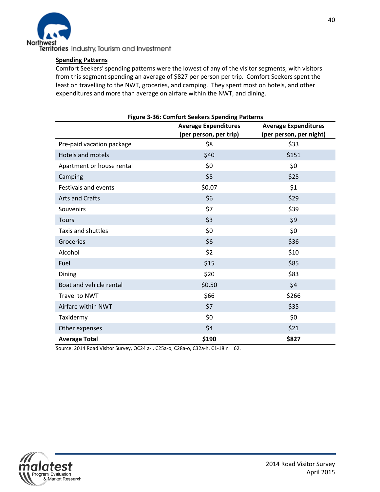

## **Spending Patterns**

Comfort Seekers' spending patterns were the lowest of any of the visitor segments, with visitors from this segment spending an average of \$827 per person per trip. Comfort Seekers spent the least on travelling to the NWT, groceries, and camping. They spent most on hotels, and other expenditures and more than average on airfare within the NWT, and dining.

| Figure 3-36: Comfort Seekers Spending Patterns |                             |                             |
|------------------------------------------------|-----------------------------|-----------------------------|
|                                                | <b>Average Expenditures</b> | <b>Average Expenditures</b> |
|                                                | (per person, per trip)      | (per person, per night)     |
| Pre-paid vacation package                      | \$8                         | \$33                        |
| Hotels and motels                              | \$40                        | \$151                       |
| Apartment or house rental                      | \$0                         | \$0                         |
| Camping                                        | \$5                         | \$25                        |
| <b>Festivals and events</b>                    | \$0.07                      | \$1                         |
| <b>Arts and Crafts</b>                         | \$6                         | \$29                        |
| Souvenirs                                      | \$7                         | \$39                        |
| <b>Tours</b>                                   | \$3                         | \$9                         |
| Taxis and shuttles                             | \$0                         | \$0                         |
| Groceries                                      | \$6                         | \$36                        |
| Alcohol                                        | \$2                         | \$10                        |
| Fuel                                           | \$15                        | \$85                        |
| Dining                                         | \$20                        | \$83                        |
| Boat and vehicle rental                        | \$0.50                      | \$4                         |
| Travel to NWT                                  | \$66                        | \$266                       |
| Airfare within NWT                             | \$7                         | \$35                        |
| Taxidermy                                      | \$0                         | \$0                         |
| Other expenses                                 | \$4                         | \$21                        |
| <b>Average Total</b>                           | \$190                       | \$827                       |

Source: 2014 Road Visitor Survey, QC24 a-i, C25a-o, C28a-o, C32a-h, C1-18 n = 62.

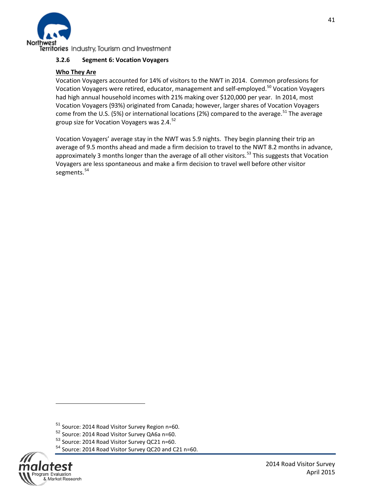

# **3.2.6 Segment 6: Vocation Voyagers**

# **Who They Are**

Vocation Voyagers accounted for 14% of visitors to the NWT in 2014. Common professions for Vocation Voyagers were retired, educator, management and self-employed.<sup>[50](#page-46-0)</sup> Vocation Voyagers had high annual household incomes with 21% making over \$120,000 per year. In 2014, most Vocation Voyagers (93%) originated from Canada; however, larger shares of Vocation Voyagers come from the U.S. (5%) or international locations (2%) compared to the average.<sup>[51](#page-46-1)</sup> The average group size for Vocation Voyagers was 2.4. [52](#page-46-2)

Vocation Voyagers' average stay in the NWT was 5.9 nights. They begin planning their trip an average of 9.5 months ahead and made a firm decision to travel to the NWT 8.2 months in advance, approximately 3 months longer than the average of all other visitors.<sup>[53](#page-46-3)</sup> This suggests that Vocation Voyagers are less spontaneous and make a firm decision to travel well before other visitor segments. [54](#page-46-4)

<span id="page-46-4"></span><span id="page-46-3"></span><span id="page-46-2"></span><span id="page-46-1"></span><span id="page-46-0"></span><sup>54</sup> Source: 2014 Road Visitor Survey QC20 and C21 n=60.



 $\overline{a}$ 

<sup>&</sup>lt;sup>51</sup> Source: 2014 Road Visitor Survey Region n=60.

<sup>52</sup> Source: 2014 Road Visitor Survey QA6a n=60.

<sup>53</sup> Source: 2014 Road Visitor Survey QC21 n=60.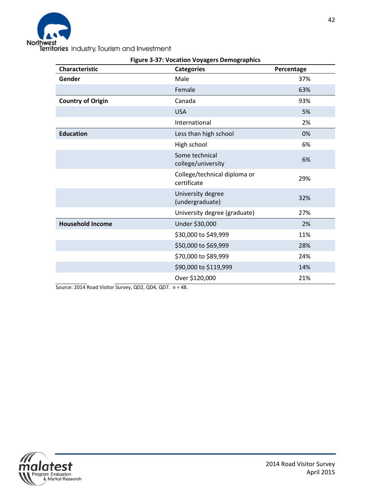

| <b>Figure 3-37: Vocation Voyagers Demographics</b> |                                             |            |
|----------------------------------------------------|---------------------------------------------|------------|
| <b>Characteristic</b>                              | <b>Categories</b>                           | Percentage |
| Gender                                             | Male                                        | 37%        |
|                                                    | Female                                      | 63%        |
| <b>Country of Origin</b>                           | Canada                                      | 93%        |
|                                                    | <b>USA</b>                                  | 5%         |
|                                                    | International                               | 2%         |
| <b>Education</b>                                   | Less than high school                       | 0%         |
|                                                    | High school                                 | 6%         |
|                                                    | Some technical<br>college/university        | 6%         |
|                                                    | College/technical diploma or<br>certificate | 29%        |
|                                                    | University degree<br>(undergraduate)        | 32%        |
|                                                    | University degree (graduate)                | 27%        |
| <b>Household Income</b>                            | Under \$30,000                              | 2%         |
|                                                    | \$30,000 to \$49,999                        | 11%        |
|                                                    | \$50,000 to \$69,999                        | 28%        |
|                                                    | \$70,000 to \$89,999                        | 24%        |
|                                                    | \$90,000 to \$119,999                       | 14%        |
|                                                    | Over \$120,000                              | 21%        |

Source: 2014 Road Visitor Survey, QD2, QD4, QD7. n = 48.



42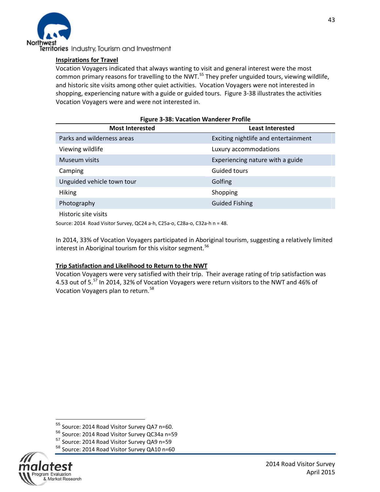

# **Inspirations for Travel**

Vocation Voyagers indicated that always wanting to visit and general interest were the most common primary reasons for travelling to the NWT.<sup>[55](#page-48-0)</sup> They prefer unguided tours, viewing wildlife, and historic site visits among other quiet activities. Vocation Voyagers were not interested in shopping, experiencing nature with a guide or guided tours. Figure 3-38 illustrates the activities Vocation Voyagers were and were not interested in.

| <b>Figure 3-38: Vacation Wanderer Profile</b> |                                      |  |
|-----------------------------------------------|--------------------------------------|--|
| <b>Most Interested</b>                        | <b>Least Interested</b>              |  |
| Parks and wilderness areas                    | Exciting nightlife and entertainment |  |
| Viewing wildlife                              | Luxury accommodations                |  |
| Museum visits                                 | Experiencing nature with a guide     |  |
| Camping                                       | Guided tours                         |  |
| Unguided vehicle town tour                    | Golfing                              |  |
| <b>Hiking</b>                                 | Shopping                             |  |
| Photography                                   | <b>Guided Fishing</b>                |  |
| Historic site visits                          |                                      |  |

Source: 2014 Road Visitor Survey, QC24 a-h, C25a-o, C28a-o, C32a-h n = 48.

In 2014, 33% of Vocation Voyagers participated in Aboriginal tourism, suggesting a relatively limited interest in Aboriginal tourism for this visitor segment.<sup>[56](#page-48-1)</sup>

## **Trip Satisfaction and Likelihood to Return to the NWT**

Vocation Voyagers were very satisfied with their trip. Their average rating of trip satisfaction was 4.53 out of 5.<sup>[57](#page-48-2)</sup> In 2014, 32% of Vocation Voyagers were return visitors to the NWT and 46% of Vocation Voyagers plan to return.<sup>[58](#page-48-3)</sup>

<span id="page-48-3"></span><span id="page-48-2"></span><span id="page-48-1"></span><span id="page-48-0"></span><sup>&</sup>lt;sup>58</sup> Source: 2014 Road Visitor Survey QA10 n=60



<sup>55</sup> Source: 2014 Road Visitor Survey QA7 n=60.

<sup>56</sup> Source: 2014 Road Visitor Survey QC34a n=59

<sup>57</sup> Source: 2014 Road Visitor Survey QA9 n=59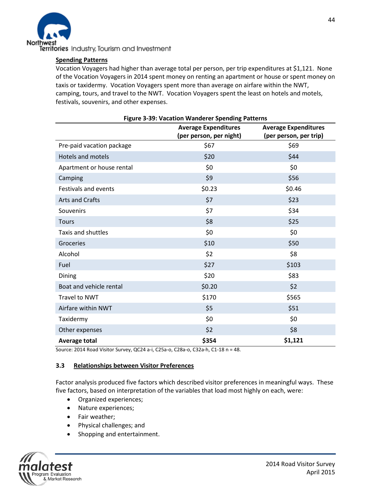

## **Spending Patterns**

Vocation Voyagers had higher than average total per person, per trip expenditures at \$1,121. None of the Vocation Voyagers in 2014 spent money on renting an apartment or house or spent money on taxis or taxidermy. Vocation Voyagers spent more than average on airfare within the NWT, camping, tours, and travel to the NWT. Vocation Voyagers spent the least on hotels and motels, festivals, souvenirs, and other expenses.

| <b>Figure 3-39: Vacation Wanderer Spending Patterns</b> |                                                            |                        |  |  |  |  |
|---------------------------------------------------------|------------------------------------------------------------|------------------------|--|--|--|--|
|                                                         | <b>Average Expenditures</b><br><b>Average Expenditures</b> |                        |  |  |  |  |
|                                                         | (per person, per night)                                    | (per person, per trip) |  |  |  |  |
| Pre-paid vacation package                               | \$67                                                       | \$69                   |  |  |  |  |
| <b>Hotels and motels</b>                                | \$20                                                       | \$44                   |  |  |  |  |
| Apartment or house rental                               | \$0                                                        | \$0\$                  |  |  |  |  |
| Camping                                                 | \$9                                                        | \$56                   |  |  |  |  |
| <b>Festivals and events</b>                             | \$0.23                                                     | \$0.46                 |  |  |  |  |
| <b>Arts and Crafts</b>                                  | \$7                                                        | \$23                   |  |  |  |  |
| Souvenirs                                               | \$7                                                        | \$34                   |  |  |  |  |
| <b>Tours</b>                                            | \$8                                                        | \$25                   |  |  |  |  |
| Taxis and shuttles                                      | \$0                                                        | \$0\$                  |  |  |  |  |
| Groceries                                               | \$10                                                       | \$50                   |  |  |  |  |
| Alcohol                                                 | \$2                                                        | \$8                    |  |  |  |  |
| Fuel                                                    | \$27                                                       | \$103                  |  |  |  |  |
| <b>Dining</b>                                           | \$20                                                       | \$83                   |  |  |  |  |
| Boat and vehicle rental                                 | \$0.20                                                     | \$2                    |  |  |  |  |
| Travel to NWT                                           | \$170                                                      | \$565                  |  |  |  |  |
| Airfare within NWT                                      | \$5                                                        | \$51                   |  |  |  |  |
| Taxidermy                                               | \$0                                                        | \$0                    |  |  |  |  |
| Other expenses                                          | \$2                                                        | \$8                    |  |  |  |  |
| <b>Average total</b>                                    | \$354                                                      | \$1,121                |  |  |  |  |

Source: 2014 Road Visitor Survey, QC24 a-i, C25a-o, C28a-o, C32a-h, C1-18 n = 48.

## **3.3 Relationships between Visitor Preferences**

Factor analysis produced five factors which described visitor preferences in meaningful ways. These five factors, based on interpretation of the variables that load most highly on each, were:

- Organized experiences;
- Nature experiences;
- Fair weather;
- Physical challenges; and
- Shopping and entertainment.

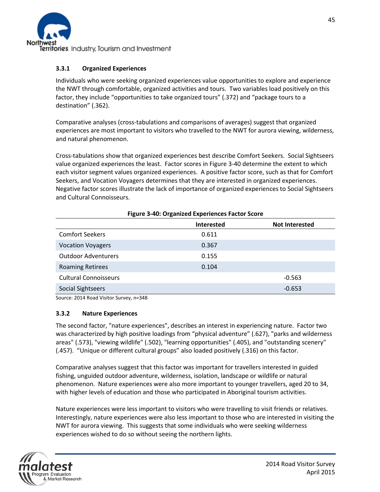

## **3.3.1 Organized Experiences**

Individuals who were seeking organized experiences value opportunities to explore and experience the NWT through comfortable, organized activities and tours. Two variables load positively on this factor, they include "opportunities to take organized tours" (.372) and "package tours to a destination" (.362).

Comparative analyses (cross-tabulations and comparisons of averages) suggest that organized experiences are most important to visitors who travelled to the NWT for aurora viewing, wilderness, and natural phenomenon.

Cross-tabulations show that organized experiences best describe Comfort Seekers. Social Sightseers value organized experiences the least. Factor scores in Figure 3-40 determine the extent to which each visitor segment values organized experiences. A positive factor score, such as that for Comfort Seekers, and Vocation Voyagers determines that they are interested in organized experiences. Negative factor scores illustrate the lack of importance of organized experiences to Social Sightseers and Cultural Connoisseurs.

| <b>Figure 3-40: Organized Experiences Factor Score</b> |                   |                       |  |  |  |
|--------------------------------------------------------|-------------------|-----------------------|--|--|--|
|                                                        | <b>Interested</b> | <b>Not Interested</b> |  |  |  |
| <b>Comfort Seekers</b>                                 | 0.611             |                       |  |  |  |
| <b>Vocation Voyagers</b>                               | 0.367             |                       |  |  |  |
| <b>Outdoor Adventurers</b>                             | 0.155             |                       |  |  |  |
| <b>Roaming Retirees</b>                                | 0.104             |                       |  |  |  |
| <b>Cultural Connoisseurs</b>                           |                   | $-0.563$              |  |  |  |
| <b>Social Sightseers</b>                               |                   | $-0.653$              |  |  |  |

Source: 2014 Road Visitor Survey, n=348

### **3.3.2 Nature Experiences**

The second factor, "nature experiences", describes an interest in experiencing nature. Factor two was characterized by high positive loadings from "physical adventure" (.627), "parks and wilderness areas" (.573), "viewing wildlife" (.502), "learning opportunities" (.405), and "outstanding scenery" (.457). "Unique or different cultural groups" also loaded positively (.316) on this factor.

Comparative analyses suggest that this factor was important for travellers interested in guided fishing, unguided outdoor adventure, wilderness, isolation, landscape or wildlife or natural phenomenon. Nature experiences were also more important to younger travellers, aged 20 to 34, with higher levels of education and those who participated in Aboriginal tourism activities.

Nature experiences were less important to visitors who were travelling to visit friends or relatives. Interestingly, nature experiences were also less important to those who are interested in visiting the NWT for aurora viewing. This suggests that some individuals who were seeking wilderness experiences wished to do so without seeing the northern lights.

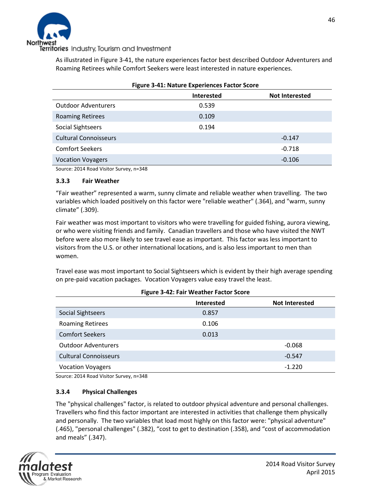

As illustrated in Figure 3-41, the nature experiences factor best described Outdoor Adventurers and Roaming Retirees while Comfort Seekers were least interested in nature experiences.

| <b>Figure 3-41: Nature Experiences Factor Score</b> |            |                       |  |  |  |
|-----------------------------------------------------|------------|-----------------------|--|--|--|
|                                                     | Interested | <b>Not Interested</b> |  |  |  |
| <b>Outdoor Adventurers</b>                          | 0.539      |                       |  |  |  |
| <b>Roaming Retirees</b>                             | 0.109      |                       |  |  |  |
| Social Sightseers                                   | 0.194      |                       |  |  |  |
| <b>Cultural Connoisseurs</b>                        |            | $-0.147$              |  |  |  |
| <b>Comfort Seekers</b>                              |            | $-0.718$              |  |  |  |
| <b>Vocation Voyagers</b>                            |            | $-0.106$              |  |  |  |

Source: 2014 Road Visitor Survey, n=348

## **3.3.3 Fair Weather**

"Fair weather" represented a warm, sunny climate and reliable weather when travelling. The two variables which loaded positively on this factor were "reliable weather" (.364), and "warm, sunny climate" (.309).

Fair weather was most important to visitors who were travelling for guided fishing, aurora viewing, or who were visiting friends and family. Canadian travellers and those who have visited the NWT before were also more likely to see travel ease as important. This factor was less important to visitors from the U.S. or other international locations, and is also less important to men than women.

Travel ease was most important to Social Sightseers which is evident by their high average spending on pre-paid vacation packages. Vocation Voyagers value easy travel the least.

| Figure 3-42: Fair Weather Factor Score     |          |  |  |  |  |  |  |  |
|--------------------------------------------|----------|--|--|--|--|--|--|--|
| <b>Not Interested</b><br><b>Interested</b> |          |  |  |  |  |  |  |  |
| 0.857                                      |          |  |  |  |  |  |  |  |
| 0.106                                      |          |  |  |  |  |  |  |  |
| 0.013                                      |          |  |  |  |  |  |  |  |
|                                            | $-0.068$ |  |  |  |  |  |  |  |
|                                            | $-0.547$ |  |  |  |  |  |  |  |
|                                            | $-1.220$ |  |  |  |  |  |  |  |
|                                            |          |  |  |  |  |  |  |  |

Source: 2014 Road Visitor Survey, n=348

## **3.3.4 Physical Challenges**

The "physical challenges" factor, is related to outdoor physical adventure and personal challenges. Travellers who find this factor important are interested in activities that challenge them physically and personally. The two variables that load most highly on this factor were: "physical adventure" (.465), "personal challenges" (.382), "cost to get to destination (.358), and "cost of accommodation and meals" (.347).

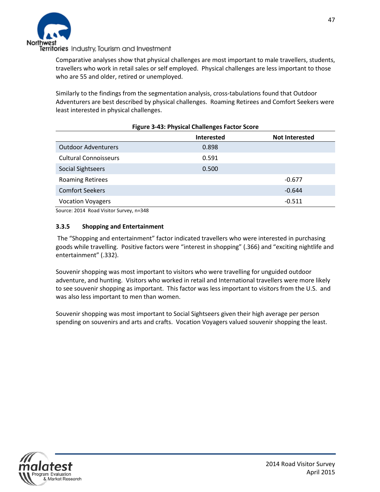

Comparative analyses show that physical challenges are most important to male travellers, students, travellers who work in retail sales or self employed. Physical challenges are less important to those who are 55 and older, retired or unemployed.

Similarly to the findings from the segmentation analysis, cross-tabulations found that Outdoor Adventurers are best described by physical challenges. Roaming Retirees and Comfort Seekers were least interested in physical challenges.

| <b>Figure 3-43: Physical Challenges Factor Score</b> |                   |                       |  |  |  |  |
|------------------------------------------------------|-------------------|-----------------------|--|--|--|--|
|                                                      | <b>Interested</b> | <b>Not Interested</b> |  |  |  |  |
| <b>Outdoor Adventurers</b>                           | 0.898             |                       |  |  |  |  |
| <b>Cultural Connoisseurs</b>                         | 0.591             |                       |  |  |  |  |
| Social Sightseers                                    | 0.500             |                       |  |  |  |  |
| <b>Roaming Retirees</b>                              |                   | $-0.677$              |  |  |  |  |
| <b>Comfort Seekers</b>                               |                   | $-0.644$              |  |  |  |  |
| <b>Vocation Voyagers</b>                             |                   | $-0.511$              |  |  |  |  |

Source: 2014 Road Visitor Survey, n=348

## **3.3.5 Shopping and Entertainment**

The "Shopping and entertainment" factor indicated travellers who were interested in purchasing goods while travelling. Positive factors were "interest in shopping" (.366) and "exciting nightlife and entertainment" (.332).

Souvenir shopping was most important to visitors who were travelling for unguided outdoor adventure, and hunting. Visitors who worked in retail and International travellers were more likely to see souvenir shopping as important. This factor was less important to visitors from the U.S. and was also less important to men than women.

Souvenir shopping was most important to Social Sightseers given their high average per person spending on souvenirs and arts and crafts. Vocation Voyagers valued souvenir shopping the least.

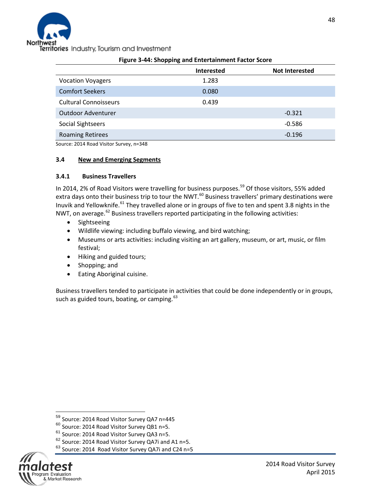

## **Figure 3-44: Shopping and Entertainment Factor Score**

|                              | Interested | <b>Not Interested</b> |
|------------------------------|------------|-----------------------|
| <b>Vocation Voyagers</b>     | 1.283      |                       |
| <b>Comfort Seekers</b>       | 0.080      |                       |
| <b>Cultural Connoisseurs</b> | 0.439      |                       |
| Outdoor Adventurer           |            | $-0.321$              |
| Social Sightseers            |            | $-0.586$              |
| <b>Roaming Retirees</b>      |            | $-0.196$              |

Source: 2014 Road Visitor Survey, n=348

## **3.4 New and Emerging Segments**

## **3.4.1 Business Travellers**

In 2014, 2% of Road Visitors were travelling for business purposes.<sup>[59](#page-53-0)</sup> Of those visitors, 55% added extra days onto their business trip to tour the NWT.<sup>[60](#page-53-1)</sup> Business travellers' primary destinations were Inuvik and Yellowknife.<sup>[61](#page-53-2)</sup> They travelled alone or in groups of five to ten and spent 3.8 nights in the NWT, on average. $62$  Business travellers reported participating in the following activities:

- Sightseeing
- Wildlife viewing: including buffalo viewing, and bird watching;
- Museums or arts activities: including visiting an art gallery, museum, or art, music, or film festival;
- Hiking and guided tours;
- Shopping; and
- Eating Aboriginal cuisine.

Business travellers tended to participate in activities that could be done independently or in groups, such as guided tours, boating, or camping.<sup>[63](#page-53-4)</sup>

<span id="page-53-4"></span><span id="page-53-3"></span><span id="page-53-2"></span><span id="page-53-1"></span><span id="page-53-0"></span>

48

 $^{59}$  Source: 2014 Road Visitor Survey QA7 n=445<br> $^{60}$  Source: 2014 Road Visitor Survey QB1 n=5.

<sup>&</sup>lt;sup>61</sup> Source: 2014 Road Visitor Survey QA3 n=5.<br><sup>62</sup> Source: 2014 Road Visitor Survey QA7i and A1 n=5.<br><sup>63</sup> Source: 2014 Road Visitor Survey QA7i and C24 n=5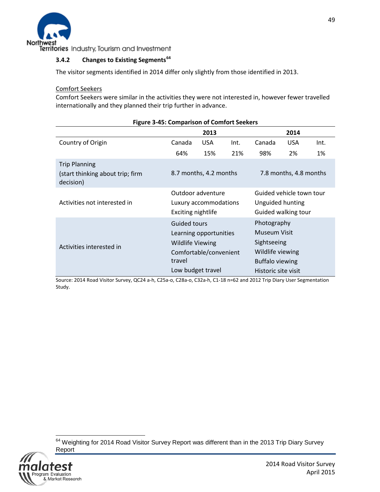

# **3.4.2 Changes to Existing Segments[64](#page-54-0)**

The visitor segments identified in 2014 differ only slightly from those identified in 2013.

### Comfort Seekers

Comfort Seekers were similar in the activities they were not interested in, however fewer travelled internationally and they planned their trip further in advance.

| Figure 3-45. Companison or Computed Seekers                           |                                                                                                                                   |            |                                                                                                                 |                                                                     |            |      |
|-----------------------------------------------------------------------|-----------------------------------------------------------------------------------------------------------------------------------|------------|-----------------------------------------------------------------------------------------------------------------|---------------------------------------------------------------------|------------|------|
|                                                                       |                                                                                                                                   | 2013       |                                                                                                                 |                                                                     | 2014       |      |
| Country of Origin                                                     | Canada                                                                                                                            | <b>USA</b> | Int.                                                                                                            | Canada                                                              | <b>USA</b> | Int. |
|                                                                       | 64%                                                                                                                               | 15%        | 21%                                                                                                             | 98%                                                                 | 2%         | 1%   |
| <b>Trip Planning</b><br>(start thinking about trip; firm<br>decision) | 8.7 months, 4.2 months                                                                                                            |            |                                                                                                                 | 7.8 months, 4.8 months                                              |            |      |
| Activities not interested in                                          | Outdoor adventure<br>Luxury accommodations<br>Exciting nightlife                                                                  |            |                                                                                                                 | Guided vehicle town tour<br>Unguided hunting<br>Guided walking tour |            |      |
| Activities interested in                                              | <b>Guided tours</b><br>Learning opportunities<br><b>Wildlife Viewing</b><br>Comfortable/convenient<br>travel<br>Low budget travel |            | Photography<br>Museum Visit<br>Sightseeing<br>Wildlife viewing<br><b>Buffalo viewing</b><br>Historic site visit |                                                                     |            |      |

### **Figure 3-45: Comparison of Comfort Seekers**

Source: 2014 Road Visitor Survey, QC24 a-h, C25a-o, C28a-o, C32a-h, C1-18 n=62 and 2012 Trip Diary User Segmentation Study.

<sup>64</sup> Weighting for 2014 Road Visitor Survey Report was different than in the 2013 Trip Diary Survey

<span id="page-54-0"></span>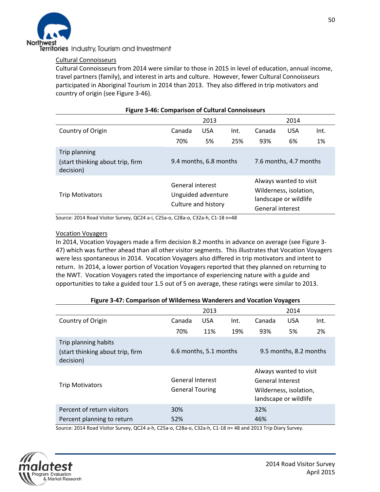

## Cultural Connoisseurs

Cultural Connoisseurs from 2014 were similar to those in 2015 in level of education, annual income, travel partners (family), and interest in arts and culture. However, fewer Cultural Connoisseurs participated in Aboriginal Tourism in 2014 than 2013. They also differed in trip motivators and country of origin (see Figure 3-46).

| <b>Figure 3-46: Comparison of Cultural Connoisseurs</b>        |                                                               |            |                                                                                               |                        |            |      |
|----------------------------------------------------------------|---------------------------------------------------------------|------------|-----------------------------------------------------------------------------------------------|------------------------|------------|------|
|                                                                |                                                               | 2013       |                                                                                               |                        | 2014       |      |
| Country of Origin                                              | Canada                                                        | <b>USA</b> | Int.                                                                                          | Canada                 | <b>USA</b> | Int. |
|                                                                | 70%                                                           | 5%         | 25%                                                                                           | 93%                    | 6%         | 1%   |
| Trip planning<br>(start thinking about trip, firm<br>decision) | 9.4 months, 6.8 months                                        |            |                                                                                               | 7.6 months, 4.7 months |            |      |
| <b>Trip Motivators</b>                                         | General interest<br>Unguided adventure<br>Culture and history |            | Always wanted to visit<br>Wilderness, isolation,<br>landscape or wildlife<br>General interest |                        |            |      |

Source: 2014 Road Visitor Survey, QC24 a-i, C25a-o, C28a-o, C32a-h, C1-18 n=48

### Vocation Voyagers

In 2014, Vocation Voyagers made a firm decision 8.2 months in advance on average (see Figure 3- 47) which was further ahead than all other visitor segments. This illustrates that Vocation Voyagers were less spontaneous in 2014. Vocation Voyagers also differed in trip motivators and intent to return. In 2014, a lower portion of Vocation Voyagers reported that they planned on returning to the NWT. Vocation Voyagers rated the importance of experiencing nature with a guide and opportunities to take a guided tour 1.5 out of 5 on average, these ratings were similar to 2013.

| Figure 3-47: Comparison of Wilderness Wanderers and Vocation Voyagers |                                            |            |                  |                                                                           |            |      |
|-----------------------------------------------------------------------|--------------------------------------------|------------|------------------|---------------------------------------------------------------------------|------------|------|
|                                                                       |                                            | 2013       |                  |                                                                           | 2014       |      |
| Country of Origin                                                     | Canada                                     | <b>USA</b> | Int.             | Canada                                                                    | <b>USA</b> | Int. |
|                                                                       | 70%                                        | 11%        | 19%              | 93%                                                                       | 5%         | 2%   |
| Trip planning habits<br>(start thinking about trip, firm<br>decision) | 6.6 months, 5.1 months                     |            |                  | 9.5 months, 8.2 months                                                    |            |      |
| <b>Trip Motivators</b>                                                | General Interest<br><b>General Touring</b> |            | General Interest | Always wanted to visit<br>Wilderness, isolation,<br>landscape or wildlife |            |      |
| Percent of return visitors<br>Percent planning to return              | 30%<br>52%                                 |            | 32%<br>46%       |                                                                           |            |      |

Source: 2014 Road Visitor Survey, QC24 a-h, C25a-o, C28a-o, C32a-h, C1-18 n= 48 and 2013 Trip Diary Survey.

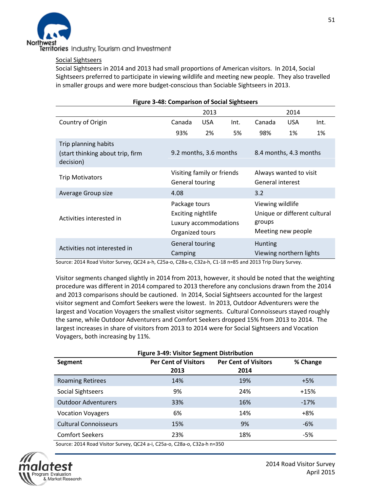

## Social Sightseers

Social Sightseers in 2014 and 2013 had small proportions of American visitors. In 2014, Social Sightseers preferred to participate in viewing wildlife and meeting new people. They also travelled in smaller groups and were more budget-conscious than Sociable Sightseers in 2013.

| <b>Figure 3-48: Comparison of Social Sightseers</b>                   |                                                                                 |            |                                                                                  |                                            |            |      |
|-----------------------------------------------------------------------|---------------------------------------------------------------------------------|------------|----------------------------------------------------------------------------------|--------------------------------------------|------------|------|
|                                                                       |                                                                                 | 2013       |                                                                                  | 2014                                       |            |      |
| Country of Origin                                                     | Canada                                                                          | <b>USA</b> | Int.                                                                             | Canada                                     | <b>USA</b> | Int. |
|                                                                       | 93%                                                                             | 2%         | 5%                                                                               | 98%                                        | 1%         | 1%   |
| Trip planning habits<br>(start thinking about trip, firm<br>decision) | 9.2 months, 3.6 months                                                          |            |                                                                                  | 8.4 months, 4.3 months                     |            |      |
| <b>Trip Motivators</b>                                                | Visiting family or friends<br>General touring                                   |            |                                                                                  | Always wanted to visit<br>General interest |            |      |
| Average Group size                                                    | 4.08                                                                            |            |                                                                                  | 3.2                                        |            |      |
| Activities interested in                                              | Package tours<br>Exciting nightlife<br>Luxury accommodations<br>Organized tours |            | Viewing wildlife<br>Unique or different cultural<br>groups<br>Meeting new people |                                            |            |      |
| Activities not interested in                                          | General touring<br>Camping                                                      |            | <b>Hunting</b><br>Viewing northern lights                                        |                                            |            |      |

**Figure 3-48: Comparison of Social Sightseers**

Source: 2014 Road Visitor Survey, QC24 a-h, C25a-o, C28a-o, C32a-h, C1-18 n=85 and 2013 Trip Diary Survey.

Visitor segments changed slightly in 2014 from 2013, however, it should be noted that the weighting procedure was different in 2014 compared to 2013 therefore any conclusions drawn from the 2014 and 2013 comparisons should be cautioned. In 2014, Social Sightseers accounted for the largest visitor segment and Comfort Seekers were the lowest. In 2013, Outdoor Adventurers were the largest and Vocation Voyagers the smallest visitor segments. Cultural Connoisseurs stayed roughly the same, while Outdoor Adventurers and Comfort Seekers dropped 15% from 2013 to 2014. The largest increases in share of visitors from 2013 to 2014 were for Social Sightseers and Vocation Voyagers, both increasing by 11%.

| <b>Figure 3-49: Visitor Segment Distribution</b>                         |                             |                             |          |  |  |
|--------------------------------------------------------------------------|-----------------------------|-----------------------------|----------|--|--|
| Segment                                                                  | <b>Per Cent of Visitors</b> | <b>Per Cent of Visitors</b> | % Change |  |  |
|                                                                          | 2013                        | 2014                        |          |  |  |
| <b>Roaming Retirees</b>                                                  | 14%                         | 19%                         | $+5%$    |  |  |
| <b>Social Sightseers</b>                                                 | 9%                          | 24%                         | $+15%$   |  |  |
| <b>Outdoor Adventurers</b>                                               | 33%                         | 16%                         | $-17%$   |  |  |
| <b>Vocation Voyagers</b>                                                 | 6%                          | 14%                         | +8%      |  |  |
| <b>Cultural Connoisseurs</b>                                             | 15%                         | 9%                          | -6%      |  |  |
| <b>Comfort Seekers</b>                                                   | 23%                         | 18%                         | -5%      |  |  |
| Source: 2014 Road Visitor Survey, QC24 a-i, C25a-o, C28a-o, C32a-h n=350 |                             |                             |          |  |  |

oram Evaluation & Market Research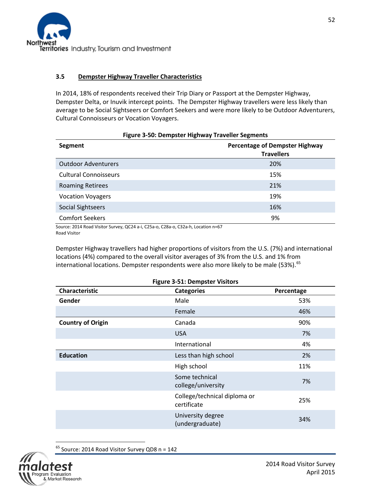

# **3.5 Dempster Highway Traveller Characteristics**

In 2014, 18% of respondents received their Trip Diary or Passport at the Dempster Highway, Dempster Delta, or Inuvik intercept points. The Dempster Highway travellers were less likely than average to be Social Sightseers or Comfort Seekers and were more likely to be Outdoor Adventurers, Cultural Connoisseurs or Vocation Voyagers.

| Figure 3-50: Dempster Highway Traveller Segments                                                               |     |  |  |  |  |  |
|----------------------------------------------------------------------------------------------------------------|-----|--|--|--|--|--|
| <b>Percentage of Dempster Highway</b><br><b>Segment</b><br><b>Travellers</b>                                   |     |  |  |  |  |  |
| <b>Outdoor Adventurers</b>                                                                                     | 20% |  |  |  |  |  |
| <b>Cultural Connoisseurs</b>                                                                                   | 15% |  |  |  |  |  |
| <b>Roaming Retirees</b>                                                                                        | 21% |  |  |  |  |  |
| <b>Vocation Voyagers</b>                                                                                       | 19% |  |  |  |  |  |
| <b>Social Sightseers</b>                                                                                       | 16% |  |  |  |  |  |
| <b>Comfort Seekers</b><br>$S_0$ urco: 2014 Boad Visitor Survey OC24 a i. C25a o. C28a o. C22a h. Location n=67 | 9%  |  |  |  |  |  |

: 2014 Road Visitor Survey, QC24 a-i, C25a-o, C28a-o, C32a-h, Location n=67 Road Visitor

Dempster Highway travellers had higher proportions of visitors from the U.S. (7%) and international locations (4%) compared to the overall visitor averages of 3% from the U.S. and 1% from international locations. Dempster respondents were also more likely to be male (53%).<sup>[65](#page-57-0)</sup>

| <b>Figure 3-51: Dempster Visitors</b> |                                             |            |  |  |  |
|---------------------------------------|---------------------------------------------|------------|--|--|--|
| <b>Characteristic</b>                 | <b>Categories</b>                           | Percentage |  |  |  |
| Gender                                | Male                                        | 53%        |  |  |  |
|                                       | Female                                      | 46%        |  |  |  |
| <b>Country of Origin</b>              | Canada                                      | 90%        |  |  |  |
|                                       | <b>USA</b>                                  | 7%         |  |  |  |
|                                       | International                               | 4%         |  |  |  |
| <b>Education</b>                      | Less than high school                       | 2%         |  |  |  |
|                                       | High school                                 | 11%        |  |  |  |
|                                       | Some technical<br>college/university        | 7%         |  |  |  |
|                                       | College/technical diploma or<br>certificate | 25%        |  |  |  |
|                                       | University degree<br>(undergraduate)        | 34%        |  |  |  |

 $65$  Source: 2014 Road Visitor Survey QD8 n = 142

<span id="page-57-0"></span>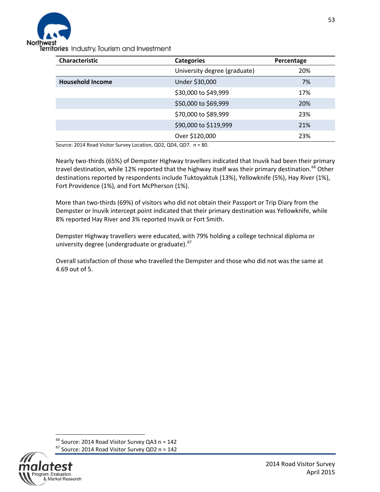

| <b>Characteristic</b>   | <b>Categories</b>            | Percentage |
|-------------------------|------------------------------|------------|
|                         | University degree (graduate) | 20%        |
| <b>Household Income</b> | Under \$30,000               | 7%         |
|                         | \$30,000 to \$49,999         | 17%        |
|                         | \$50,000 to \$69,999         | 20%        |
|                         | \$70,000 to \$89,999         | 23%        |
|                         | \$90,000 to \$119,999        | 21%        |
|                         | Over \$120,000               | 23%        |

Source: 2014 Road Visitor Survey Location, QD2, QD4, QD7. n = 80.

Nearly two-thirds (65%) of Dempster Highway travellers indicated that Inuvik had been their primary travel destination, while 12% reported that the highway itself was their primary destination.<sup>[66](#page-58-0)</sup> Other destinations reported by respondents include Tuktoyaktuk (13%), Yellowknife (5%), Hay River (1%), Fort Providence (1%), and Fort McPherson (1%).

More than two-thirds (69%) of visitors who did not obtain their Passport or Trip Diary from the Dempster or Inuvik intercept point indicated that their primary destination was Yellowknife, while 8% reported Hay River and 3% reported Inuvik or Fort Smith.

Dempster Highway travellers were educated, with 79% holding a college technical diploma or university degree (undergraduate or graduate).<sup>[67](#page-58-1)</sup>

Overall satisfaction of those who travelled the Dempster and those who did not was the same at 4.69 out of 5.

<span id="page-58-1"></span><span id="page-58-0"></span>

 $^{66}$  Source: 2014 Road Visitor Survey QA3 n = 142<br> $^{67}$  Source: 2014 Road Visitor Survey QD2 n = 142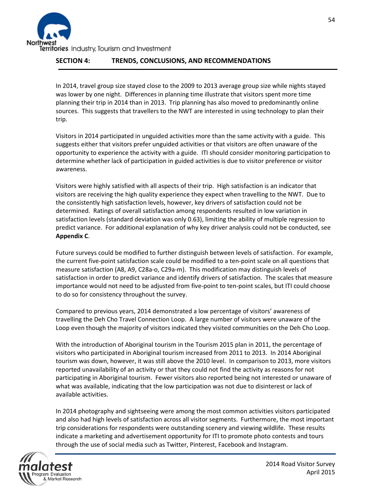

# **SECTION 4: TRENDS, CONCLUSIONS, AND RECOMMENDATIONS**

In 2014, travel group size stayed close to the 2009 to 2013 average group size while nights stayed was lower by one night. Differences in planning time illustrate that visitors spent more time planning their trip in 2014 than in 2013. Trip planning has also moved to predominantly online sources. This suggests that travellers to the NWT are interested in using technology to plan their trip.

Visitors in 2014 participated in unguided activities more than the same activity with a guide. This suggests either that visitors prefer unguided activities or that visitors are often unaware of the opportunity to experience the activity with a guide. ITI should consider monitoring participation to determine whether lack of participation in guided activities is due to visitor preference or visitor awareness.

Visitors were highly satisfied with all aspects of their trip. High satisfaction is an indicator that visitors are receiving the high quality experience they expect when travelling to the NWT. Due to the consistently high satisfaction levels, however, key drivers of satisfaction could not be determined. Ratings of overall satisfaction among respondents resulted in low variation in satisfaction levels (standard deviation was only 0.63), limiting the ability of multiple regression to predict variance. For additional explanation of why key driver analysis could not be conducted, see **Appendix C**.

Future surveys could be modified to further distinguish between levels of satisfaction. For example, the current five-point satisfaction scale could be modified to a ten-point scale on all questions that measure satisfaction (A8, A9, C28a-o, C29a-m). This modification may distinguish levels of satisfaction in order to predict variance and identify drivers of satisfaction. The scales that measure importance would not need to be adjusted from five-point to ten-point scales, but ITI could choose to do so for consistency throughout the survey.

Compared to previous years, 2014 demonstrated a low percentage of visitors' awareness of travelling the Deh Cho Travel Connection Loop. A large number of visitors were unaware of the Loop even though the majority of visitors indicated they visited communities on the Deh Cho Loop.

With the introduction of Aboriginal tourism in the Tourism 2015 plan in 2011, the percentage of visitors who participated in Aboriginal tourism increased from 2011 to 2013. In 2014 Aboriginal tourism was down, however, it was still above the 2010 level. In comparison to 2013, more visitors reported unavailability of an activity or that they could not find the activity as reasons for not participating in Aboriginal tourism. Fewer visitors also reported being not interested or unaware of what was available, indicating that the low participation was not due to disinterest or lack of available activities.

In 2014 photography and sightseeing were among the most common activities visitors participated and also had high levels of satisfaction across all visitor segments. Furthermore, the most important trip considerations for respondents were outstanding scenery and viewing wildlife. These results indicate a marketing and advertisement opportunity for ITI to promote photo contests and tours through the use of social media such as Twitter, Pinterest, Facebook and Instagram.



54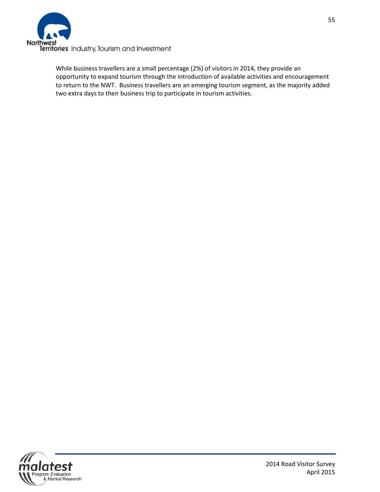

While business travellers are a small percentage (2%) of visitors in 2014, they provide an opportunity to expand tourism through the introduction of available activities and encouragement to return to the NWT. Business travellers are an emerging tourism segment, as the majority added two extra days to their business trip to participate in tourism activities.

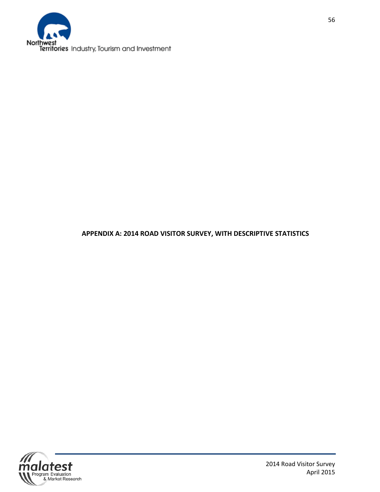

# **APPENDIX A: 2014 ROAD VISITOR SURVEY, WITH DESCRIPTIVE STATISTICS**

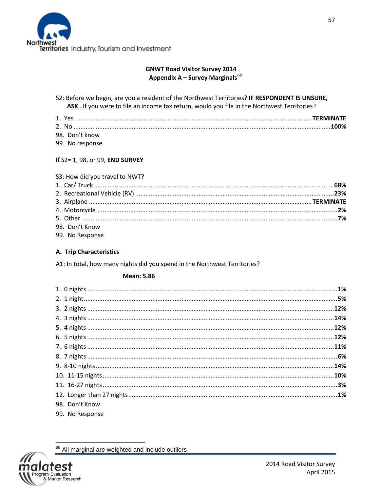

# **GNWT Road Visitor Survey 2014** Appendix A - Survey Marginals<sup>68</sup>

| S2: Before we begin, are you a resident of the Northwest Territories? <b>IF RESPONDENT IS UNSURE,</b><br>ASKIf you were to file an income tax return, would you file in the Northwest Territories? |  |
|----------------------------------------------------------------------------------------------------------------------------------------------------------------------------------------------------|--|
|                                                                                                                                                                                                    |  |
|                                                                                                                                                                                                    |  |
| 98. Don't know                                                                                                                                                                                     |  |
| 99. No response                                                                                                                                                                                    |  |
|                                                                                                                                                                                                    |  |

## If S2= 1, 98, or 99, END SURVEY

### S3: How did you travel to NWT?

| 98. Don't Know  |  |
|-----------------|--|
| 99. No Response |  |

## A. Trip Characteristics

A1: In total, how many nights did you spend in the Northwest Territories?

### **Mean: 5.86**

| 98. Don't Know |
|----------------|

99. No Response

<sup>68</sup> All marginal are weighted and include outliers

<span id="page-62-0"></span>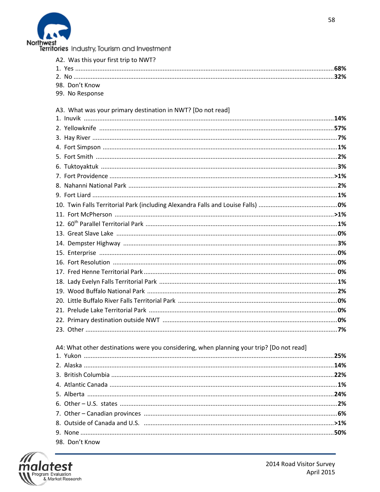

58

| A2. Was this your first trip to NWT?<br>98. Don't Know<br>99. No Response<br>A3. What was your primary destination in NWT? [Do not read] |     |
|------------------------------------------------------------------------------------------------------------------------------------------|-----|
|                                                                                                                                          |     |
|                                                                                                                                          |     |
|                                                                                                                                          |     |
|                                                                                                                                          |     |
|                                                                                                                                          |     |
|                                                                                                                                          |     |
|                                                                                                                                          |     |
|                                                                                                                                          |     |
|                                                                                                                                          |     |
|                                                                                                                                          |     |
|                                                                                                                                          |     |
|                                                                                                                                          |     |
|                                                                                                                                          |     |
|                                                                                                                                          |     |
|                                                                                                                                          |     |
|                                                                                                                                          |     |
|                                                                                                                                          |     |
|                                                                                                                                          |     |
|                                                                                                                                          |     |
|                                                                                                                                          |     |
|                                                                                                                                          |     |
|                                                                                                                                          |     |
|                                                                                                                                          |     |
|                                                                                                                                          |     |
|                                                                                                                                          |     |
|                                                                                                                                          |     |
|                                                                                                                                          |     |
|                                                                                                                                          |     |
|                                                                                                                                          |     |
|                                                                                                                                          |     |
| A4: What other destinations were you considering, when planning your trip? [Do not read]                                                 |     |
|                                                                                                                                          |     |
|                                                                                                                                          |     |
|                                                                                                                                          |     |
|                                                                                                                                          |     |
| $C$ Other $\overline{C}$ states                                                                                                          | 20/ |



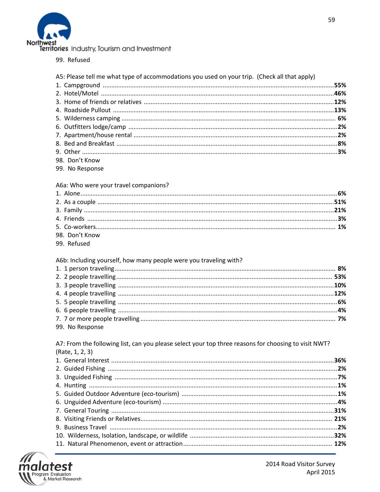

99. Refused

A5: Please tell me what type of accommodations you used on your trip. (Check all that apply)

| 98. Don't Know |  |
|----------------|--|

99. No Response

### A6a: Who were your travel companions?

| 98. Don't Know |  |
|----------------|--|

99. Refused

## A6b: Including yourself, how many people were you traveling with?

| 99. No Response |  |
|-----------------|--|

A7: From the following list, can you please select your top three reasons for choosing to visit NWT? (Rate, 1, 2, 3)



59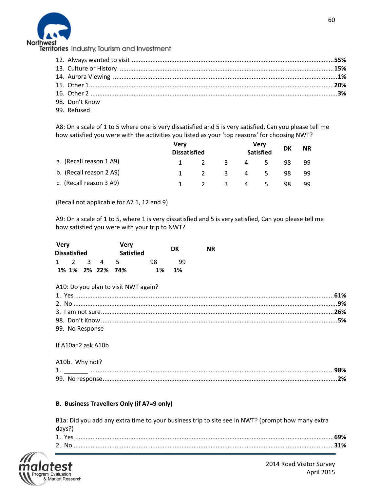

| 98. Don't Know                                                                                                                                                                                                                                                                                                                                                                       |  |
|--------------------------------------------------------------------------------------------------------------------------------------------------------------------------------------------------------------------------------------------------------------------------------------------------------------------------------------------------------------------------------------|--|
| $\overline{a}$ $\overline{a}$ $\overline{b}$ $\overline{c}$ $\overline{c}$ $\overline{c}$ $\overline{c}$ $\overline{c}$ $\overline{c}$ $\overline{c}$ $\overline{c}$ $\overline{c}$ $\overline{c}$ $\overline{c}$ $\overline{c}$ $\overline{c}$ $\overline{c}$ $\overline{c}$ $\overline{c}$ $\overline{c}$ $\overline{c}$ $\overline{c}$ $\overline{c}$ $\overline{c}$ $\overline{$ |  |

99. Refused

A8: On a scale of 1 to 5 where one is very dissatisfied and 5 is very satisfied, Can you please tell me how satisfied you were with the activities you listed as your 'top reasons' for choosing NWT?

|                         | Verv | <b>Dissatisfied</b> |                         | <b>Very</b><br><b>Satisfied</b> |    | DK | <b>NR</b> |  |
|-------------------------|------|---------------------|-------------------------|---------------------------------|----|----|-----------|--|
| a. (Recall reason 1 A9) |      |                     | $\overline{\mathbf{3}}$ | $\sim$ 4                        |    | 98 | 99        |  |
| b. (Recall reason 2 A9) |      | $\overline{2}$      | $\overline{\mathbf{3}}$ | $\overline{4}$                  | 5. | 98 | -99       |  |
| c. (Recall reason 3 A9) |      |                     | 3                       | 4                               |    | 98 | 99        |  |

(Recall not applicable for A7 1, 12 and 9)

A9: On a scale of 1 to 5, where 1 is very dissatisfied and 5 is very satisfied, Can you please tell me how satisfied you were with your trip to NWT?

| <b>Very</b><br><b>Dissatisfied</b> |         | <b>Very</b><br><b>Satisfied</b> |     | DK | NR. |  |
|------------------------------------|---------|---------------------------------|-----|----|-----|--|
|                                    | 1 2 3 4 |                                 | -5. | 98 | qq  |  |
|                                    |         | 1% 1% 2% 22% 74%                |     | 1% | 1%  |  |

A10: Do you plan to visit NWT again?

| 99. No Response |  |
|-----------------|--|

If A10a=2 ask A10b

| A10b. Why not?                                                                                                                                                                                                                                                                                                                                              |
|-------------------------------------------------------------------------------------------------------------------------------------------------------------------------------------------------------------------------------------------------------------------------------------------------------------------------------------------------------------|
| $\begin{array}{r} \rule{0.2cm}{0.1cm} \rule{0.2cm}{0.1cm} \rule{0.2cm}{0.1cm} \rule{0.2cm}{0.1cm} \rule{0.2cm}{0.1cm} \rule{0.2cm}{0.1cm} \rule{0.2cm}{0.1cm} \rule{0.2cm}{0.1cm} \rule{0.2cm}{0.1cm} \rule{0.2cm}{0.1cm} \rule{0.2cm}{0.1cm} \rule{0.2cm}{0.1cm} \rule{0.2cm}{0.1cm} \rule{0.2cm}{0.1cm} \rule{0.2cm}{0.1cm} \rule{0.2cm}{0.1cm} \rule{0.$ |
|                                                                                                                                                                                                                                                                                                                                                             |

## **B. Business Travellers Only (if A7=9 only)**

B1a: Did you add any extra time to your business trip to site see in NWT? (prompt how many extra days?)

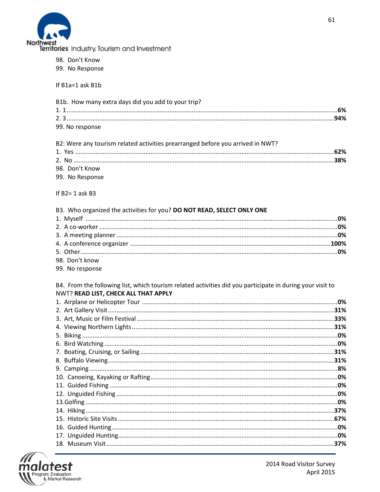|                      |                                                                                                           | 61 |
|----------------------|-----------------------------------------------------------------------------------------------------------|----|
|                      |                                                                                                           |    |
| <b>Northwest</b>     |                                                                                                           |    |
|                      | Territories Industry, Tourism and Investment                                                              |    |
| 98. Don't Know       |                                                                                                           |    |
| 99. No Response      |                                                                                                           |    |
| If B1a=1 ask B1b     |                                                                                                           |    |
|                      | B1b. How many extra days did you add to your trip?                                                        |    |
|                      |                                                                                                           |    |
| 99. No response      |                                                                                                           |    |
|                      |                                                                                                           |    |
|                      | B2: Were any tourism related activities prearranged before you arrived in NWT?                            |    |
|                      |                                                                                                           |    |
|                      |                                                                                                           |    |
| 98. Don't Know       |                                                                                                           |    |
| 99. No Response      |                                                                                                           |    |
| If $B2 = 1$ ask $B3$ |                                                                                                           |    |
|                      | B3. Who organized the activities for you? DO NOT READ, SELECT ONLY ONE                                    |    |
|                      |                                                                                                           |    |
|                      |                                                                                                           |    |
|                      |                                                                                                           |    |
|                      |                                                                                                           |    |
|                      |                                                                                                           |    |
| 98. Don't know       |                                                                                                           |    |
| 99. No response      | B4. From the following list, which tourism related activities did you participate in during your visit to |    |
|                      | NWT? READ LIST, CHECK ALL THAT APPLY                                                                      |    |
|                      |                                                                                                           |    |
|                      |                                                                                                           |    |
|                      |                                                                                                           |    |
|                      |                                                                                                           |    |
|                      |                                                                                                           |    |
|                      |                                                                                                           |    |
|                      |                                                                                                           |    |
|                      |                                                                                                           |    |
|                      |                                                                                                           |    |
|                      |                                                                                                           |    |
|                      |                                                                                                           |    |
|                      |                                                                                                           |    |
|                      |                                                                                                           |    |
|                      |                                                                                                           |    |
|                      |                                                                                                           |    |
|                      |                                                                                                           |    |
|                      |                                                                                                           |    |
|                      |                                                                                                           |    |

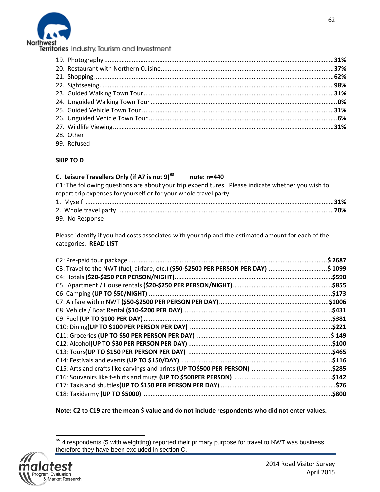

| $\overline{a}$ |  |
|----------------|--|

99. Refused

## **SKIP TO D**

# **C. Leisure Travellers Only (if A7 is not 9)[69](#page-67-0) note: n=440** C1: The following questions are about your trip expenditures. Please indicate whether you wish to report trip expenses for yourself or for your whole travel party. 1. Myself .................................................................................................................................................**31%** 2. Whole travel party ..............................................................................................................................**70%** 99. No Response

Please identify if you had costs associated with your trip and the estimated amount for each of the categories. **READ LIST**

|                                                                                      | \$ 2687 |
|--------------------------------------------------------------------------------------|---------|
| C3: Travel to the NWT (fuel, airfare, etc.) (\$50-\$2500 PER PERSON PER DAY) \$ 1099 |         |
|                                                                                      |         |
|                                                                                      |         |
|                                                                                      |         |
|                                                                                      | \$1006  |
|                                                                                      |         |
|                                                                                      |         |
|                                                                                      |         |
|                                                                                      | \$ 149  |
|                                                                                      |         |
|                                                                                      |         |
|                                                                                      |         |
|                                                                                      |         |
|                                                                                      |         |
|                                                                                      |         |
|                                                                                      | \$800   |

**Note: C2 to C19 are the mean \$ value and do not include respondents who did not enter values.**

<span id="page-67-0"></span> $69$  4 respondents (5 with weighting) reported their primary purpose for travel to NWT was business; therefore they have been excluded in section C.

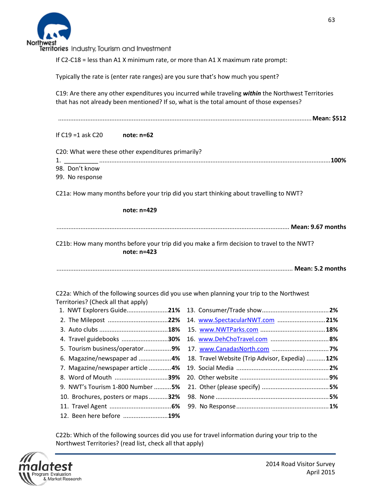

If C2-C18 = less than A1 X minimum rate, or more than A1 X maximum rate prompt:

Typically the rate is (enter rate ranges) are you sure that's how much you spent?

C19: Are there any other expenditures you incurred while traveling *within* the Northwest Territories that has not already been mentioned? If so, what is the total amount of those expenses?

| If $C19 = 1$ ask $C20$<br>note: n=62                                                                                             |                                                                                           |  |
|----------------------------------------------------------------------------------------------------------------------------------|-------------------------------------------------------------------------------------------|--|
| C20: What were these other expenditures primarily?<br>1.                                                                         |                                                                                           |  |
| 98. Don't know<br>99. No response                                                                                                |                                                                                           |  |
| C21a: How many months before your trip did you start thinking about travelling to NWT?                                           |                                                                                           |  |
| note: n=429                                                                                                                      |                                                                                           |  |
|                                                                                                                                  |                                                                                           |  |
| note: n=423                                                                                                                      | C21b: How many months before your trip did you make a firm decision to travel to the NWT? |  |
|                                                                                                                                  |                                                                                           |  |
| C22a: Which of the following sources did you use when planning your trip to the Northwest<br>Territories? (Check all that apply) |                                                                                           |  |
| 1. NWT Explorers Guide21%                                                                                                        |                                                                                           |  |
| 2. The Milepost 22%                                                                                                              | 14. www.SpectacularNWT.com 21%                                                            |  |
|                                                                                                                                  |                                                                                           |  |
| 4. Travel guidebooks 30%                                                                                                         |                                                                                           |  |
| 5. Tourism business/operator9%                                                                                                   |                                                                                           |  |
| 6. Magazine/newspaper ad 4%                                                                                                      | 18. Travel Website (Trip Advisor, Expedia) 12%                                            |  |
| 7. Magazine/newspaper article  4%                                                                                                |                                                                                           |  |
| 8. Word of Mouth 39%                                                                                                             |                                                                                           |  |
| 9. NWT's Tourism 1-800 Number  5%                                                                                                |                                                                                           |  |
| 10. Brochures, posters or maps32%                                                                                                |                                                                                           |  |
|                                                                                                                                  |                                                                                           |  |
| 12. Been here before 19%                                                                                                         |                                                                                           |  |

C22b: Which of the following sources did you use for travel information during your trip to the Northwest Territories? (read list, check all that apply)

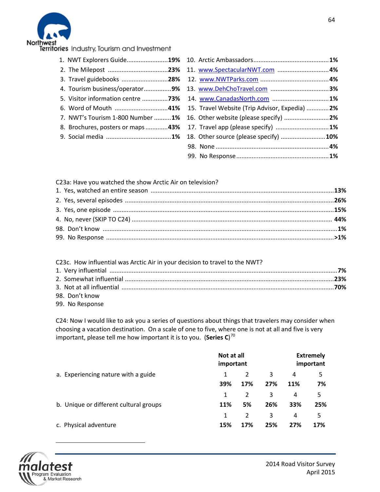

| 1. NWT Explorers Guide19% |  |
|---------------------------|--|
|                           |  |

- 3. Travel guidebooks ...........................**28%** 4. Tourism business/operator................**9%** 5. Visitor information centre ...............**73%** 6. Word of Mouth ...............................**41%** 7. NWT's Tourism 1-800 Number ..........**1%**
- 8. Brochures, posters or maps.............**43%**
- 9. Social media ......................................**1%**

| 11. www.SpectacularNWT.com  4%                |  |
|-----------------------------------------------|--|
|                                               |  |
|                                               |  |
|                                               |  |
| 15. Travel Website (Trip Advisor, Expedia) 2% |  |
| 16. Other website (please specify)  2%        |  |
| 17. Travel app (please specify)  1%           |  |
| 18. Other source (please specify) 10%         |  |
|                                               |  |
|                                               |  |
|                                               |  |

| C23a: Have you watched the show Arctic Air on television? |  |
|-----------------------------------------------------------|--|
|                                                           |  |
|                                                           |  |
|                                                           |  |
|                                                           |  |
|                                                           |  |
|                                                           |  |

| C23c. How influential was Arctic Air in your decision to travel to the NWT? |  |
|-----------------------------------------------------------------------------|--|
|                                                                             |  |
|                                                                             |  |
|                                                                             |  |
| 98. Don't know                                                              |  |
| 99. No Response                                                             |  |

C24: Now I would like to ask you a series of questions about things that travelers may consider when choosing a vacation destination. On a scale of one to five, where one is not at all and five is very important, please tell me how important it is to you. (**Series C**) [70](#page-69-0)

|                                        | Not at all<br>important |     |     | <b>Extremely</b><br>important |     |  |
|----------------------------------------|-------------------------|-----|-----|-------------------------------|-----|--|
| a. Experiencing nature with a guide    | 1                       |     | 3   | 4                             | 5   |  |
|                                        | 39%                     | 17% | 27% | 11%                           | 7%  |  |
|                                        | 1                       | 2   | 3   | 4                             | 5.  |  |
| b. Unique or different cultural groups | 11%                     | 5%  | 26% | 33%                           | 25% |  |
|                                        | 1                       | 2   | 3   | 4                             | 5   |  |
| c. Physical adventure                  | 15%                     | 17% | 25% | 27%                           | 17% |  |

<span id="page-69-0"></span>

 $\overline{a}$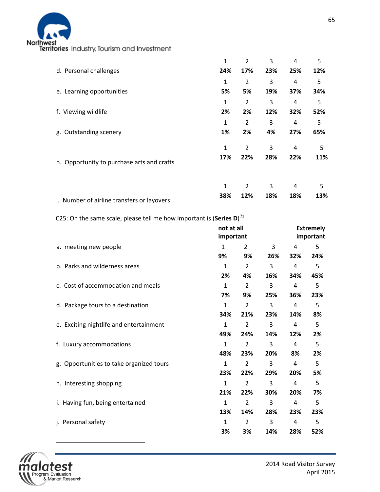

|                                            | 1            | 2              | 3   | 4   | 5   |
|--------------------------------------------|--------------|----------------|-----|-----|-----|
| d. Personal challenges                     | 24%          | 17%            | 23% | 25% | 12% |
|                                            | 1            | 2              | 3   | 4   | 5   |
| e. Learning opportunities                  | 5%           | 5%             | 19% | 37% | 34% |
|                                            | $\mathbf{1}$ | $\overline{2}$ | 3   | 4   | 5   |
| f. Viewing wildlife                        | 2%           | 2%             | 12% | 32% | 52% |
|                                            | 1            | 2              | 3   | 4   | 5   |
| g. Outstanding scenery                     | 1%           | 2%             | 4%  | 27% | 65% |
|                                            | 1            | 2              | 3   | 4   | 5   |
| h. Opportunity to purchase arts and crafts | 17%          | 22%            | 28% | 22% | 11% |
|                                            | 1            | 2              | 3   | 4   | 5   |
| i. Number of airline transfers or layovers | 38%          | 12%            | 18% | 18% | 13% |

C25: On the same scale, please tell me how important is (**Series D**) [71](#page-70-0)

|                                          | not at all<br>important |                |     | <b>Extremely</b><br>important |     |  |
|------------------------------------------|-------------------------|----------------|-----|-------------------------------|-----|--|
| a. meeting new people                    | $\mathbf{1}$            | $\overline{2}$ | 3   | 4                             | 5   |  |
|                                          | 9%                      | 9%             | 26% | 32%                           | 24% |  |
| b. Parks and wilderness areas            | $\mathbf{1}$            | $\overline{2}$ | 3   | 4                             | 5   |  |
|                                          | 2%                      | 4%             | 16% | 34%                           | 45% |  |
| c. Cost of accommodation and meals       | $\mathbf{1}$            | $\overline{2}$ | 3   | 4                             | 5   |  |
|                                          | 7%                      | 9%             | 25% | 36%                           | 23% |  |
| d. Package tours to a destination        | $\mathbf{1}$            | 2              | 3   | 4                             | 5   |  |
|                                          | 34%                     | 21%            | 23% | 14%                           | 8%  |  |
| e. Exciting nightlife and entertainment  | $\mathbf{1}$            | 2              | 3   | 4                             | 5   |  |
|                                          | 49%                     | 24%            | 14% | 12%                           | 2%  |  |
| f. Luxury accommodations                 | $\mathbf{1}$            | 2              | 3   | 4                             | 5   |  |
|                                          | 48%                     | 23%            | 20% | 8%                            | 2%  |  |
| g. Opportunities to take organized tours | $\mathbf{1}$            | 2              | 3   | 4                             | 5   |  |
|                                          | 23%                     | 22%            | 29% | 20%                           | 5%  |  |
| h. Interesting shopping                  | $\mathbf{1}$            | 2              | 3   | 4                             | 5   |  |
|                                          | 21%                     | 22%            | 30% | 20%                           | 7%  |  |
| i. Having fun, being entertained         | $\mathbf{1}$            | 2              | 3   | 4                             | 5   |  |
|                                          | 13%                     | 14%            | 28% | 23%                           | 23% |  |
| j. Personal safety                       | $\mathbf{1}$            | 2              | 3   | 4                             | 5   |  |
|                                          | 3%                      | 3%             | 14% | 28%                           | 52% |  |

<span id="page-70-0"></span>

 $\overline{a}$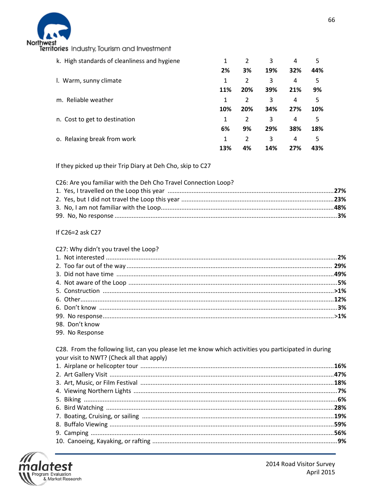

| k. High standards of cleanliness and hygiene | 1   | 2   | 3   | 4   | 5   |
|----------------------------------------------|-----|-----|-----|-----|-----|
|                                              | 2%  | 3%  | 19% | 32% | 44% |
| I. Warm, sunny climate                       | 1   | 2   | 3   | 4   | 5   |
|                                              | 11% | 20% | 39% | 21% | 9%  |
| m. Reliable weather                          | 1   | 2   | 3   | 4   | 5   |
|                                              | 10% | 20% | 34% | 27% | 10% |
| n. Cost to get to destination                | 1   | 2   | 3   | 4   | 5   |
|                                              | 6%  | 9%  | 29% | 38% | 18% |
| o. Relaxing break from work                  | 1   | 2   | 3   | 4   | 5   |
|                                              | 13% | 4%  | 14% | 27% | 43% |

If they picked up their Trip Diary at Deh Cho, skip to C27

| C26: Are you familiar with the Deh Cho Travel Connection Loop? |  |
|----------------------------------------------------------------|--|
|                                                                |  |
|                                                                |  |
|                                                                |  |
|                                                                |  |

# If C26=2 ask C27

| C27: Why didn't you travel the Loop? |  |
|--------------------------------------|--|
|                                      |  |
|                                      |  |
|                                      |  |
|                                      |  |
|                                      |  |
|                                      |  |
|                                      |  |
|                                      |  |
| 98. Don't know                       |  |
| 99. No Response                      |  |

C28. From the following list, can you please let me know which activities you participated in during your visit to NWT? (Check all that apply) 

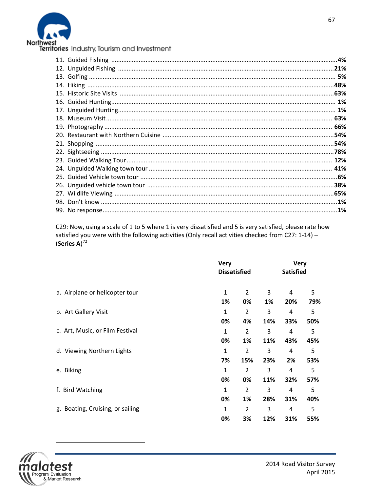

Northwest<br>Territories Industry, Tourism and Investment

C29: Now, using a scale of 1 to 5 where 1 is very dissatisfied and 5 is very satisfied, please rate how satisfied you were with the following activities (Only recall activities checked from C27: 1-14) -(Series A) $^{72}$ 

|                                  | <b>Very</b><br><b>Dissatisfied</b> |                | <b>Very</b><br><b>Satisfied</b> |     |     |
|----------------------------------|------------------------------------|----------------|---------------------------------|-----|-----|
| a. Airplane or helicopter tour   | 1                                  | $\overline{2}$ | 3                               | 4   | 5   |
|                                  | 1%                                 | 0%             | 1%                              | 20% | 79% |
| b. Art Gallery Visit             | 1                                  | $\overline{2}$ | 3                               | 4   | 5   |
|                                  | 0%                                 | 4%             | 14%                             | 33% | 50% |
| c. Art, Music, or Film Festival  | 1                                  | $\overline{2}$ | 3                               | 4   | 5   |
|                                  | 0%                                 | 1%             | 11%                             | 43% | 45% |
| d. Viewing Northern Lights       | 1                                  | $\overline{2}$ | 3                               | 4   | 5   |
|                                  | 7%                                 | 15%            | 23%                             | 2%  | 53% |
| e. Biking                        | 1                                  | $\overline{2}$ | 3                               | 4   | 5   |
|                                  | 0%                                 | 0%             | 11%                             | 32% | 57% |
| f. Bird Watching                 | 1                                  | $\overline{2}$ | 3                               | 4   | 5   |
|                                  | 0%                                 | 1%             | 28%                             | 31% | 40% |
| g. Boating, Cruising, or sailing | 1                                  | 2              | 3                               | 4   | 5   |
|                                  | 0%                                 | 3%             | 12%                             | 31% | 55% |

<span id="page-72-0"></span>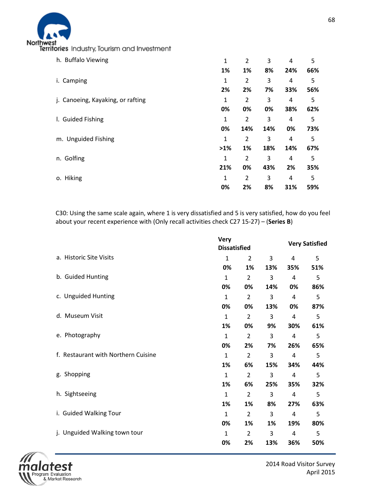Northwest

## Territories Industry, Tourism and Investment

| h. Buffalo Viewing                | 1      | $\overline{2}$ | 3   | 4   | 5   |
|-----------------------------------|--------|----------------|-----|-----|-----|
|                                   | 1%     | 1%             | 8%  | 24% | 66% |
| i. Camping                        | 1      | 2              | 3   | 4   | 5   |
|                                   | 2%     | 2%             | 7%  | 33% | 56% |
| j. Canoeing, Kayaking, or rafting | 1      | 2              | 3   | 4   | 5   |
|                                   | 0%     | 0%             | 0%  | 38% | 62% |
| I. Guided Fishing                 | 1      | 2              | 3   | 4   | 5   |
|                                   | 0%     | 14%            | 14% | 0%  | 73% |
| m. Unguided Fishing               | 1      | $\overline{2}$ | 3   | 4   | 5   |
|                                   | $>1\%$ | 1%             | 18% | 14% | 67% |
| n. Golfing                        | 1      | 2              | 3   | 4   | 5   |
|                                   | 21%    | 0%             | 43% | 2%  | 35% |
| o. Hiking                         | 1      | $\overline{2}$ | 3   | 4   | 5   |
|                                   | 0%     | 2%             | 8%  | 31% | 59% |

C30: Using the same scale again, where 1 is very dissatisfied and 5 is very satisfied, how do you feel about your recent experience with (Only recall activities check C27 15-27) – (**Series B**)

|                                     | <b>Very</b><br><b>Dissatisfied</b> |                | <b>Very Satisfied</b> |     |     |  |  |  |
|-------------------------------------|------------------------------------|----------------|-----------------------|-----|-----|--|--|--|
| a. Historic Site Visits             | $\mathbf{1}$                       | $\overline{2}$ | 3                     | 4   | 5   |  |  |  |
|                                     | 0%                                 | 1%             | 13%                   | 35% | 51% |  |  |  |
| b. Guided Hunting                   | $\mathbf{1}$                       | $\overline{2}$ | 3                     | 4   | 5   |  |  |  |
|                                     | 0%                                 | 0%             | 14%                   | 0%  | 86% |  |  |  |
| c. Unguided Hunting                 | $\mathbf{1}$                       | $\overline{2}$ | 3                     | 4   | 5   |  |  |  |
|                                     | 0%                                 | 0%             | 13%                   | 0%  | 87% |  |  |  |
| d. Museum Visit                     | $\mathbf{1}$                       | $\overline{2}$ | 3                     | 4   | 5   |  |  |  |
|                                     | 1%                                 | 0%             | 9%                    | 30% | 61% |  |  |  |
| e. Photography                      | $\mathbf{1}$                       | $\overline{2}$ | 3                     | 4   | 5   |  |  |  |
|                                     | 0%                                 | 2%             | 7%                    | 26% | 65% |  |  |  |
| f. Restaurant with Northern Cuisine | $\mathbf{1}$                       | $\overline{2}$ | 3                     | 4   | 5   |  |  |  |
|                                     | 1%                                 | 6%             | 15%                   | 34% | 44% |  |  |  |
| g. Shopping                         | $\mathbf{1}$                       | $\overline{2}$ | 3                     | 4   | 5   |  |  |  |
|                                     | 1%                                 | 6%             | 25%                   | 35% | 32% |  |  |  |
| h. Sightseeing                      | $\mathbf{1}$                       | $\overline{2}$ | 3                     | 4   | 5   |  |  |  |
|                                     | 1%                                 | 1%             | 8%                    | 27% | 63% |  |  |  |
| i. Guided Walking Tour              | $\mathbf{1}$                       | $\overline{2}$ | 3                     | 4   | 5   |  |  |  |
|                                     | 0%                                 | 1%             | 1%                    | 19% | 80% |  |  |  |
| j. Unguided Walking town tour       | $\mathbf{1}$                       | $\overline{2}$ | 3                     | 4   | 5   |  |  |  |
|                                     | 0%                                 | 2%             | 13%                   | 36% | 50% |  |  |  |

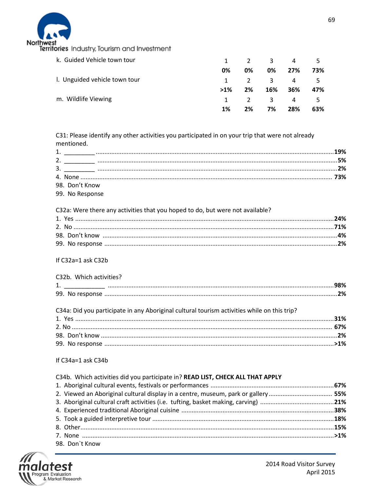

Territories Industry, Tourism and Investment

| k. Guided Vehicle town tour   | $1 \quad$    |                | $2 \t3$      | 4              | 5.  |
|-------------------------------|--------------|----------------|--------------|----------------|-----|
|                               | 0%           | 0%             | 0%           | 27%            | 73% |
| I. Unguided vehicle town tour | $1 \quad$    | $\overline{2}$ | $\mathbf{3}$ | $\overline{4}$ | 5.  |
|                               | $>1\%$       | 2%             | 16%          | 36%            | 47% |
| m. Wildlife Viewing           | $\mathbf{1}$ | $\overline{2}$ | 3            | 4              | 5   |
|                               | 1%           | 2%             | 7%           | 28%            | 63% |

C31: Please identify any other activities you participated in on your trip that were not already mentioned.

| 4. None        |  |
|----------------|--|
| 98. Don't Know |  |

99. No Response

C32a: Were there any activities that you hoped to do, but were not available?

### If C32a=1 ask C32b

| C32b. Which activities?                                                                     |  |
|---------------------------------------------------------------------------------------------|--|
|                                                                                             |  |
|                                                                                             |  |
| C34a: Did you participate in any Aboriginal cultural tourism activities while on this trip? |  |
|                                                                                             |  |
|                                                                                             |  |
|                                                                                             |  |

#### If C34a=1 ask C34b

| C34b. Which activities did you participate in? READ LIST, CHECK ALL THAT APPLY    |  |
|-----------------------------------------------------------------------------------|--|
|                                                                                   |  |
| 2. Viewed an Aboriginal cultural display in a centre, museum, park or gallery 55% |  |
|                                                                                   |  |
|                                                                                   |  |
|                                                                                   |  |
|                                                                                   |  |
|                                                                                   |  |
| 98. Don't Know                                                                    |  |

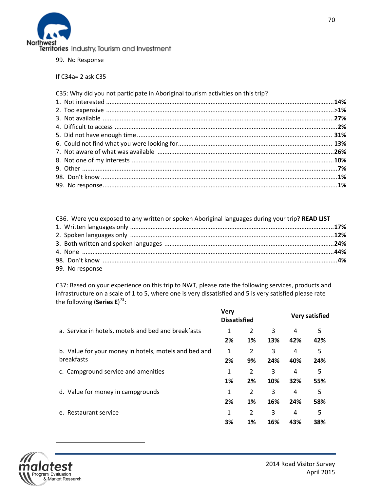

99. No Response

If C34a= 2 ask C35

| C35: Why did you not participate in Aboriginal tourism activities on this trip? |  |
|---------------------------------------------------------------------------------|--|
|                                                                                 |  |
|                                                                                 |  |
|                                                                                 |  |
|                                                                                 |  |
|                                                                                 |  |
|                                                                                 |  |
|                                                                                 |  |
|                                                                                 |  |
|                                                                                 |  |
|                                                                                 |  |
|                                                                                 |  |

| C36. Were you exposed to any written or spoken Aboriginal languages during your trip? READ LIST |  |
|-------------------------------------------------------------------------------------------------|--|
|                                                                                                 |  |
|                                                                                                 |  |
|                                                                                                 |  |
|                                                                                                 |  |
|                                                                                                 |  |
| 99. No response                                                                                 |  |

C37: Based on your experience on this trip to NWT, please rate the following services, products and infrastructure on a scale of 1 to 5, where one is very dissatisfied and 5 is very satisfied please rate the following (**Series E**) [73](#page-75-0) :

|                                                       | <b>Very</b><br><b>Dissatisfied</b> |    |     | <b>Very satisfied</b> |     |
|-------------------------------------------------------|------------------------------------|----|-----|-----------------------|-----|
| a. Service in hotels, motels and bed and breakfasts   | 1                                  | 2  | 3   | 4                     | 5   |
|                                                       | 2%                                 | 1% | 13% | 42%                   | 42% |
| b. Value for your money in hotels, motels and bed and | $\mathbf{1}$                       | 2  | 3   | 4                     | 5   |
| breakfasts                                            | 2%                                 | 9% | 24% | 40%                   | 24% |
| c. Campground service and amenities                   | 1                                  | 2  | 3   | 4                     | 5   |
|                                                       | 1%                                 | 2% | 10% | 32%                   | 55% |
| d. Value for money in campgrounds                     | 1                                  | 2  | 3   | 4                     | 5   |
|                                                       | 2%                                 | 1% | 16% | 24%                   | 58% |
| e. Restaurant service                                 | 1                                  | 2  | 3   | 4                     | 5   |
|                                                       | 3%                                 | 1% | 16% | 43%                   | 38% |

<span id="page-75-0"></span>

 $\overline{a}$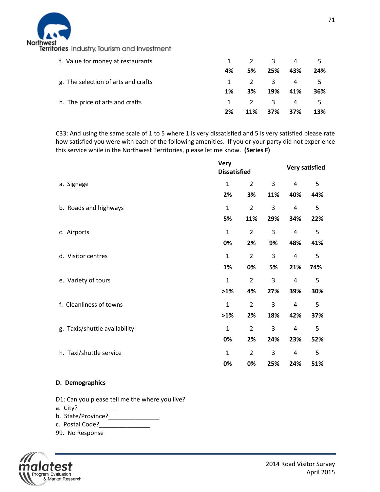

Territories Industry, Tourism and Investment

| f. Value for money at restaurants   | $1 \quad \blacksquare$ |     | 2 3 4       |     | 5.  |
|-------------------------------------|------------------------|-----|-------------|-----|-----|
|                                     | 4%                     | 5%  | 25%         | 43% | 24% |
| g. The selection of arts and crafts | $\mathbf{1}$           |     | $2 \t3 \t4$ |     | 5.  |
|                                     | 1%                     | 3%  | 19%         | 41% | 36% |
| h. The price of arts and crafts     | $\mathbf{1}$           |     | 2 3         | 4   | 5.  |
|                                     | 2%                     | 11% | 37%         | 37% | 13% |

C33: And using the same scale of 1 to 5 where 1 is very dissatisfied and 5 is very satisfied please rate how satisfied you were with each of the following amenities. If you or your party did not experience this service while in the Northwest Territories, please let me know. **(Series F)**

|                               | <b>Very</b><br><b>Dissatisfied</b> |                |     | <b>Very satisfied</b> |     |  |
|-------------------------------|------------------------------------|----------------|-----|-----------------------|-----|--|
| a. Signage                    | 1                                  | $\overline{2}$ | 3   | 4                     | 5   |  |
|                               | 2%                                 | 3%             | 11% | 40%                   | 44% |  |
| b. Roads and highways         | $\mathbf{1}$                       | $\overline{2}$ | 3   | 4                     | 5   |  |
|                               | 5%                                 | 11%            | 29% | 34%                   | 22% |  |
| c. Airports                   | $\mathbf{1}$                       | $\overline{2}$ | 3   | 4                     | 5   |  |
|                               | 0%                                 | 2%             | 9%  | 48%                   | 41% |  |
| d. Visitor centres            | 1                                  | $\overline{2}$ | 3   | 4                     | 5   |  |
|                               | 1%                                 | 0%             | 5%  | 21%                   | 74% |  |
| e. Variety of tours           | $\mathbf{1}$                       | $\overline{2}$ | 3   | 4                     | 5   |  |
|                               | $>1\%$                             | 4%             | 27% | 39%                   | 30% |  |
| f. Cleanliness of towns       | $\mathbf{1}$                       | $\overline{2}$ | 3   | 4                     | 5   |  |
|                               | $>1\%$                             | 2%             | 18% | 42%                   | 37% |  |
| g. Taxis/shuttle availability | $\mathbf{1}$                       | $\overline{2}$ | 3   | 4                     | 5   |  |
|                               | 0%                                 | 2%             | 24% | 23%                   | 52% |  |
| h. Taxi/shuttle service       | 1                                  | $\overline{2}$ | 3   | 4                     | 5   |  |
|                               | 0%                                 | 0%             | 25% | 24%                   | 51% |  |

### **D. Demographics**

- D1: Can you please tell me the where you live?
- a. City?  $\_$
- b. State/Province?\_\_\_\_\_\_\_\_\_\_\_\_\_\_\_
- c. Postal Code?\_\_\_\_\_\_\_\_\_\_\_\_\_\_\_
- 99. No Response

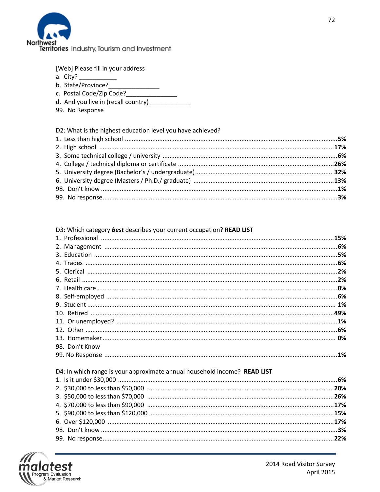

| [Web] Please fill in your address |  |
|-----------------------------------|--|
|-----------------------------------|--|

- a. City?
- b. State/Province?
- c. Postal Code/Zip Code?
- d. And you live in (recall country)
- 99. No Response

| D2: What is the highest education level you have achieved? |  |
|------------------------------------------------------------|--|
|                                                            |  |
|                                                            |  |
|                                                            |  |
|                                                            |  |
|                                                            |  |
|                                                            |  |
|                                                            |  |
|                                                            |  |

### D3: Which category best describes your current occupation? READ LIST 98. Don't Know

D4: In which range is your approximate annual household income? READ LIST

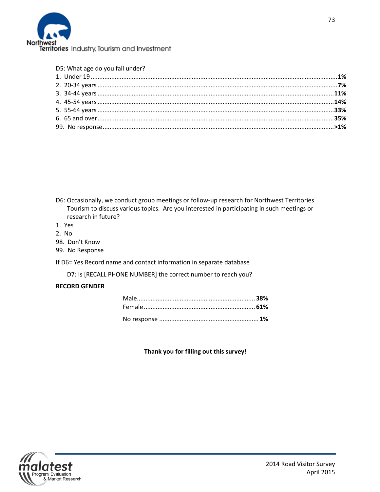

| D5: What age do you fall under? |  |
|---------------------------------|--|
|                                 |  |
|                                 |  |
|                                 |  |
|                                 |  |
|                                 |  |
|                                 |  |
|                                 |  |

D6: Occasionally, we conduct group meetings or follow-up research for Northwest Territories Tourism to discuss various topics. Are you interested in participating in such meetings or research in future?

1. Yes

- 2. No
- 98. Don't Know
- 99. No Response

If D6= Yes Record name and contact information in separate database

D7: Is [RECALL PHONE NUMBER] the correct number to reach you?

### **RECORD GENDER**

Thank you for filling out this survey!

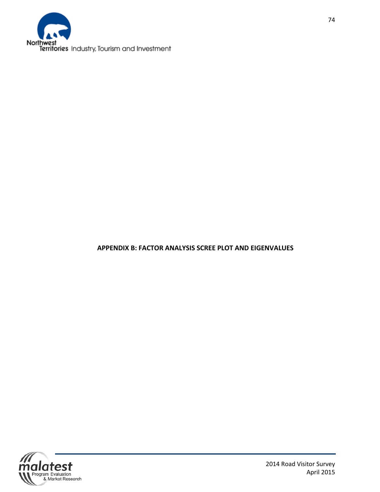

# **APPENDIX B: FACTOR ANALYSIS SCREE PLOT AND EIGENVALUES**

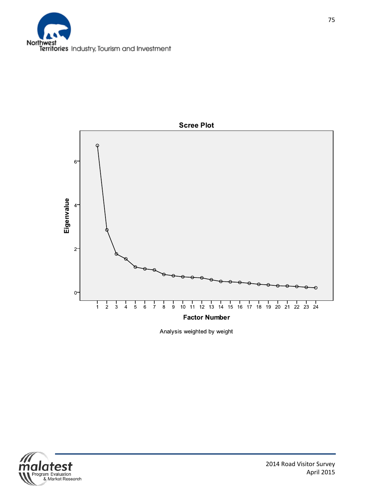

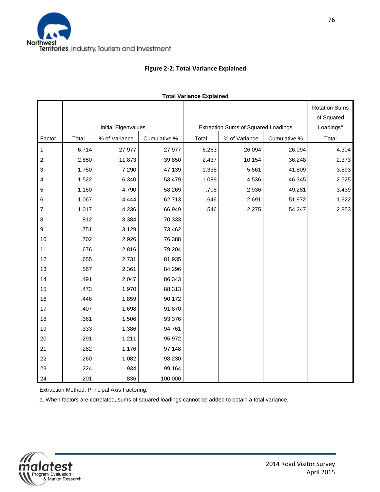

| <b>Figure 2-2: Total Variance Explained</b> |  |  |
|---------------------------------------------|--|--|
|---------------------------------------------|--|--|

|                         |       |                            |              | VIII TUHUHVU LAPIUHIVU |                                            |              | <b>Rotation Sums</b>  |
|-------------------------|-------|----------------------------|--------------|------------------------|--------------------------------------------|--------------|-----------------------|
|                         |       |                            |              |                        |                                            |              | of Squared            |
|                         |       | <b>Initial Eigenvalues</b> |              |                        | <b>Extraction Sums of Squared Loadings</b> |              | Loadings <sup>a</sup> |
| Factor                  | Total | % of Variance              | Cumulative % | Total                  | % of Variance                              | Cumulative % | Total                 |
| $\mathbf{1}$            | 6.714 | 27.977                     | 27.977       | 6.263                  | 26.094                                     | 26.094       | 4.304                 |
| $\overline{c}$          | 2.850 | 11.873                     | 39.850       | 2.437                  | 10.154                                     | 36.248       | 2.373                 |
| 3                       | 1.750 | 7.290                      | 47.139       | 1.335                  | 5.561                                      | 41.809       | 3.593                 |
| $\overline{\mathbf{4}}$ | 1.522 | 6.340                      | 53.479       | 1.089                  | 4.536                                      | 46.345       | 2.525                 |
| $\overline{5}$          | 1.150 | 4.790                      | 58.269       | .705                   | 2.936                                      | 49.281       | 3.439                 |
| $\,6\,$                 | 1.067 | 4.444                      | 62.713       | .646                   | 2.691                                      | 51.972       | 1.922                 |
| $\boldsymbol{7}$        | 1.017 | 4.236                      | 66.949       | .546                   | 2.275                                      | 54.247       | 2.853                 |
| $\bf 8$                 | .812  | 3.384                      | 70.333       |                        |                                            |              |                       |
| 9                       | .751  | 3.129                      | 73.462       |                        |                                            |              |                       |
| 10                      | .702  | 2.926                      | 76.388       |                        |                                            |              |                       |
| 11                      | .676  | 2.816                      | 79.204       |                        |                                            |              |                       |
| 12                      | .655  | 2.731                      | 81.935       |                        |                                            |              |                       |
| 13                      | .567  | 2.361                      | 84.296       |                        |                                            |              |                       |
| 14                      | .491  | 2.047                      | 86.343       |                        |                                            |              |                       |
| 15                      | .473  | 1.970                      | 88.313       |                        |                                            |              |                       |
| 16                      | .446  | 1.859                      | 90.172       |                        |                                            |              |                       |
| $17$                    | .407  | 1.698                      | 91.870       |                        |                                            |              |                       |
| 18                      | .361  | 1.506                      | 93.376       |                        |                                            |              |                       |
| 19                      | .333  | 1.386                      | 94.761       |                        |                                            |              |                       |
| $20\,$                  | .291  | 1.211                      | 95.972       |                        |                                            |              |                       |
| 21                      | .282  | 1.176                      | 97.148       |                        |                                            |              |                       |
| 22                      | .260  | 1.082                      | 98.230       |                        |                                            |              |                       |
| 23                      | .224  | .934                       | 99.164       |                        |                                            |              |                       |
| 24                      | .201  | .836                       | 100.000      |                        |                                            |              |                       |

### **Total Variance Explained**

Extraction Method: Principal Axis Factoring.

a. When factors are correlated, sums of squared loadings cannot be added to obtain a total variance.

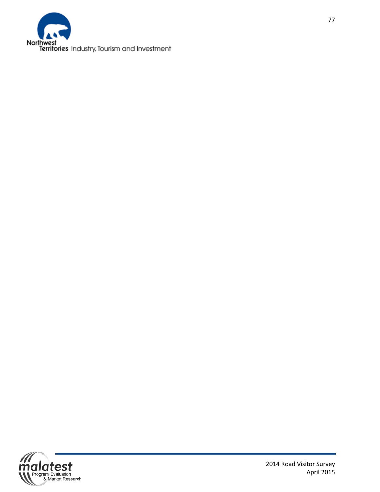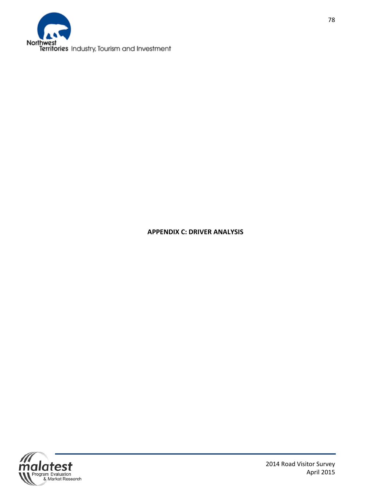

# **APPENDIX C: DRIVER ANALYSIS**



78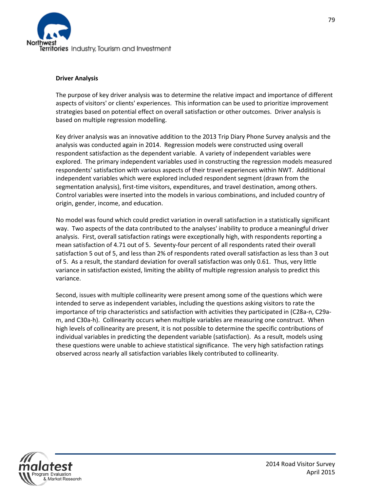

### **Driver Analysis**

The purpose of key driver analysis was to determine the relative impact and importance of different aspects of visitors' or clients' experiences. This information can be used to prioritize improvement strategies based on potential effect on overall satisfaction or other outcomes. Driver analysis is based on multiple regression modelling.

Key driver analysis was an innovative addition to the 2013 Trip Diary Phone Survey analysis and the analysis was conducted again in 2014. Regression models were constructed using overall respondent satisfaction as the dependent variable. A variety of independent variables were explored. The primary independent variables used in constructing the regression models measured respondents' satisfaction with various aspects of their travel experiences within NWT. Additional independent variables which were explored included respondent segment (drawn from the segmentation analysis), first-time visitors, expenditures, and travel destination, among others. Control variables were inserted into the models in various combinations, and included country of origin, gender, income, and education.

No model was found which could predict variation in overall satisfaction in a statistically significant way. Two aspects of the data contributed to the analyses' inability to produce a meaningful driver analysis. First, overall satisfaction ratings were exceptionally high, with respondents reporting a mean satisfaction of 4.71 out of 5. Seventy-four percent of all respondents rated their overall satisfaction 5 out of 5, and less than 2% of respondents rated overall satisfaction as less than 3 out of 5. As a result, the standard deviation for overall satisfaction was only 0.61. Thus, very little variance in satisfaction existed, limiting the ability of multiple regression analysis to predict this variance.

Second, issues with multiple collinearity were present among some of the questions which were intended to serve as independent variables, including the questions asking visitors to rate the importance of trip characteristics and satisfaction with activities they participated in (C28a-n, C29am, and C30a-h). Collinearity occurs when multiple variables are measuring one construct. When high levels of collinearity are present, it is not possible to determine the specific contributions of individual variables in predicting the dependent variable (satisfaction). As a result, models using these questions were unable to achieve statistical significance. The very high satisfaction ratings observed across nearly all satisfaction variables likely contributed to collinearity.



79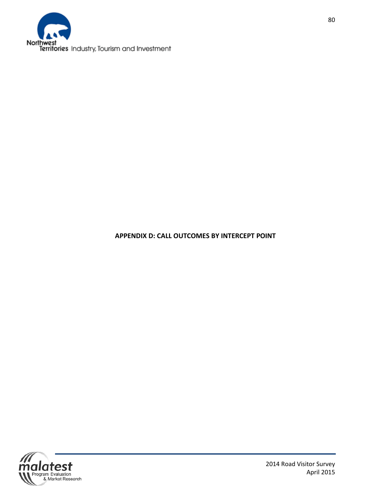

## **APPENDIX D: CALL OUTCOMES BY INTERCEPT POINT**

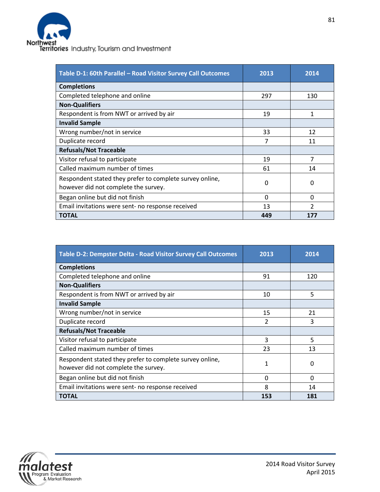

| Table D-1: 60th Parallel - Road Visitor Survey Call Outcomes                                     | 2013     | 2014          |
|--------------------------------------------------------------------------------------------------|----------|---------------|
| <b>Completions</b>                                                                               |          |               |
| Completed telephone and online                                                                   | 297      | 130           |
| <b>Non-Qualifiers</b>                                                                            |          |               |
| Respondent is from NWT or arrived by air                                                         | 19       | 1             |
| <b>Invalid Sample</b>                                                                            |          |               |
| Wrong number/not in service                                                                      | 33       | 12            |
| Duplicate record                                                                                 | 7        | 11            |
| <b>Refusals/Not Traceable</b>                                                                    |          |               |
| Visitor refusal to participate                                                                   | 19       | 7             |
| Called maximum number of times                                                                   | 61       | 14            |
| Respondent stated they prefer to complete survey online,<br>however did not complete the survey. | 0        | 0             |
| Began online but did not finish                                                                  | $\Omega$ | $\Omega$      |
| Email invitations were sent- no response received                                                | 13       | $\mathcal{P}$ |
| <b>TOTAL</b>                                                                                     | 449      | 177           |

| Table D-2: Dempster Delta - Road Visitor Survey Call Outcomes                                    | 2013     | 2014     |
|--------------------------------------------------------------------------------------------------|----------|----------|
| <b>Completions</b>                                                                               |          |          |
| Completed telephone and online                                                                   | 91       | 120      |
| <b>Non-Qualifiers</b>                                                                            |          |          |
| Respondent is from NWT or arrived by air                                                         | 10       | 5        |
| <b>Invalid Sample</b>                                                                            |          |          |
| Wrong number/not in service                                                                      | 15       | 21       |
| Duplicate record                                                                                 | 2        | 3        |
| <b>Refusals/Not Traceable</b>                                                                    |          |          |
| Visitor refusal to participate                                                                   | 3        | 5        |
| Called maximum number of times                                                                   | 23       | 13       |
| Respondent stated they prefer to complete survey online,<br>however did not complete the survey. | 1        | 0        |
| Began online but did not finish                                                                  | $\Omega$ | $\Omega$ |
| Email invitations were sent- no response received                                                | 8        | 14       |
| <b>TOTAL</b>                                                                                     | 153      | 181      |

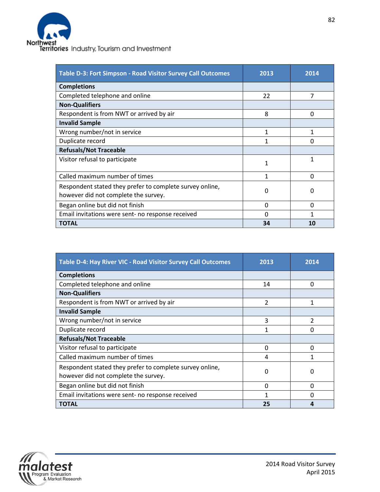

| Table D-3: Fort Simpson - Road Visitor Survey Call Outcomes                                      | 2013     | 2014     |
|--------------------------------------------------------------------------------------------------|----------|----------|
| <b>Completions</b>                                                                               |          |          |
| Completed telephone and online                                                                   | 22       | 7        |
| <b>Non-Qualifiers</b>                                                                            |          |          |
| Respondent is from NWT or arrived by air                                                         | 8        | $\Omega$ |
| <b>Invalid Sample</b>                                                                            |          |          |
| Wrong number/not in service                                                                      | 1        | 1        |
| Duplicate record                                                                                 | 1        | 0        |
| <b>Refusals/Not Traceable</b>                                                                    |          |          |
| Visitor refusal to participate                                                                   | 1        | 1        |
| Called maximum number of times                                                                   | 1        | 0        |
| Respondent stated they prefer to complete survey online,<br>however did not complete the survey. | $\Omega$ | 0        |
| Began online but did not finish                                                                  | $\Omega$ | $\Omega$ |
| Email invitations were sent- no response received                                                | $\Omega$ | 1        |
| <b>TOTAL</b>                                                                                     | 34       | 10       |

| Table D-4: Hay River VIC - Road Visitor Survey Call Outcomes                                     | 2013           | 2014           |
|--------------------------------------------------------------------------------------------------|----------------|----------------|
| <b>Completions</b>                                                                               |                |                |
| Completed telephone and online                                                                   | 14             | $\Omega$       |
| <b>Non-Qualifiers</b>                                                                            |                |                |
| Respondent is from NWT or arrived by air                                                         | $\overline{2}$ |                |
| <b>Invalid Sample</b>                                                                            |                |                |
| Wrong number/not in service                                                                      | 3              | $\overline{2}$ |
| Duplicate record                                                                                 | 1              | O              |
| <b>Refusals/Not Traceable</b>                                                                    |                |                |
| Visitor refusal to participate                                                                   | 0              | $\Omega$       |
| Called maximum number of times                                                                   | 4              | 1              |
| Respondent stated they prefer to complete survey online,<br>however did not complete the survey. | 0              | $\Omega$       |
| Began online but did not finish                                                                  | $\Omega$       | $\Omega$       |
| Email invitations were sent- no response received                                                | 1              | $\Omega$       |
| <b>TOTAL</b>                                                                                     | 25             |                |

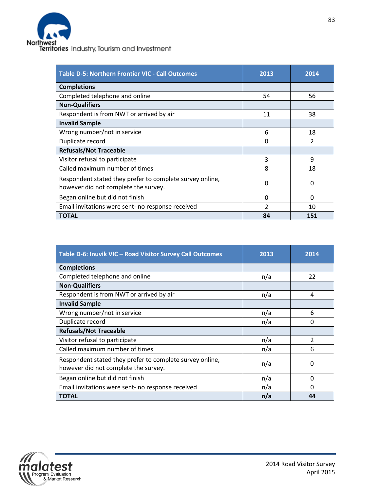

| <b>Table D-5: Northern Frontier VIC - Call Outcomes</b>                                          | 2013           | 2014           |
|--------------------------------------------------------------------------------------------------|----------------|----------------|
| <b>Completions</b>                                                                               |                |                |
| Completed telephone and online                                                                   | 54             | 56             |
| <b>Non-Qualifiers</b>                                                                            |                |                |
| Respondent is from NWT or arrived by air                                                         | 11             | 38             |
| <b>Invalid Sample</b>                                                                            |                |                |
| Wrong number/not in service                                                                      | 6              | 18             |
| Duplicate record                                                                                 | 0              | $\overline{2}$ |
| <b>Refusals/Not Traceable</b>                                                                    |                |                |
| Visitor refusal to participate                                                                   | 3              | 9              |
| Called maximum number of times                                                                   | 8              | 18             |
| Respondent stated they prefer to complete survey online,<br>however did not complete the survey. | 0              | 0              |
| Began online but did not finish                                                                  | $\Omega$       | $\Omega$       |
| Email invitations were sent- no response received                                                | $\mathfrak{p}$ | 10             |
| <b>TOTAL</b>                                                                                     | 84             | 151            |

| Table D-6: Inuvik VIC - Road Visitor Survey Call Outcomes                                        | 2013 | 2014           |
|--------------------------------------------------------------------------------------------------|------|----------------|
| <b>Completions</b>                                                                               |      |                |
| Completed telephone and online                                                                   | n/a  | 22             |
| <b>Non-Qualifiers</b>                                                                            |      |                |
| Respondent is from NWT or arrived by air                                                         | n/a  | 4              |
| <b>Invalid Sample</b>                                                                            |      |                |
| Wrong number/not in service                                                                      | n/a  | 6              |
| Duplicate record                                                                                 | n/a  | 0              |
| <b>Refusals/Not Traceable</b>                                                                    |      |                |
| Visitor refusal to participate                                                                   | n/a  | $\overline{2}$ |
| Called maximum number of times                                                                   | n/a  | 6              |
| Respondent stated they prefer to complete survey online,<br>however did not complete the survey. | n/a  | O              |
| Began online but did not finish                                                                  | n/a  | $\Omega$       |
| Email invitations were sent- no response received                                                | n/a  | $\Omega$       |
| <b>TOTAL</b>                                                                                     | n/a  | 44             |

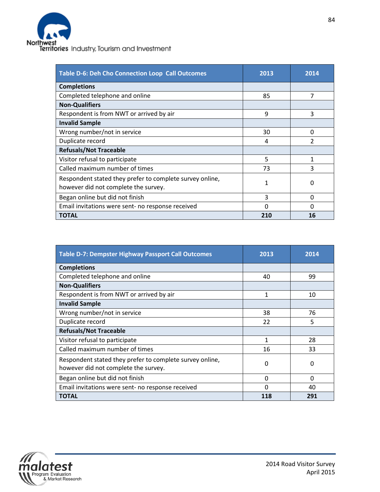

| Table D-6: Deh Cho Connection Loop Call Outcomes                                                 | 2013     | 2014           |
|--------------------------------------------------------------------------------------------------|----------|----------------|
| <b>Completions</b>                                                                               |          |                |
| Completed telephone and online                                                                   | 85       | 7              |
| <b>Non-Qualifiers</b>                                                                            |          |                |
| Respondent is from NWT or arrived by air                                                         | 9        | 3              |
| <b>Invalid Sample</b>                                                                            |          |                |
| Wrong number/not in service                                                                      | 30       | 0              |
| Duplicate record                                                                                 | 4        | $\mathfrak{p}$ |
| <b>Refusals/Not Traceable</b>                                                                    |          |                |
| Visitor refusal to participate                                                                   | 5        | 1              |
| Called maximum number of times                                                                   | 73       | 3              |
| Respondent stated they prefer to complete survey online,<br>however did not complete the survey. | 1        | 0              |
| Began online but did not finish                                                                  | 3        | $\Omega$       |
| Email invitations were sent- no response received                                                | $\Omega$ | 0              |
| <b>TOTAL</b>                                                                                     | 210      | 16             |

| Table D-7: Dempster Highway Passport Call Outcomes                                               | 2013        | 2014     |
|--------------------------------------------------------------------------------------------------|-------------|----------|
| <b>Completions</b>                                                                               |             |          |
| Completed telephone and online                                                                   | 40          | 99       |
| <b>Non-Qualifiers</b>                                                                            |             |          |
| Respondent is from NWT or arrived by air                                                         | 1           | 10       |
| <b>Invalid Sample</b>                                                                            |             |          |
| Wrong number/not in service                                                                      | 38          | 76       |
| Duplicate record                                                                                 | 22          | 5        |
| <b>Refusals/Not Traceable</b>                                                                    |             |          |
| Visitor refusal to participate                                                                   | 1           | 28       |
| Called maximum number of times                                                                   | 16          | 33       |
| Respondent stated they prefer to complete survey online,<br>however did not complete the survey. | $\mathbf 0$ | $\Omega$ |
| Began online but did not finish                                                                  | $\Omega$    | 0        |
| Email invitations were sent- no response received                                                | $\Omega$    | 40       |
| <b>TOTAL</b>                                                                                     | 118         | 291      |

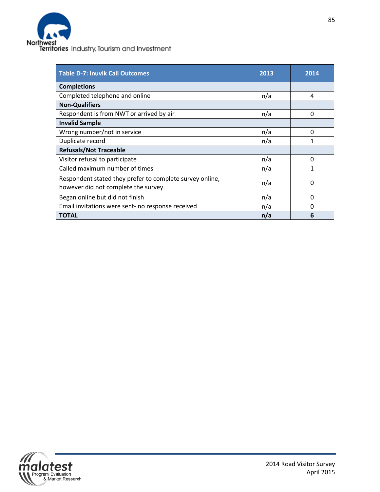

| <b>Table D-7: Inuvik Call Outcomes</b>                                                           | 2013 | 2014     |
|--------------------------------------------------------------------------------------------------|------|----------|
| <b>Completions</b>                                                                               |      |          |
| Completed telephone and online                                                                   | n/a  | 4        |
| <b>Non-Qualifiers</b>                                                                            |      |          |
| Respondent is from NWT or arrived by air                                                         | n/a  | $\Omega$ |
| <b>Invalid Sample</b>                                                                            |      |          |
| Wrong number/not in service                                                                      | n/a  | $\Omega$ |
| Duplicate record                                                                                 | n/a  | 1        |
| <b>Refusals/Not Traceable</b>                                                                    |      |          |
| Visitor refusal to participate                                                                   | n/a  | $\Omega$ |
| Called maximum number of times                                                                   | n/a  | 1        |
| Respondent stated they prefer to complete survey online,<br>however did not complete the survey. | n/a  | $\Omega$ |
| Began online but did not finish                                                                  | n/a  | $\Omega$ |
| Email invitations were sent- no response received                                                | n/a  | $\Omega$ |
| <b>TOTAL</b>                                                                                     | n/a  | 6        |

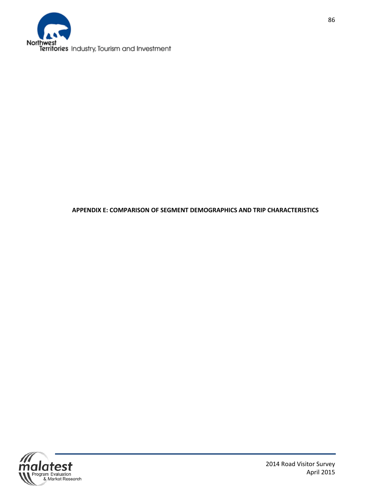

### **APPENDIX E: COMPARISON OF SEGMENT DEMOGRAPHICS AND TRIP CHARACTERISTICS**

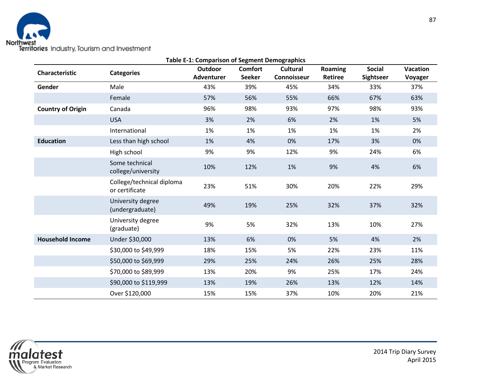

| <b>Table E-1: Comparison of Segment Demographics</b> |                                             |                   |                |                 |                |               |                 |
|------------------------------------------------------|---------------------------------------------|-------------------|----------------|-----------------|----------------|---------------|-----------------|
| <b>Characteristic</b>                                | <b>Categories</b>                           | Outdoor           | <b>Comfort</b> | <b>Cultural</b> | Roaming        | <b>Social</b> | <b>Vacation</b> |
|                                                      |                                             | <b>Adventurer</b> | <b>Seeker</b>  | Connoisseur     | <b>Retiree</b> | Sightseer     | Voyager         |
| Gender                                               | Male                                        | 43%               | 39%            | 45%             | 34%            | 33%           | 37%             |
|                                                      | Female                                      | 57%               | 56%            | 55%             | 66%            | 67%           | 63%             |
| <b>Country of Origin</b>                             | Canada                                      | 96%               | 98%            | 93%             | 97%            | 98%           | 93%             |
|                                                      | <b>USA</b>                                  | 3%                | 2%             | 6%              | 2%             | 1%            | 5%              |
|                                                      | International                               | 1%                | 1%             | 1%              | 1%             | 1%            | 2%              |
| <b>Education</b>                                     | Less than high school                       | 1%                | 4%             | 0%              | 17%            | 3%            | 0%              |
|                                                      | High school                                 | 9%                | 9%             | 12%             | 9%             | 24%           | 6%              |
|                                                      | Some technical<br>college/university        | 10%               | 12%            | 1%              | 9%             | 4%            | 6%              |
|                                                      | College/technical diploma<br>or certificate | 23%               | 51%            | 30%             | 20%            | 22%           | 29%             |
|                                                      | University degree<br>(undergraduate)        | 49%               | 19%            | 25%             | 32%            | 37%           | 32%             |
|                                                      | University degree<br>(graduate)             | 9%                | 5%             | 32%             | 13%            | 10%           | 27%             |
| <b>Household Income</b>                              | Under \$30,000                              | 13%               | 6%             | 0%              | 5%             | 4%            | 2%              |
|                                                      | \$30,000 to \$49,999                        | 18%               | 15%            | 5%              | 22%            | 23%           | 11%             |
|                                                      | \$50,000 to \$69,999                        | 29%               | 25%            | 24%             | 26%            | 25%           | 28%             |
|                                                      | \$70,000 to \$89,999                        | 13%               | 20%            | 9%              | 25%            | 17%           | 24%             |
|                                                      | \$90,000 to \$119,999                       | 13%               | 19%            | 26%             | 13%            | 12%           | 14%             |
|                                                      | Over \$120,000                              | 15%               | 15%            | 37%             | 10%            | 20%           | 21%             |